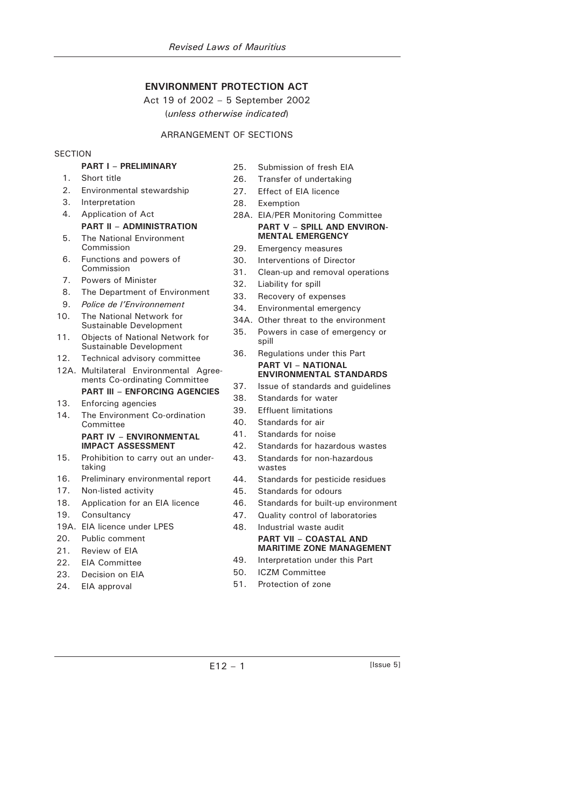# **ENVIRONMENT PROTECTION ACT**

Act 19 of 2002 – 5 September 2002 (*unless otherwise indicated*)

# ARRANGEMENT OF SECTIONS

# **SECTION**

- **PART I PRELIMINARY**  1. Short title
- 
- 2. Environmental stewardship
- 3. Interpretation

#### 4. Application of Act  **PART II – ADMINISTRATION**

- 5. The National Environment Commission
- 6. Functions and powers of Commission
- 7. Powers of Minister
- 8. The Department of Environment
- 9. *Police de l'Environnement*
- 10. The National Network for Sustainable Development
- 11. Objects of National Network for Sustainable Development
- 12. Technical advisory committee
- 12A. Multilateral Environmental Agreements Co-ordinating Committee  **PART III – ENFORCING AGENCIES**
- 13. Enforcing agencies
- 14. The Environment Co-ordination **Committee PART IV – ENVIRONMENTAL IMPACT ASSESSMENT**
- 15. Prohibition to carry out an undertaking
- 16. Preliminary environmental report
- 17. Non-listed activity
- 18. Application for an EIA licence
- 19. Consultancy
- 19A. EIA licence under LPES
- 20. Public comment
- 21. Review of EIA
- 22. EIA Committee
- 23. Decision on EIA
- 24. EIA approval
- 25. Submission of fresh EIA
- 26. Transfer of undertaking
- 27. Effect of EIA licence
- 28. Exemption
- 28A. EIA/PER Monitoring Committee  **PART V – SPILL AND ENVIRON-MENTAL EMERGENCY**
- 29. Emergency measures
- 30. Interventions of Director
- 31. Clean-up and removal operations
- 32. Liability for spill
- 33. Recovery of expenses
- 34. Environmental emergency
- 34A. Other threat to the environment
- 35. Powers in case of emergency or spill
- 36. Regulations under this Part  **PART VI – NATIONAL ENVIRONMENTAL STANDARDS**
- 37. Issue of standards and guidelines
- 38. Standards for water
- 39. Effluent limitations
- 40. Standards for air
- 41. Standards for noise
- 42. Standards for hazardous wastes
- 43. Standards for non-hazardous wastes
- 44. Standards for pesticide residues
- 45. Standards for odours
- 46. Standards for built-up environment
- 47. Quality control of laboratories
- 48. Industrial waste audit  **PART VII – COASTAL AND MARITIME ZONE MANAGEMENT**
- 49. Interpretation under this Part
- 50. ICZM Committee
- 51. Protection of zone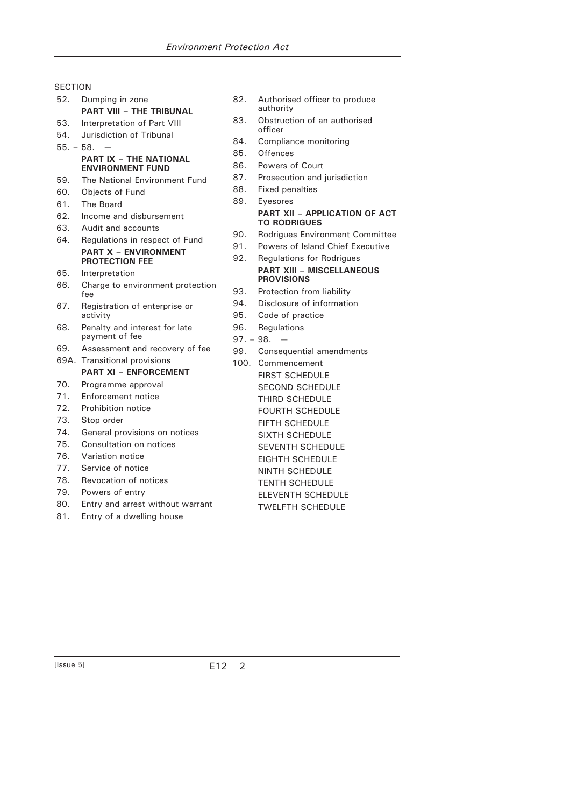# **SECTION**

- 52. Dumping in zone
- **PART VIII THE TRIBUNAL**
- 53. Interpretation of Part VIII
- 54. Jurisdiction of Tribunal
- $55. 58.$

#### **PART IX – THE NATIONAL ENVIRONMENT FUND**

- 59. The National Environment Fund
- 60. Objects of Fund
- 61. The Board
- 62. Income and disbursement
- 63. Audit and accounts
- 64. Regulations in respect of Fund  **PART X – ENVIRONMENT PROTECTION FEE**
- 65. Interpretation
- 66. Charge to environment protection fee
- 67. Registration of enterprise or activity
- 68. Penalty and interest for late payment of fee
- 69. Assessment and recovery of fee
- 69A. Transitional provisions

# **PART XI – ENFORCEMENT**

- 70. Programme approval
- 71. Enforcement notice
- 72. Prohibition notice
- 73. Stop order
- 74. General provisions on notices
- 75. Consultation on notices
- 76. Variation notice
- 77. Service of notice
- 78. Revocation of notices
- 79. Powers of entry
- 80. Entry and arrest without warrant
- 81. Entry of a dwelling house
- 82. Authorised officer to produce authority
- 83. Obstruction of an authorised officer
- 84. Compliance monitoring
- 85. Offences
- 86. Powers of Court
- 87. Prosecution and jurisdiction
- 88. Fixed penalties
- 89. Eyesores

#### **PART XII – APPLICATION OF ACT TO RODRIGUES**

- 90. Rodrigues Environment Committee
- 91. Powers of Island Chief Executive 92. Regulations for Rodrigues

# **PART XIII – MISCELLANEOUS PROVISIONS**

- 93. Protection from liability
- 94. Disclosure of information
- 95. Code of practice
- 96. Regulations
- $97. 98. -$
- 99. Consequential amendments
- 100. Commencement FIRST SCHEDULE SECOND SCHEDULE THIRD SCHEDULE FOURTH SCHEDULE FIFTH SCHEDULE SIXTH SCHEDULE SEVENTH SCHEDULE EIGHTH SCHEDULE NINTH SCHEDULE TENTH SCHEDULE ELEVENTH SCHEDULE TWELFTH SCHEDULE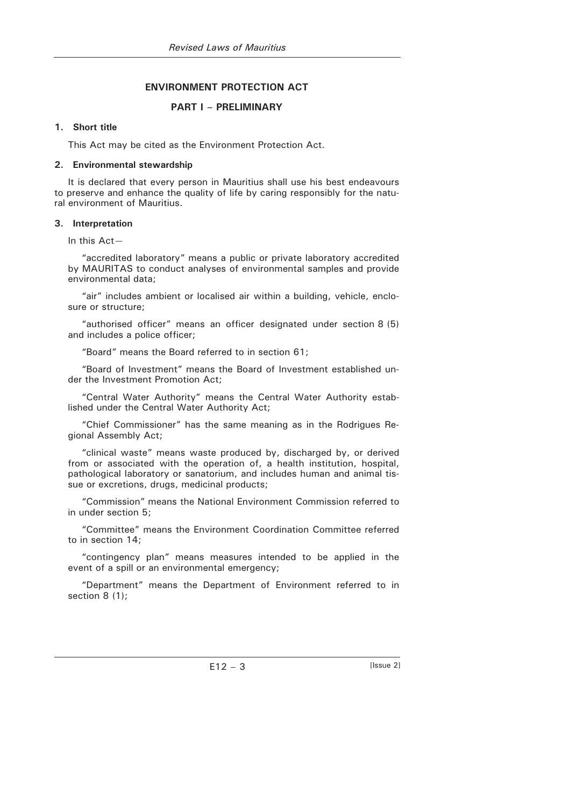# **ENVIRONMENT PROTECTION ACT**

# **PART I – PRELIMINARY**

# **1. Short title**

This Act may be cited as the Environment Protection Act.

# **2. Environmental stewardship**

It is declared that every person in Mauritius shall use his best endeavours to preserve and enhance the quality of life by caring responsibly for the natural environment of Mauritius.

# **3. Interpretation**

In this Act—

"accredited laboratory" means a public or private laboratory accredited by MAURITAS to conduct analyses of environmental samples and provide environmental data;

"air" includes ambient or localised air within a building, vehicle, enclosure or structure;

"authorised officer" means an officer designated under section 8 (5) and includes a police officer;

"Board" means the Board referred to in section 61;

"Board of Investment" means the Board of Investment established under the Investment Promotion Act;

"Central Water Authority" means the Central Water Authority established under the Central Water Authority Act;

"Chief Commissioner" has the same meaning as in the Rodrigues Regional Assembly Act;

"clinical waste" means waste produced by, discharged by, or derived from or associated with the operation of, a health institution, hospital, pathological laboratory or sanatorium, and includes human and animal tissue or excretions, drugs, medicinal products;

"Commission" means the National Environment Commission referred to in under section 5;

"Committee" means the Environment Coordination Committee referred to in section 14;

"contingency plan" means measures intended to be applied in the event of a spill or an environmental emergency;

"Department" means the Department of Environment referred to in section 8 (1):

 $E12 - 3$  [Issue 2]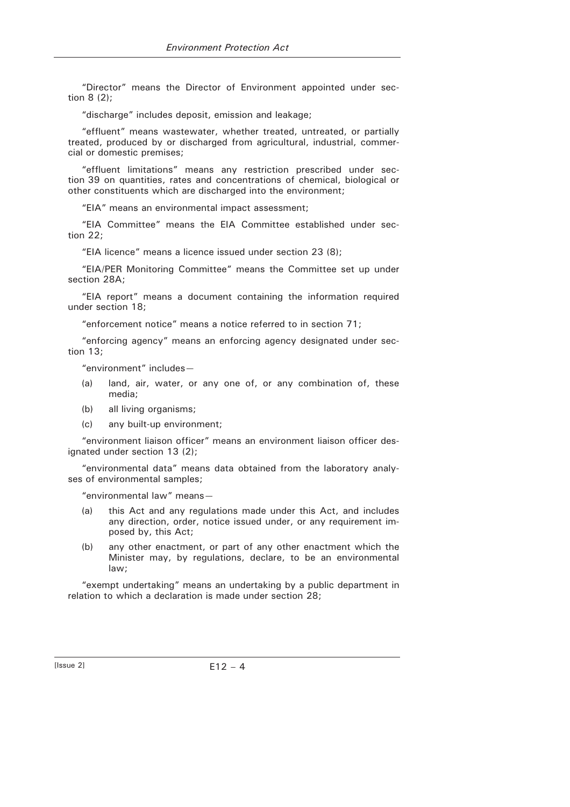"Director" means the Director of Environment appointed under section 8 (2);

"discharge" includes deposit, emission and leakage;

"effluent" means wastewater, whether treated, untreated, or partially treated, produced by or discharged from agricultural, industrial, commercial or domestic premises;

"effluent limitations" means any restriction prescribed under section 39 on quantities, rates and concentrations of chemical, biological or other constituents which are discharged into the environment;

"EIA" means an environmental impact assessment;

"EIA Committee" means the EIA Committee established under section 22;

"EIA licence" means a licence issued under section 23 (8);

"EIA/PER Monitoring Committee" means the Committee set up under section 28A;

"EIA report" means a document containing the information required under section 18;

"enforcement notice" means a notice referred to in section 71;

"enforcing agency" means an enforcing agency designated under section 13;

"environment" includes—

- (a) land, air, water, or any one of, or any combination of, these media;
- (b) all living organisms;
- (c) any built-up environment;

"environment liaison officer" means an environment liaison officer designated under section 13 (2);

"environmental data" means data obtained from the laboratory analyses of environmental samples;

"environmental law" means—

- (a) this Act and any regulations made under this Act, and includes any direction, order, notice issued under, or any requirement imposed by, this Act;
- (b) any other enactment, or part of any other enactment which the Minister may, by regulations, declare, to be an environmental law;

"exempt undertaking" means an undertaking by a public department in relation to which a declaration is made under section 28;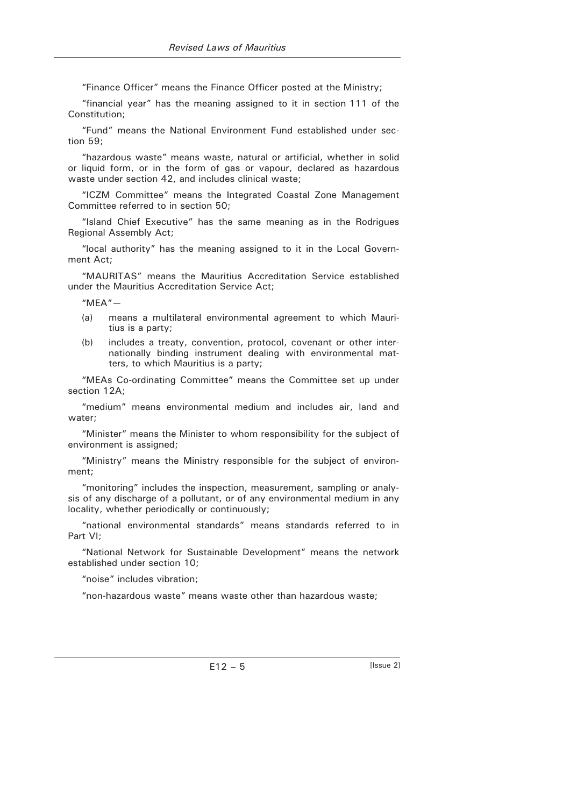"Finance Officer" means the Finance Officer posted at the Ministry;

"financial year" has the meaning assigned to it in section 111 of the Constitution;

"Fund" means the National Environment Fund established under section 59;

"hazardous waste" means waste, natural or artificial, whether in solid or liquid form, or in the form of gas or vapour, declared as hazardous waste under section 42, and includes clinical waste;

"ICZM Committee" means the Integrated Coastal Zone Management Committee referred to in section 50;

"Island Chief Executive" has the same meaning as in the Rodrigues Regional Assembly Act;

"local authority" has the meaning assigned to it in the Local Government Act;

"MAURITAS" means the Mauritius Accreditation Service established under the Mauritius Accreditation Service Act;

 $"$ MEA" $-$ 

- (a) means a multilateral environmental agreement to which Mauritius is a party;
- (b) includes a treaty, convention, protocol, covenant or other internationally binding instrument dealing with environmental matters, to which Mauritius is a party;

"MEAs Co-ordinating Committee" means the Committee set up under section 12A;

"medium" means environmental medium and includes air, land and water;

"Minister" means the Minister to whom responsibility for the subject of environment is assigned;

"Ministry" means the Ministry responsible for the subject of environment;

"monitoring" includes the inspection, measurement, sampling or analysis of any discharge of a pollutant, or of any environmental medium in any locality, whether periodically or continuously;

"national environmental standards" means standards referred to in Part VI;

"National Network for Sustainable Development" means the network established under section 10;

"noise" includes vibration;

"non-hazardous waste" means waste other than hazardous waste;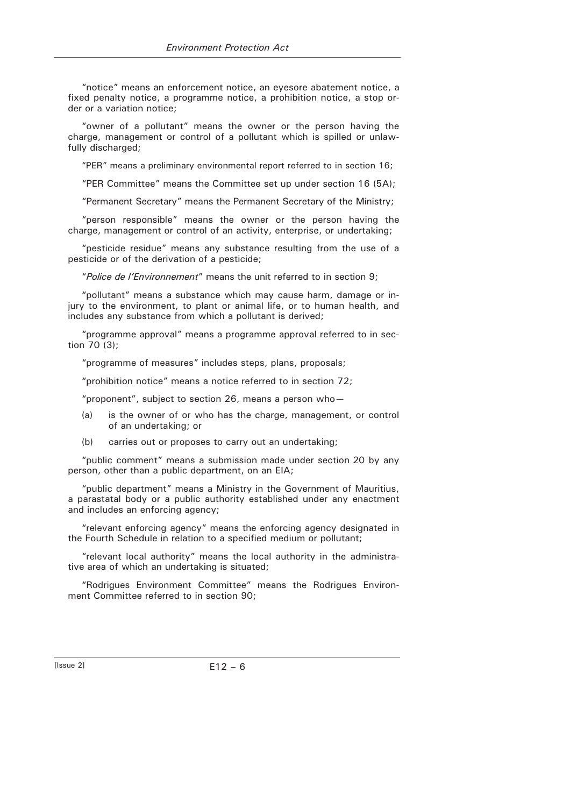"notice" means an enforcement notice, an eyesore abatement notice, a fixed penalty notice, a programme notice, a prohibition notice, a stop order or a variation notice;

"owner of a pollutant" means the owner or the person having the charge, management or control of a pollutant which is spilled or unlawfully discharged;

"PER" means a preliminary environmental report referred to in section 16;

"PER Committee" means the Committee set up under section 16 (5A);

"Permanent Secretary" means the Permanent Secretary of the Ministry;

"person responsible" means the owner or the person having the charge, management or control of an activity, enterprise, or undertaking;

"pesticide residue" means any substance resulting from the use of a pesticide or of the derivation of a pesticide;

"*Police de l'Environnement*" means the unit referred to in section 9;

"pollutant" means a substance which may cause harm, damage or injury to the environment, to plant or animal life, or to human health, and includes any substance from which a pollutant is derived;

"programme approval" means a programme approval referred to in section 70 (3);

"programme of measures" includes steps, plans, proposals;

"prohibition notice" means a notice referred to in section 72;

"proponent", subject to section 26, means a person who—

- (a) is the owner of or who has the charge, management, or control of an undertaking; or
- (b) carries out or proposes to carry out an undertaking;

"public comment" means a submission made under section 20 by any person, other than a public department, on an EIA;

"public department" means a Ministry in the Government of Mauritius, a parastatal body or a public authority established under any enactment and includes an enforcing agency;

"relevant enforcing agency" means the enforcing agency designated in the Fourth Schedule in relation to a specified medium or pollutant;

"relevant local authority" means the local authority in the administrative area of which an undertaking is situated;

"Rodrigues Environment Committee" means the Rodrigues Environment Committee referred to in section 90;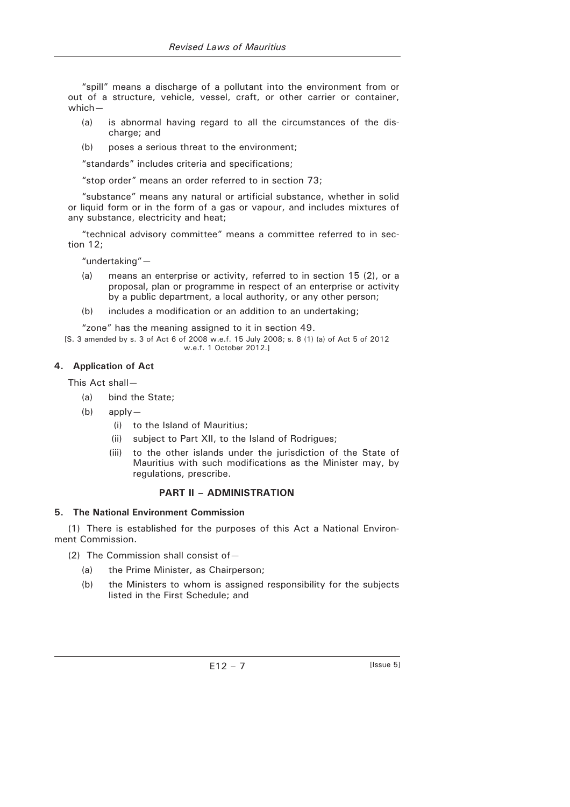"spill" means a discharge of a pollutant into the environment from or out of a structure, vehicle, vessel, craft, or other carrier or container, which—

- (a) is abnormal having regard to all the circumstances of the discharge; and
- (b) poses a serious threat to the environment;

"standards" includes criteria and specifications;

"stop order" means an order referred to in section 73;

"substance" means any natural or artificial substance, whether in solid or liquid form or in the form of a gas or vapour, and includes mixtures of any substance, electricity and heat;

"technical advisory committee" means a committee referred to in section 12;

"undertaking"—

- (a) means an enterprise or activity, referred to in section 15 (2), or a proposal, plan or programme in respect of an enterprise or activity by a public department, a local authority, or any other person;
- (b) includes a modification or an addition to an undertaking;

"zone" has the meaning assigned to it in section 49.

[S. 3 amended by s. 3 of Act 6 of 2008 w.e.f. 15 July 2008; s. 8 (1) (a) of Act 5 of 2012 w.e.f. 1 October 2012.]

# **4. Application of Act**

This Act shall—

- (a) bind the State;
- (b) apply—
	- (i) to the Island of Mauritius;
	- (ii) subject to Part XII, to the Island of Rodrigues;
	- (iii) to the other islands under the jurisdiction of the State of Mauritius with such modifications as the Minister may, by regulations, prescribe.

# **PART II – ADMINISTRATION**

# **5. The National Environment Commission**

(1) There is established for the purposes of this Act a National Environment Commission.

(2) The Commission shall consist of  $-$ 

- (a) the Prime Minister, as Chairperson;
- (b) the Ministers to whom is assigned responsibility for the subjects listed in the First Schedule; and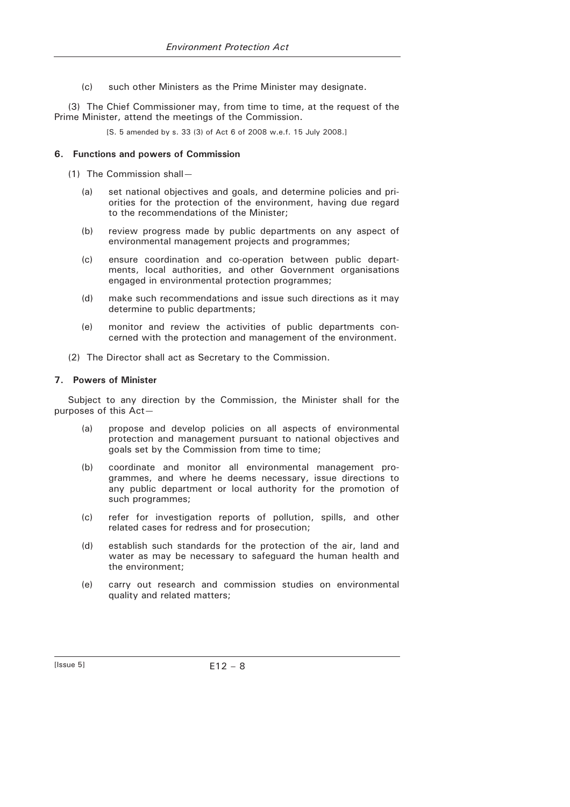(c) such other Ministers as the Prime Minister may designate.

(3) The Chief Commissioner may, from time to time, at the request of the Prime Minister, attend the meetings of the Commission.

[S. 5 amended by s. 33 (3) of Act 6 of 2008 w.e.f. 15 July 2008.]

#### **6. Functions and powers of Commission**

(1) The Commission shall—

- (a) set national objectives and goals, and determine policies and priorities for the protection of the environment, having due regard to the recommendations of the Minister;
- (b) review progress made by public departments on any aspect of environmental management projects and programmes;
- (c) ensure coordination and co-operation between public departments, local authorities, and other Government organisations engaged in environmental protection programmes;
- (d) make such recommendations and issue such directions as it may determine to public departments;
- (e) monitor and review the activities of public departments concerned with the protection and management of the environment.
- (2) The Director shall act as Secretary to the Commission.

#### **7. Powers of Minister**

Subject to any direction by the Commission, the Minister shall for the purposes of this Act—

- (a) propose and develop policies on all aspects of environmental protection and management pursuant to national objectives and goals set by the Commission from time to time;
- (b) coordinate and monitor all environmental management programmes, and where he deems necessary, issue directions to any public department or local authority for the promotion of such programmes;
- (c) refer for investigation reports of pollution, spills, and other related cases for redress and for prosecution;
- (d) establish such standards for the protection of the air, land and water as may be necessary to safeguard the human health and the environment;
- (e) carry out research and commission studies on environmental quality and related matters;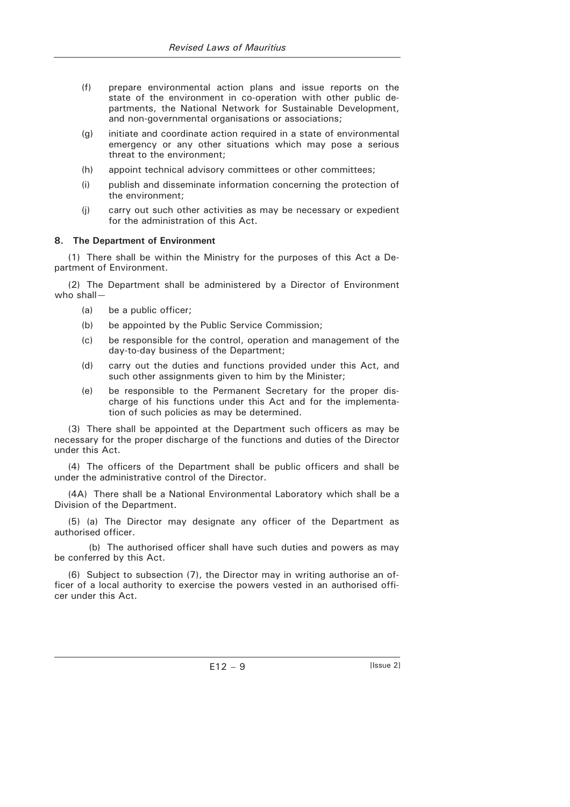- (f) prepare environmental action plans and issue reports on the state of the environment in co-operation with other public departments, the National Network for Sustainable Development, and non-governmental organisations or associations;
- (g) initiate and coordinate action required in a state of environmental emergency or any other situations which may pose a serious threat to the environment;
- (h) appoint technical advisory committees or other committees;
- (i) publish and disseminate information concerning the protection of the environment;
- (j) carry out such other activities as may be necessary or expedient for the administration of this Act.

#### **8. The Department of Environment**

(1) There shall be within the Ministry for the purposes of this Act a Department of Environment.

(2) The Department shall be administered by a Director of Environment who shall—

- (a) be a public officer;
- (b) be appointed by the Public Service Commission;
- (c) be responsible for the control, operation and management of the day-to-day business of the Department;
- (d) carry out the duties and functions provided under this Act, and such other assignments given to him by the Minister;
- (e) be responsible to the Permanent Secretary for the proper discharge of his functions under this Act and for the implementation of such policies as may be determined.

(3) There shall be appointed at the Department such officers as may be necessary for the proper discharge of the functions and duties of the Director under this Act.

(4) The officers of the Department shall be public officers and shall be under the administrative control of the Director.

(4A) There shall be a National Environmental Laboratory which shall be a Division of the Department.

(5) (a) The Director may designate any officer of the Department as authorised officer.

(b) The authorised officer shall have such duties and powers as may be conferred by this Act.

(6) Subject to subsection (7), the Director may in writing authorise an officer of a local authority to exercise the powers vested in an authorised officer under this Act.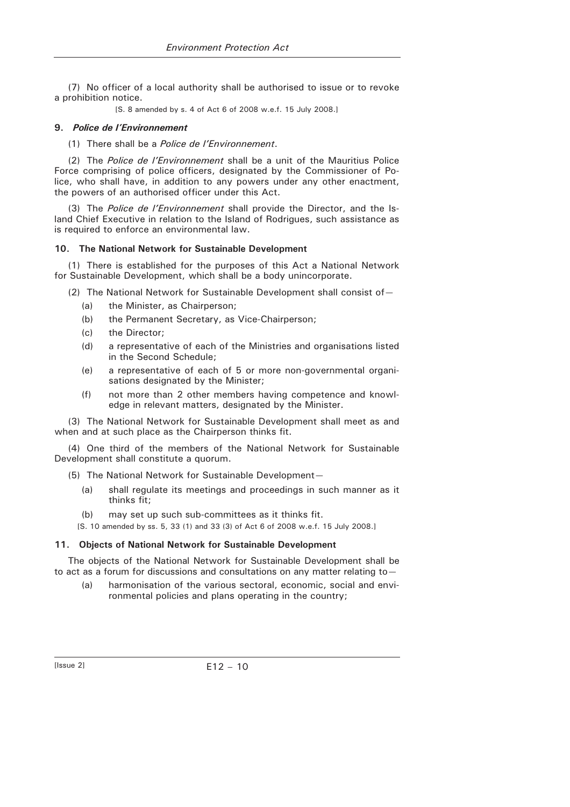(7) No officer of a local authority shall be authorised to issue or to revoke a prohibition notice.

[S. 8 amended by s. 4 of Act 6 of 2008 w.e.f. 15 July 2008.]

# **9.** *Police de l'Environnement*

(1) There shall be a *Police de l'Environnement*.

(2) The *Police de l'Environnement* shall be a unit of the Mauritius Police Force comprising of police officers, designated by the Commissioner of Police, who shall have, in addition to any powers under any other enactment, the powers of an authorised officer under this Act.

(3) The *Police de l'Environnement* shall provide the Director, and the Island Chief Executive in relation to the Island of Rodrigues, such assistance as is required to enforce an environmental law.

# **10. The National Network for Sustainable Development**

(1) There is established for the purposes of this Act a National Network for Sustainable Development, which shall be a body unincorporate.

(2) The National Network for Sustainable Development shall consist of—

- (a) the Minister, as Chairperson;
- (b) the Permanent Secretary, as Vice-Chairperson;
- (c) the Director;
- (d) a representative of each of the Ministries and organisations listed in the Second Schedule;
- (e) a representative of each of 5 or more non-governmental organisations designated by the Minister;
- (f) not more than 2 other members having competence and knowledge in relevant matters, designated by the Minister.

(3) The National Network for Sustainable Development shall meet as and when and at such place as the Chairperson thinks fit.

(4) One third of the members of the National Network for Sustainable Development shall constitute a quorum.

(5) The National Network for Sustainable Development—

- (a) shall regulate its meetings and proceedings in such manner as it thinks fit;
- (b) may set up such sub-committees as it thinks fit.
- [S. 10 amended by ss. 5, 33 (1) and 33 (3) of Act 6 of 2008 w.e.f. 15 July 2008.]

# **11. Objects of National Network for Sustainable Development**

The objects of the National Network for Sustainable Development shall be to act as a forum for discussions and consultations on any matter relating to—

 (a) harmonisation of the various sectoral, economic, social and environmental policies and plans operating in the country;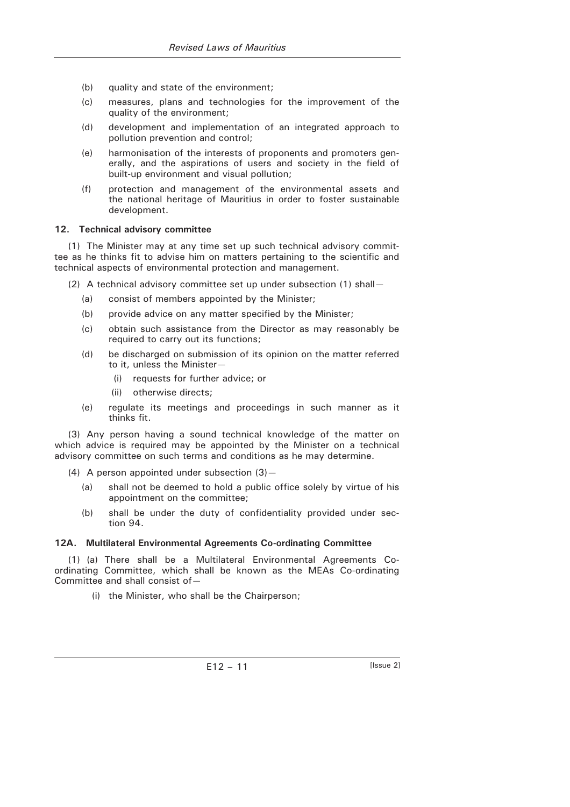- (b) quality and state of the environment;
- (c) measures, plans and technologies for the improvement of the quality of the environment;
- (d) development and implementation of an integrated approach to pollution prevention and control;
- (e) harmonisation of the interests of proponents and promoters generally, and the aspirations of users and society in the field of built-up environment and visual pollution;
- (f) protection and management of the environmental assets and the national heritage of Mauritius in order to foster sustainable development.

#### **12. Technical advisory committee**

(1) The Minister may at any time set up such technical advisory committee as he thinks fit to advise him on matters pertaining to the scientific and technical aspects of environmental protection and management.

- (2) A technical advisory committee set up under subsection (1) shall—
	- (a) consist of members appointed by the Minister;
	- (b) provide advice on any matter specified by the Minister;
	- (c) obtain such assistance from the Director as may reasonably be required to carry out its functions;
	- (d) be discharged on submission of its opinion on the matter referred to it, unless the Minister—
		- (i) requests for further advice; or
		- (ii) otherwise directs;
	- (e) regulate its meetings and proceedings in such manner as it thinks fit.

(3) Any person having a sound technical knowledge of the matter on which advice is required may be appointed by the Minister on a technical advisory committee on such terms and conditions as he may determine.

- (4) A person appointed under subsection (3)—
	- (a) shall not be deemed to hold a public office solely by virtue of his appointment on the committee;
	- (b) shall be under the duty of confidentiality provided under section 94.

#### **12A. Multilateral Environmental Agreements Co-ordinating Committee**

(1) (a) There shall be a Multilateral Environmental Agreements Coordinating Committee, which shall be known as the MEAs Co-ordinating Committee and shall consist of—

(i) the Minister, who shall be the Chairperson;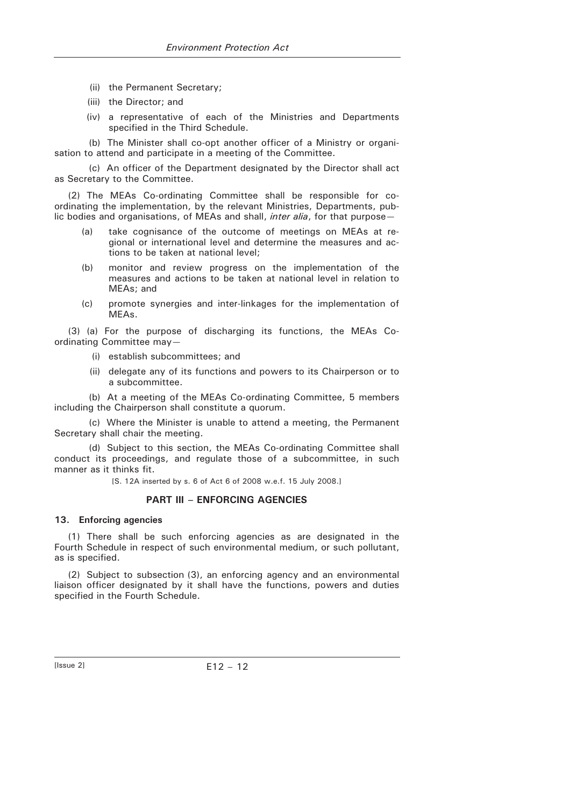- (ii) the Permanent Secretary;
- (iii) the Director; and
- (iv) a representative of each of the Ministries and Departments specified in the Third Schedule.

(b) The Minister shall co-opt another officer of a Ministry or organisation to attend and participate in a meeting of the Committee.

(c) An officer of the Department designated by the Director shall act as Secretary to the Committee.

(2) The MEAs Co-ordinating Committee shall be responsible for coordinating the implementation, by the relevant Ministries, Departments, public bodies and organisations, of MEAs and shall, *inter alia*, for that purpose—

- (a) take cognisance of the outcome of meetings on MEAs at regional or international level and determine the measures and actions to be taken at national level;
- (b) monitor and review progress on the implementation of the measures and actions to be taken at national level in relation to MEAs; and
- (c) promote synergies and inter-linkages for the implementation of MEAs.

(3) (a) For the purpose of discharging its functions, the MEAs Coordinating Committee may—

- (i) establish subcommittees; and
- (ii) delegate any of its functions and powers to its Chairperson or to a subcommittee.

(b) At a meeting of the MEAs Co-ordinating Committee, 5 members including the Chairperson shall constitute a quorum.

(c) Where the Minister is unable to attend a meeting, the Permanent Secretary shall chair the meeting.

(d) Subject to this section, the MEAs Co-ordinating Committee shall conduct its proceedings, and regulate those of a subcommittee, in such manner as it thinks fit.

[S. 12A inserted by s. 6 of Act 6 of 2008 w.e.f. 15 July 2008.]

# **PART III – ENFORCING AGENCIES**

# **13. Enforcing agencies**

(1) There shall be such enforcing agencies as are designated in the Fourth Schedule in respect of such environmental medium, or such pollutant, as is specified.

(2) Subject to subsection (3), an enforcing agency and an environmental liaison officer designated by it shall have the functions, powers and duties specified in the Fourth Schedule.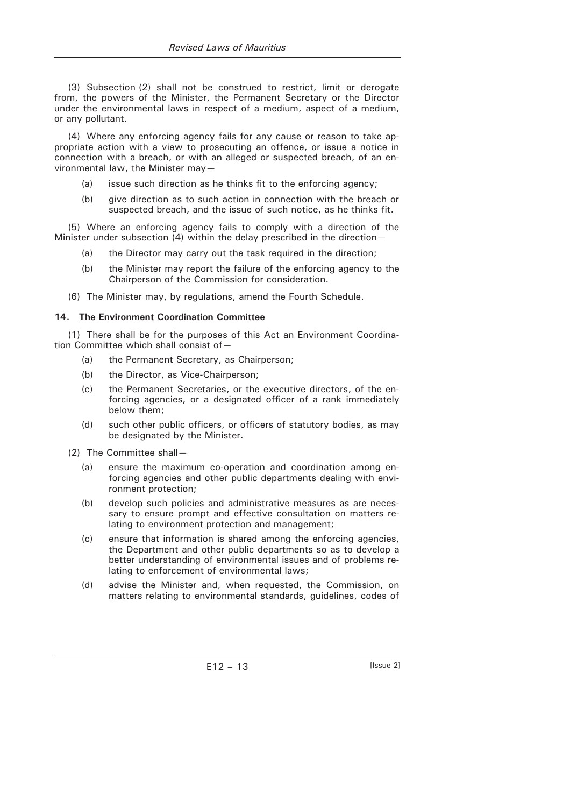(3) Subsection (2) shall not be construed to restrict, limit or derogate from, the powers of the Minister, the Permanent Secretary or the Director under the environmental laws in respect of a medium, aspect of a medium, or any pollutant.

(4) Where any enforcing agency fails for any cause or reason to take appropriate action with a view to prosecuting an offence, or issue a notice in connection with a breach, or with an alleged or suspected breach, of an environmental law, the Minister may—

- (a) issue such direction as he thinks fit to the enforcing agency;
- (b) give direction as to such action in connection with the breach or suspected breach, and the issue of such notice, as he thinks fit.

(5) Where an enforcing agency fails to comply with a direction of the Minister under subsection (4) within the delay prescribed in the direction—

- (a) the Director may carry out the task required in the direction;
- (b) the Minister may report the failure of the enforcing agency to the Chairperson of the Commission for consideration.
- (6) The Minister may, by regulations, amend the Fourth Schedule.

# **14. The Environment Coordination Committee**

(1) There shall be for the purposes of this Act an Environment Coordination Committee which shall consist of—

- (a) the Permanent Secretary, as Chairperson;
- (b) the Director, as Vice-Chairperson;
- (c) the Permanent Secretaries, or the executive directors, of the enforcing agencies, or a designated officer of a rank immediately below them;
- (d) such other public officers, or officers of statutory bodies, as may be designated by the Minister.
- (2) The Committee shall—
	- (a) ensure the maximum co-operation and coordination among enforcing agencies and other public departments dealing with environment protection;
	- (b) develop such policies and administrative measures as are necessary to ensure prompt and effective consultation on matters relating to environment protection and management;
	- (c) ensure that information is shared among the enforcing agencies, the Department and other public departments so as to develop a better understanding of environmental issues and of problems relating to enforcement of environmental laws;
	- (d) advise the Minister and, when requested, the Commission, on matters relating to environmental standards, guidelines, codes of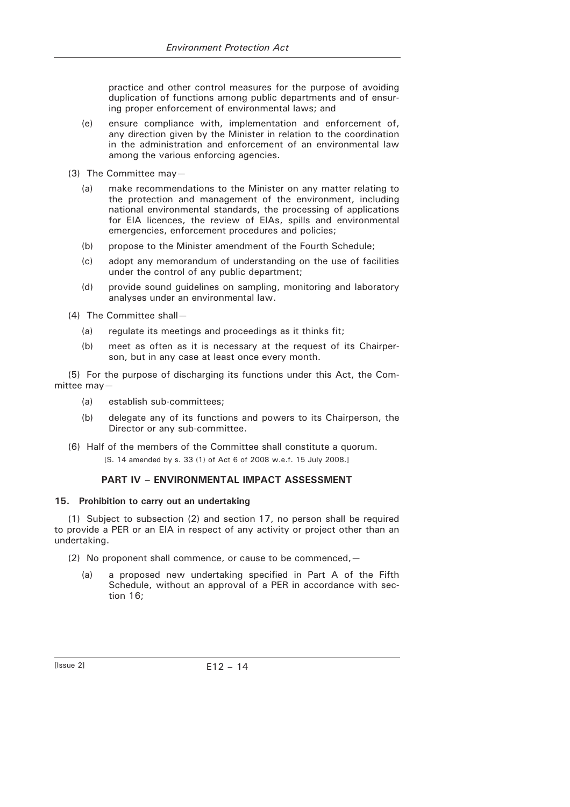practice and other control measures for the purpose of avoiding duplication of functions among public departments and of ensuring proper enforcement of environmental laws; and

- (e) ensure compliance with, implementation and enforcement of, any direction given by the Minister in relation to the coordination in the administration and enforcement of an environmental law among the various enforcing agencies.
- (3) The Committee may—
	- (a) make recommendations to the Minister on any matter relating to the protection and management of the environment, including national environmental standards, the processing of applications for EIA licences, the review of EIAs, spills and environmental emergencies, enforcement procedures and policies;
	- (b) propose to the Minister amendment of the Fourth Schedule;
	- (c) adopt any memorandum of understanding on the use of facilities under the control of any public department;
	- (d) provide sound guidelines on sampling, monitoring and laboratory analyses under an environmental law.
- (4) The Committee shall—
	- (a) regulate its meetings and proceedings as it thinks fit;
	- (b) meet as often as it is necessary at the request of its Chairperson, but in any case at least once every month.

(5) For the purpose of discharging its functions under this Act, the Committee may—

- (a) establish sub-committees;
- (b) delegate any of its functions and powers to its Chairperson, the Director or any sub-committee.
- (6) Half of the members of the Committee shall constitute a quorum.

[S. 14 amended by s. 33 (1) of Act 6 of 2008 w.e.f. 15 July 2008.]

# **PART IV – ENVIRONMENTAL IMPACT ASSESSMENT**

# **15. Prohibition to carry out an undertaking**

(1) Subject to subsection (2) and section 17, no person shall be required to provide a PER or an EIA in respect of any activity or project other than an undertaking.

- (2) No proponent shall commence, or cause to be commenced, $-$ 
	- (a) a proposed new undertaking specified in Part A of the Fifth Schedule, without an approval of a PER in accordance with section 16;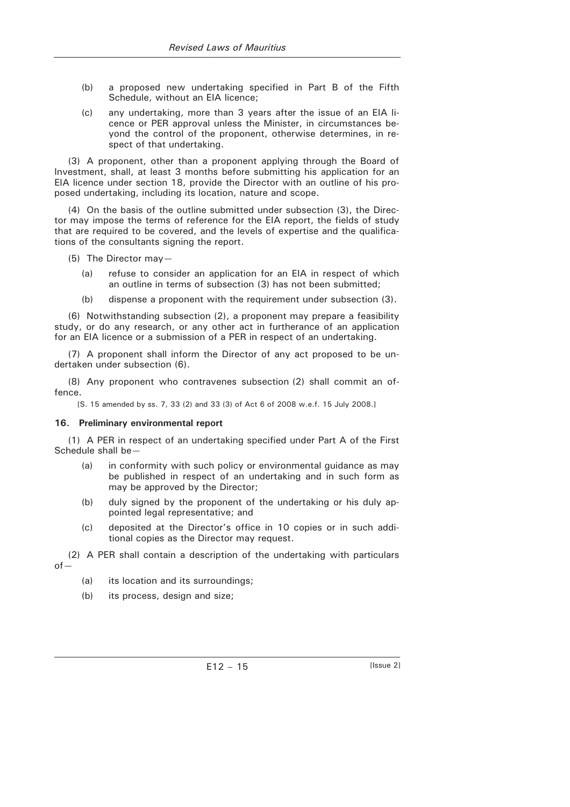- (b) a proposed new undertaking specified in Part B of the Fifth Schedule, without an EIA licence;
- (c) any undertaking, more than 3 years after the issue of an EIA licence or PER approval unless the Minister, in circumstances beyond the control of the proponent, otherwise determines, in respect of that undertaking.

(3) A proponent, other than a proponent applying through the Board of Investment, shall, at least 3 months before submitting his application for an EIA licence under section 18, provide the Director with an outline of his proposed undertaking, including its location, nature and scope.

(4) On the basis of the outline submitted under subsection (3), the Director may impose the terms of reference for the EIA report, the fields of study that are required to be covered, and the levels of expertise and the qualifications of the consultants signing the report.

- (5) The Director may—
	- (a) refuse to consider an application for an EIA in respect of which an outline in terms of subsection (3) has not been submitted;
	- (b) dispense a proponent with the requirement under subsection (3).

(6) Notwithstanding subsection (2), a proponent may prepare a feasibility study, or do any research, or any other act in furtherance of an application for an EIA licence or a submission of a PER in respect of an undertaking.

(7) A proponent shall inform the Director of any act proposed to be undertaken under subsection (6).

(8) Any proponent who contravenes subsection (2) shall commit an offence.

[S. 15 amended by ss. 7, 33 (2) and 33 (3) of Act 6 of 2008 w.e.f. 15 July 2008.]

# **16. Preliminary environmental report**

(1) A PER in respect of an undertaking specified under Part A of the First Schedule shall be—

- (a) in conformity with such policy or environmental guidance as may be published in respect of an undertaking and in such form as may be approved by the Director;
- (b) duly signed by the proponent of the undertaking or his duly appointed legal representative; and
- (c) deposited at the Director's office in 10 copies or in such additional copies as the Director may request.

(2) A PER shall contain a description of the undertaking with particulars  $of$ 

- (a) its location and its surroundings;
- (b) its process, design and size;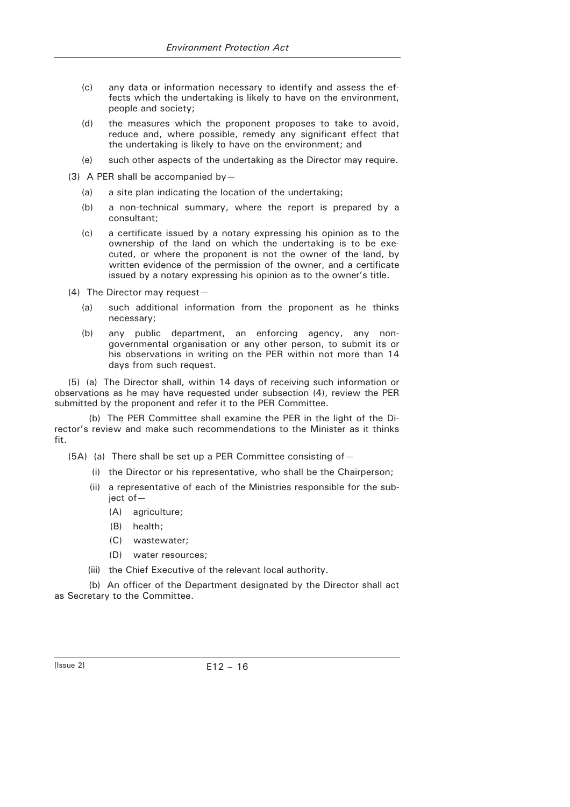- (c) any data or information necessary to identify and assess the effects which the undertaking is likely to have on the environment, people and society;
- (d) the measures which the proponent proposes to take to avoid, reduce and, where possible, remedy any significant effect that the undertaking is likely to have on the environment; and
- (e) such other aspects of the undertaking as the Director may require.
- (3) A PER shall be accompanied by-
	- (a) a site plan indicating the location of the undertaking;
	- (b) a non-technical summary, where the report is prepared by a consultant;
	- (c) a certificate issued by a notary expressing his opinion as to the ownership of the land on which the undertaking is to be executed, or where the proponent is not the owner of the land, by written evidence of the permission of the owner, and a certificate issued by a notary expressing his opinion as to the owner's title.

(4) The Director may request—

- (a) such additional information from the proponent as he thinks necessary;
- (b) any public department, an enforcing agency, any nongovernmental organisation or any other person, to submit its or his observations in writing on the PER within not more than 14 days from such request.

(5) (a) The Director shall, within 14 days of receiving such information or observations as he may have requested under subsection (4), review the PER submitted by the proponent and refer it to the PER Committee.

(b) The PER Committee shall examine the PER in the light of the Director's review and make such recommendations to the Minister as it thinks fit.

 $(5A)$  (a) There shall be set up a PER Committee consisting of -

- (i) the Director or his representative, who shall be the Chairperson;
- (ii) a representative of each of the Ministries responsible for the subject of-
	- (A) agriculture;
	- (B) health;
	- (C) wastewater;
	- (D) water resources;
- (iii) the Chief Executive of the relevant local authority.

(b) An officer of the Department designated by the Director shall act as Secretary to the Committee.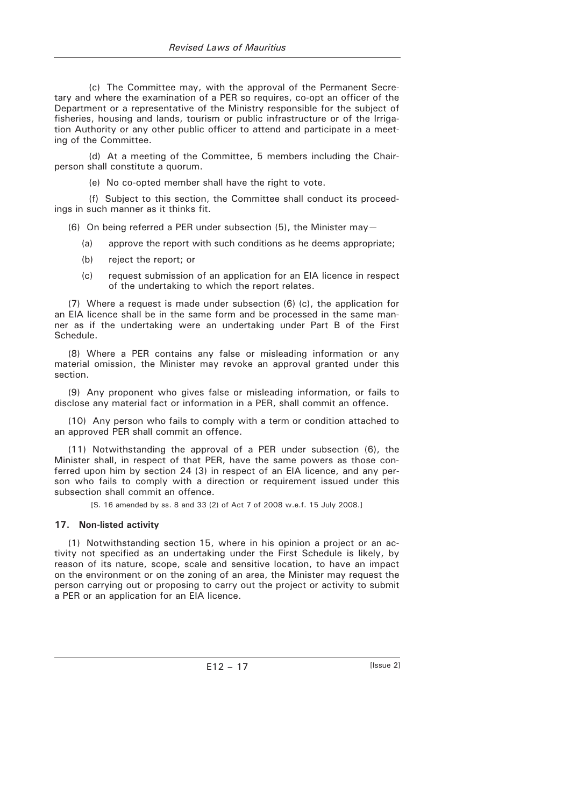(c) The Committee may, with the approval of the Permanent Secretary and where the examination of a PER so requires, co-opt an officer of the Department or a representative of the Ministry responsible for the subject of fisheries, housing and lands, tourism or public infrastructure or of the Irrigation Authority or any other public officer to attend and participate in a meeting of the Committee.

(d) At a meeting of the Committee, 5 members including the Chairperson shall constitute a quorum.

(e) No co-opted member shall have the right to vote.

(f) Subject to this section, the Committee shall conduct its proceedings in such manner as it thinks fit.

(6) On being referred a PER under subsection  $(5)$ , the Minister may -

- (a) approve the report with such conditions as he deems appropriate;
- (b) reject the report; or
- (c) request submission of an application for an EIA licence in respect of the undertaking to which the report relates.

(7) Where a request is made under subsection (6) (c), the application for an EIA licence shall be in the same form and be processed in the same manner as if the undertaking were an undertaking under Part B of the First Schedule.

(8) Where a PER contains any false or misleading information or any material omission, the Minister may revoke an approval granted under this section.

(9) Any proponent who gives false or misleading information, or fails to disclose any material fact or information in a PER, shall commit an offence.

(10) Any person who fails to comply with a term or condition attached to an approved PER shall commit an offence.

(11) Notwithstanding the approval of a PER under subsection (6), the Minister shall, in respect of that PER, have the same powers as those conferred upon him by section 24 (3) in respect of an EIA licence, and any person who fails to comply with a direction or requirement issued under this subsection shall commit an offence.

[S. 16 amended by ss. 8 and 33 (2) of Act 7 of 2008 w.e.f. 15 July 2008.]

# **17. Non-listed activity**

(1) Notwithstanding section 15, where in his opinion a project or an activity not specified as an undertaking under the First Schedule is likely, by reason of its nature, scope, scale and sensitive location, to have an impact on the environment or on the zoning of an area, the Minister may request the person carrying out or proposing to carry out the project or activity to submit a PER or an application for an EIA licence.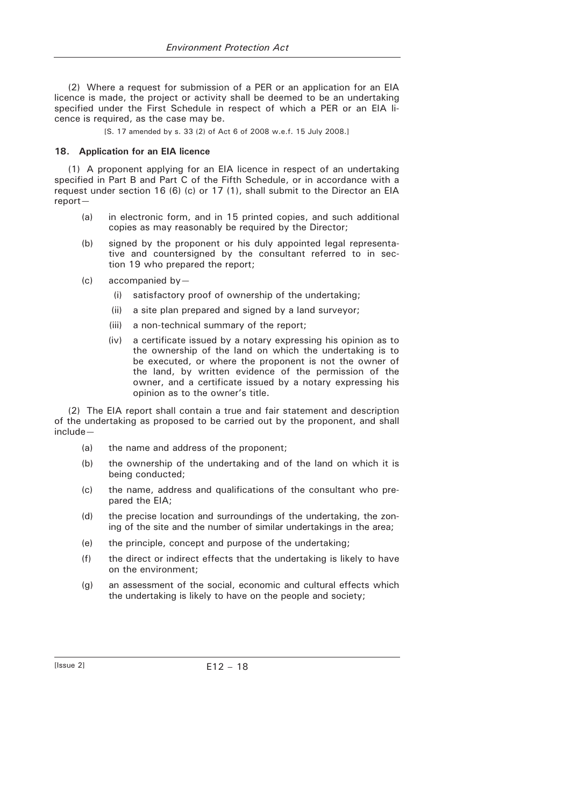(2) Where a request for submission of a PER or an application for an EIA licence is made, the project or activity shall be deemed to be an undertaking specified under the First Schedule in respect of which a PER or an EIA licence is required, as the case may be.

[S. 17 amended by s. 33 (2) of Act 6 of 2008 w.e.f. 15 July 2008.]

#### **18. Application for an EIA licence**

(1) A proponent applying for an EIA licence in respect of an undertaking specified in Part B and Part C of the Fifth Schedule, or in accordance with a request under section 16 (6) (c) or 17 (1), shall submit to the Director an EIA report—

- (a) in electronic form, and in 15 printed copies, and such additional copies as may reasonably be required by the Director;
- (b) signed by the proponent or his duly appointed legal representative and countersigned by the consultant referred to in section 19 who prepared the report;
- (c) accompanied by—
	- (i) satisfactory proof of ownership of the undertaking;
	- (ii) a site plan prepared and signed by a land surveyor;
	- (iii) a non-technical summary of the report;
	- (iv) a certificate issued by a notary expressing his opinion as to the ownership of the land on which the undertaking is to be executed, or where the proponent is not the owner of the land, by written evidence of the permission of the owner, and a certificate issued by a notary expressing his opinion as to the owner's title.

(2) The EIA report shall contain a true and fair statement and description of the undertaking as proposed to be carried out by the proponent, and shall include—

- (a) the name and address of the proponent;
- (b) the ownership of the undertaking and of the land on which it is being conducted;
- (c) the name, address and qualifications of the consultant who prepared the EIA;
- (d) the precise location and surroundings of the undertaking, the zoning of the site and the number of similar undertakings in the area;
- (e) the principle, concept and purpose of the undertaking;
- (f) the direct or indirect effects that the undertaking is likely to have on the environment;
- (g) an assessment of the social, economic and cultural effects which the undertaking is likely to have on the people and society;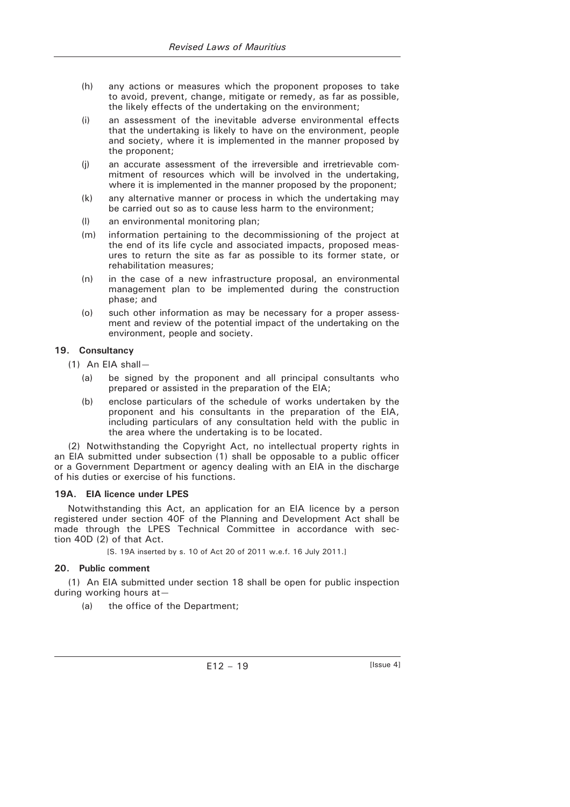- (h) any actions or measures which the proponent proposes to take to avoid, prevent, change, mitigate or remedy, as far as possible, the likely effects of the undertaking on the environment;
- (i) an assessment of the inevitable adverse environmental effects that the undertaking is likely to have on the environment, people and society, where it is implemented in the manner proposed by the proponent;
- (j) an accurate assessment of the irreversible and irretrievable commitment of resources which will be involved in the undertaking, where it is implemented in the manner proposed by the proponent;
- (k) any alternative manner or process in which the undertaking may be carried out so as to cause less harm to the environment;
- (l) an environmental monitoring plan;
- (m) information pertaining to the decommissioning of the project at the end of its life cycle and associated impacts, proposed measures to return the site as far as possible to its former state, or rehabilitation measures;
- (n) in the case of a new infrastructure proposal, an environmental management plan to be implemented during the construction phase; and
- (o) such other information as may be necessary for a proper assessment and review of the potential impact of the undertaking on the environment, people and society.

# **19. Consultancy**

- (1) An EIA shall—
	- (a) be signed by the proponent and all principal consultants who prepared or assisted in the preparation of the EIA;
	- (b) enclose particulars of the schedule of works undertaken by the proponent and his consultants in the preparation of the EIA, including particulars of any consultation held with the public in the area where the undertaking is to be located.

(2) Notwithstanding the Copyright Act, no intellectual property rights in an EIA submitted under subsection (1) shall be opposable to a public officer or a Government Department or agency dealing with an EIA in the discharge of his duties or exercise of his functions.

# **19A. EIA licence under LPES**

Notwithstanding this Act, an application for an EIA licence by a person registered under section 40F of the Planning and Development Act shall be made through the LPES Technical Committee in accordance with section 40D (2) of that Act.

[S. 19A inserted by s. 10 of Act 20 of 2011 w.e.f. 16 July 2011.]

# **20. Public comment**

(1) An EIA submitted under section 18 shall be open for public inspection during working hours at—

(a) the office of the Department;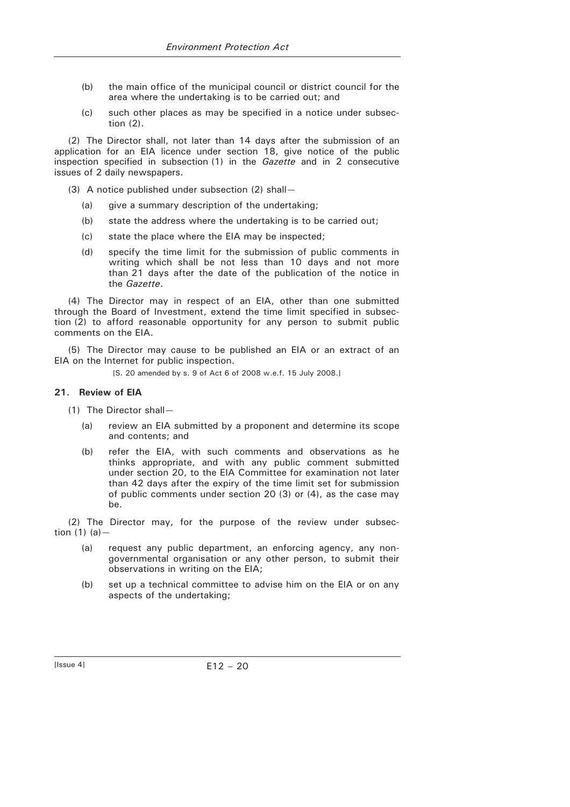- (b) the main office of the municipal council or district council for the area where the undertaking is to be carried out; and
- (c) such other places as may be specified in a notice under subsection (2).

(2) The Director shall, not later than 14 days after the submission of an application for an EIA licence under section 18, give notice of the public inspection specified in subsection (1) in the *Gazette* and in 2 consecutive issues of 2 daily newspapers.

- (3) A notice published under subsection (2) shall—
	- (a) give a summary description of the undertaking;
	- (b) state the address where the undertaking is to be carried out;
	- (c) state the place where the EIA may be inspected;
	- (d) specify the time limit for the submission of public comments in writing which shall be not less than 10 days and not more than 21 days after the date of the publication of the notice in the *Gazette*.

(4) The Director may in respect of an EIA, other than one submitted through the Board of Investment, extend the time limit specified in subsection (2) to afford reasonable opportunity for any person to submit public comments on the EIA.

(5) The Director may cause to be published an EIA or an extract of an EIA on the Internet for public inspection.

[S. 20 amended by s. 9 of Act 6 of 2008 w.e.f. 15 July 2008.]

#### **21. Review of EIA**

(1) The Director shall—

- (a) review an EIA submitted by a proponent and determine its scope and contents; and
- (b) refer the EIA, with such comments and observations as he thinks appropriate, and with any public comment submitted under section 20, to the EIA Committee for examination not later than 42 days after the expiry of the time limit set for submission of public comments under section 20 (3) or (4), as the case may be.

(2) The Director may, for the purpose of the review under subsection  $(1)$   $(a)$  -

- (a) request any public department, an enforcing agency, any nongovernmental organisation or any other person, to submit their observations in writing on the EIA;
- (b) set up a technical committee to advise him on the EIA or on any aspects of the undertaking;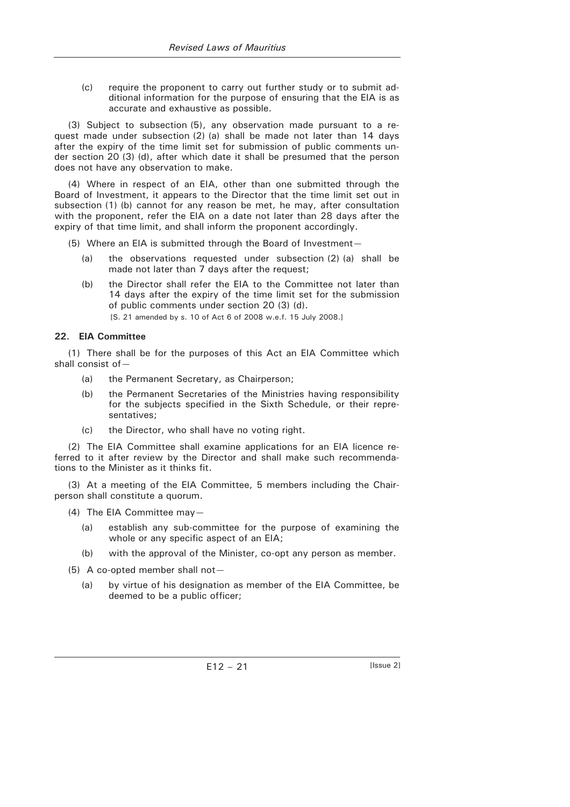(c) require the proponent to carry out further study or to submit additional information for the purpose of ensuring that the EIA is as accurate and exhaustive as possible.

(3) Subject to subsection (5), any observation made pursuant to a request made under subsection (2) (a) shall be made not later than 14 days after the expiry of the time limit set for submission of public comments under section 20 (3) (d), after which date it shall be presumed that the person does not have any observation to make.

(4) Where in respect of an EIA, other than one submitted through the Board of Investment, it appears to the Director that the time limit set out in subsection (1) (b) cannot for any reason be met, he may, after consultation with the proponent, refer the EIA on a date not later than 28 days after the expiry of that time limit, and shall inform the proponent accordingly.

- (5) Where an EIA is submitted through the Board of Investment—
	- (a) the observations requested under subsection (2) (a) shall be made not later than 7 days after the request:
	- (b) the Director shall refer the EIA to the Committee not later than 14 days after the expiry of the time limit set for the submission of public comments under section 20 (3) (d).
		- [S. 21 amended by s. 10 of Act 6 of 2008 w.e.f. 15 July 2008.]

# **22. EIA Committee**

(1) There shall be for the purposes of this Act an EIA Committee which shall consist of—

- (a) the Permanent Secretary, as Chairperson;
- (b) the Permanent Secretaries of the Ministries having responsibility for the subjects specified in the Sixth Schedule, or their representatives;
- (c) the Director, who shall have no voting right.

(2) The EIA Committee shall examine applications for an EIA licence referred to it after review by the Director and shall make such recommendations to the Minister as it thinks fit.

(3) At a meeting of the EIA Committee, 5 members including the Chairperson shall constitute a quorum.

- (4) The EIA Committee may—
	- (a) establish any sub-committee for the purpose of examining the whole or any specific aspect of an EIA;
	- (b) with the approval of the Minister, co-opt any person as member.
- (5) A co-opted member shall not—
	- (a) by virtue of his designation as member of the EIA Committee, be deemed to be a public officer;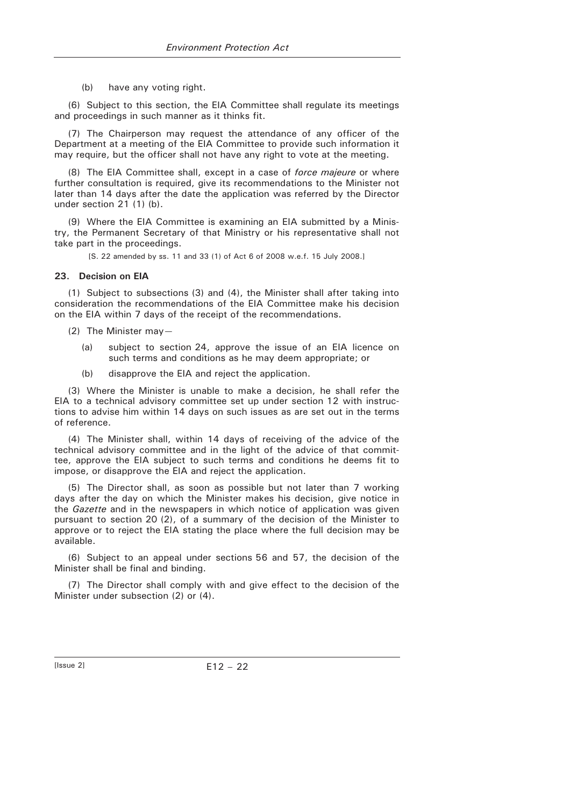(b) have any voting right.

(6) Subject to this section, the EIA Committee shall regulate its meetings and proceedings in such manner as it thinks fit.

(7) The Chairperson may request the attendance of any officer of the Department at a meeting of the EIA Committee to provide such information it may require, but the officer shall not have any right to vote at the meeting.

(8) The EIA Committee shall, except in a case of *force majeure* or where further consultation is required, give its recommendations to the Minister not later than 14 days after the date the application was referred by the Director under section 21 (1) (b).

(9) Where the EIA Committee is examining an EIA submitted by a Ministry, the Permanent Secretary of that Ministry or his representative shall not take part in the proceedings.

[S. 22 amended by ss. 11 and 33 (1) of Act 6 of 2008 w.e.f. 15 July 2008.]

# **23. Decision on EIA**

(1) Subject to subsections (3) and (4), the Minister shall after taking into consideration the recommendations of the EIA Committee make his decision on the EIA within 7 days of the receipt of the recommendations.

- (2) The Minister may—
	- (a) subject to section 24, approve the issue of an EIA licence on such terms and conditions as he may deem appropriate; or
	- (b) disapprove the EIA and reject the application.

(3) Where the Minister is unable to make a decision, he shall refer the EIA to a technical advisory committee set up under section 12 with instructions to advise him within 14 days on such issues as are set out in the terms of reference.

(4) The Minister shall, within 14 days of receiving of the advice of the technical advisory committee and in the light of the advice of that committee, approve the EIA subject to such terms and conditions he deems fit to impose, or disapprove the EIA and reject the application.

(5) The Director shall, as soon as possible but not later than 7 working days after the day on which the Minister makes his decision, give notice in the *Gazette* and in the newspapers in which notice of application was given pursuant to section 20 (2), of a summary of the decision of the Minister to approve or to reject the EIA stating the place where the full decision may be available.

(6) Subject to an appeal under sections 56 and 57, the decision of the Minister shall be final and binding.

(7) The Director shall comply with and give effect to the decision of the Minister under subsection (2) or (4).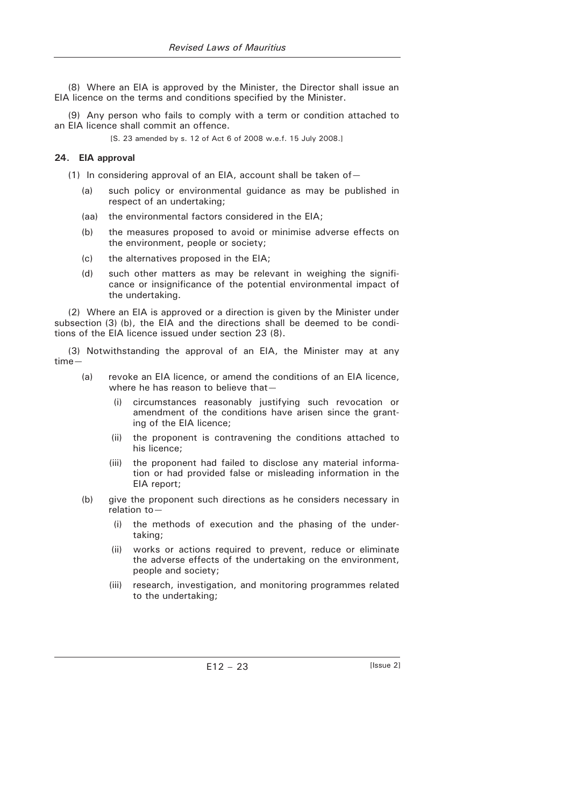(8) Where an EIA is approved by the Minister, the Director shall issue an EIA licence on the terms and conditions specified by the Minister.

(9) Any person who fails to comply with a term or condition attached to an EIA licence shall commit an offence.

[S. 23 amended by s. 12 of Act 6 of 2008 w.e.f. 15 July 2008.]

# **24. EIA approval**

(1) In considering approval of an EIA, account shall be taken of-

- (a) such policy or environmental guidance as may be published in respect of an undertaking;
- (aa) the environmental factors considered in the EIA;
- (b) the measures proposed to avoid or minimise adverse effects on the environment, people or society;
- (c) the alternatives proposed in the EIA;
- (d) such other matters as may be relevant in weighing the significance or insignificance of the potential environmental impact of the undertaking.

(2) Where an EIA is approved or a direction is given by the Minister under subsection (3) (b), the EIA and the directions shall be deemed to be conditions of the EIA licence issued under section 23 (8).

(3) Notwithstanding the approval of an EIA, the Minister may at any time—

- (a) revoke an EIA licence, or amend the conditions of an EIA licence, where he has reason to believe that-
	- (i) circumstances reasonably justifying such revocation or amendment of the conditions have arisen since the granting of the EIA licence;
	- (ii) the proponent is contravening the conditions attached to his licence;
	- (iii) the proponent had failed to disclose any material information or had provided false or misleading information in the EIA report;
- (b) give the proponent such directions as he considers necessary in relation to—
	- (i) the methods of execution and the phasing of the undertaking;
	- (ii) works or actions required to prevent, reduce or eliminate the adverse effects of the undertaking on the environment, people and society;
	- (iii) research, investigation, and monitoring programmes related to the undertaking;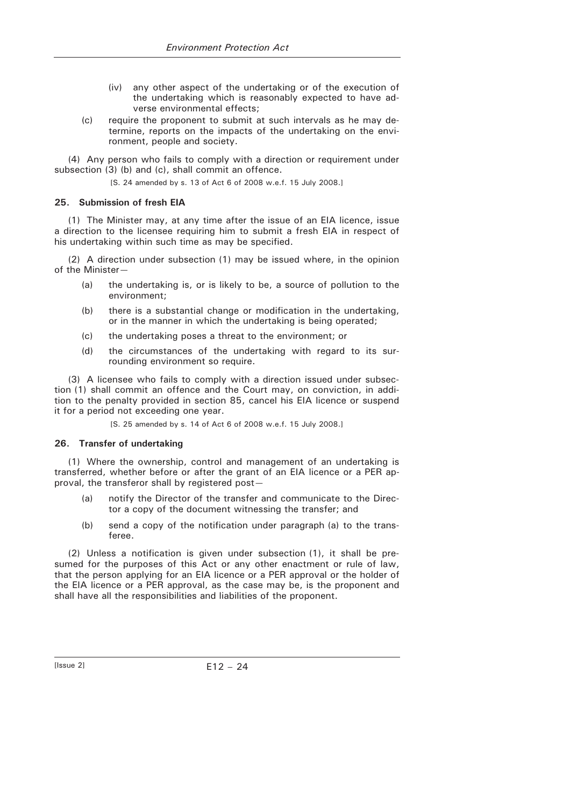- (iv) any other aspect of the undertaking or of the execution of the undertaking which is reasonably expected to have adverse environmental effects;
- (c) require the proponent to submit at such intervals as he may determine, reports on the impacts of the undertaking on the environment, people and society.

(4) Any person who fails to comply with a direction or requirement under subsection (3) (b) and (c), shall commit an offence.

[S. 24 amended by s. 13 of Act 6 of 2008 w.e.f. 15 July 2008.]

### **25. Submission of fresh EIA**

(1) The Minister may, at any time after the issue of an EIA licence, issue a direction to the licensee requiring him to submit a fresh EIA in respect of his undertaking within such time as may be specified.

(2) A direction under subsection (1) may be issued where, in the opinion of the Minister—

- (a) the undertaking is, or is likely to be, a source of pollution to the environment;
- (b) there is a substantial change or modification in the undertaking, or in the manner in which the undertaking is being operated;
- (c) the undertaking poses a threat to the environment; or
- (d) the circumstances of the undertaking with regard to its surrounding environment so require.

(3) A licensee who fails to comply with a direction issued under subsection (1) shall commit an offence and the Court may, on conviction, in addition to the penalty provided in section 85, cancel his EIA licence or suspend it for a period not exceeding one year.

[S. 25 amended by s. 14 of Act 6 of 2008 w.e.f. 15 July 2008.]

# **26. Transfer of undertaking**

(1) Where the ownership, control and management of an undertaking is transferred, whether before or after the grant of an EIA licence or a PER approval, the transferor shall by registered post—

- (a) notify the Director of the transfer and communicate to the Director a copy of the document witnessing the transfer; and
- (b) send a copy of the notification under paragraph (a) to the transferee.

(2) Unless a notification is given under subsection (1), it shall be presumed for the purposes of this Act or any other enactment or rule of law, that the person applying for an EIA licence or a PER approval or the holder of the EIA licence or a PER approval, as the case may be, is the proponent and shall have all the responsibilities and liabilities of the proponent.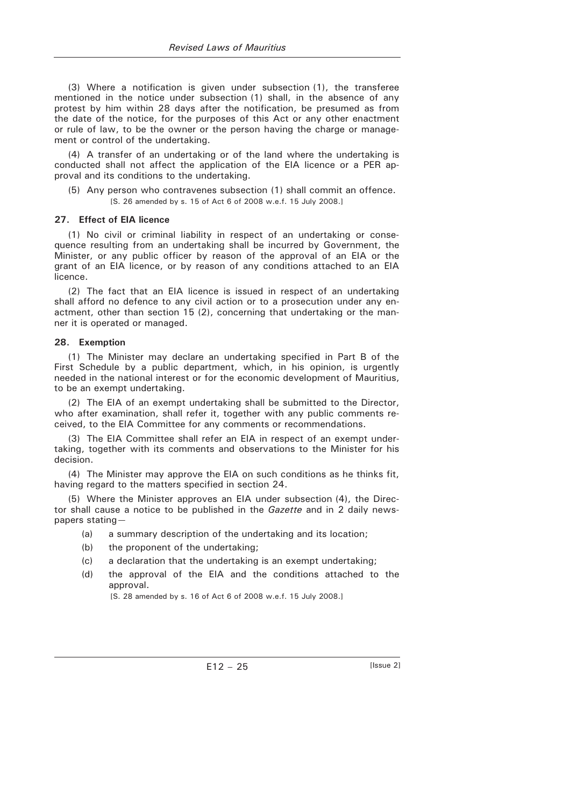(3) Where a notification is given under subsection (1), the transferee mentioned in the notice under subsection (1) shall, in the absence of any protest by him within 28 days after the notification, be presumed as from the date of the notice, for the purposes of this Act or any other enactment or rule of law, to be the owner or the person having the charge or management or control of the undertaking.

(4) A transfer of an undertaking or of the land where the undertaking is conducted shall not affect the application of the EIA licence or a PER approval and its conditions to the undertaking.

(5) Any person who contravenes subsection (1) shall commit an offence. [S. 26 amended by s. 15 of Act 6 of 2008 w.e.f. 15 July 2008.]

#### **27. Effect of EIA licence**

(1) No civil or criminal liability in respect of an undertaking or consequence resulting from an undertaking shall be incurred by Government, the Minister, or any public officer by reason of the approval of an EIA or the grant of an EIA licence, or by reason of any conditions attached to an EIA licence.

(2) The fact that an EIA licence is issued in respect of an undertaking shall afford no defence to any civil action or to a prosecution under any enactment, other than section 15 (2), concerning that undertaking or the manner it is operated or managed.

#### **28. Exemption**

(1) The Minister may declare an undertaking specified in Part B of the First Schedule by a public department, which, in his opinion, is urgently needed in the national interest or for the economic development of Mauritius, to be an exempt undertaking.

(2) The EIA of an exempt undertaking shall be submitted to the Director, who after examination, shall refer it, together with any public comments received, to the EIA Committee for any comments or recommendations.

(3) The EIA Committee shall refer an EIA in respect of an exempt undertaking, together with its comments and observations to the Minister for his decision.

(4) The Minister may approve the EIA on such conditions as he thinks fit, having regard to the matters specified in section 24.

(5) Where the Minister approves an EIA under subsection (4), the Director shall cause a notice to be published in the *Gazette* and in 2 daily newspapers stating—

- (a) a summary description of the undertaking and its location;
- (b) the proponent of the undertaking;
- (c) a declaration that the undertaking is an exempt undertaking;
- (d) the approval of the EIA and the conditions attached to the approval.

[S. 28 amended by s. 16 of Act 6 of 2008 w.e.f. 15 July 2008.]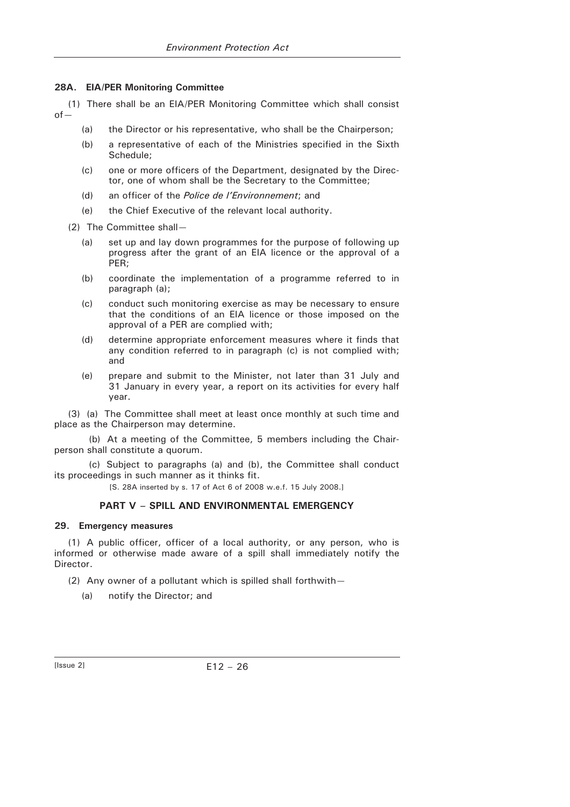### **28A. EIA/PER Monitoring Committee**

(1) There shall be an EIA/PER Monitoring Committee which shall consist  $of$ 

- (a) the Director or his representative, who shall be the Chairperson;
- (b) a representative of each of the Ministries specified in the Sixth Schedule;
- (c) one or more officers of the Department, designated by the Director, one of whom shall be the Secretary to the Committee;
- (d) an officer of the *Police de l'Environnement*; and
- (e) the Chief Executive of the relevant local authority.

(2) The Committee shall—

- (a) set up and lay down programmes for the purpose of following up progress after the grant of an EIA licence or the approval of a PER;
- (b) coordinate the implementation of a programme referred to in paragraph (a);
- (c) conduct such monitoring exercise as may be necessary to ensure that the conditions of an EIA licence or those imposed on the approval of a PER are complied with;
- (d) determine appropriate enforcement measures where it finds that any condition referred to in paragraph (c) is not complied with; and
- (e) prepare and submit to the Minister, not later than 31 July and 31 January in every year, a report on its activities for every half year.

(3) (a) The Committee shall meet at least once monthly at such time and place as the Chairperson may determine.

(b) At a meeting of the Committee, 5 members including the Chairperson shall constitute a quorum.

(c) Subject to paragraphs (a) and (b), the Committee shall conduct its proceedings in such manner as it thinks fit.

[S. 28A inserted by s. 17 of Act 6 of 2008 w.e.f. 15 July 2008.]

# **PART V – SPILL AND ENVIRONMENTAL EMERGENCY**

#### **29. Emergency measures**

(1) A public officer, officer of a local authority, or any person, who is informed or otherwise made aware of a spill shall immediately notify the Director.

- (2) Any owner of a pollutant which is spilled shall forthwith—
	- (a) notify the Director; and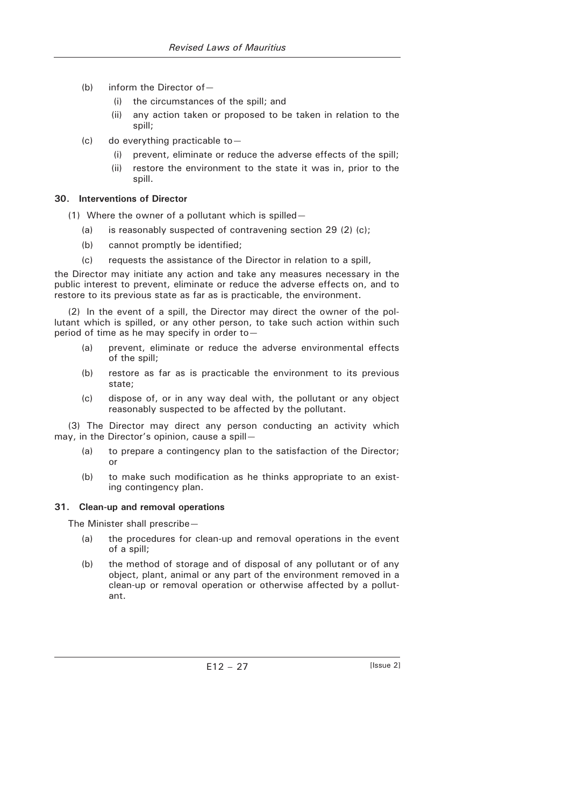- (b) inform the Director of—
	- (i) the circumstances of the spill; and
	- (ii) any action taken or proposed to be taken in relation to the spill;
- (c) do everything practicable to—
	- (i) prevent, eliminate or reduce the adverse effects of the spill;
	- (ii) restore the environment to the state it was in, prior to the spill.

# **30. Interventions of Director**

- (1) Where the owner of a pollutant which is spilled—
	- (a) is reasonably suspected of contravening section 29 (2) (c);
	- (b) cannot promptly be identified;
	- (c) requests the assistance of the Director in relation to a spill,

the Director may initiate any action and take any measures necessary in the public interest to prevent, eliminate or reduce the adverse effects on, and to restore to its previous state as far as is practicable, the environment.

(2) In the event of a spill, the Director may direct the owner of the pollutant which is spilled, or any other person, to take such action within such period of time as he may specify in order to—

- (a) prevent, eliminate or reduce the adverse environmental effects of the spill;
- (b) restore as far as is practicable the environment to its previous state;
- (c) dispose of, or in any way deal with, the pollutant or any object reasonably suspected to be affected by the pollutant.

(3) The Director may direct any person conducting an activity which may, in the Director's opinion, cause a spill—

- (a) to prepare a contingency plan to the satisfaction of the Director; or
- (b) to make such modification as he thinks appropriate to an existing contingency plan.

# **31. Clean-up and removal operations**

The Minister shall prescribe—

- (a) the procedures for clean-up and removal operations in the event of a spill;
- (b) the method of storage and of disposal of any pollutant or of any object, plant, animal or any part of the environment removed in a clean-up or removal operation or otherwise affected by a pollutant.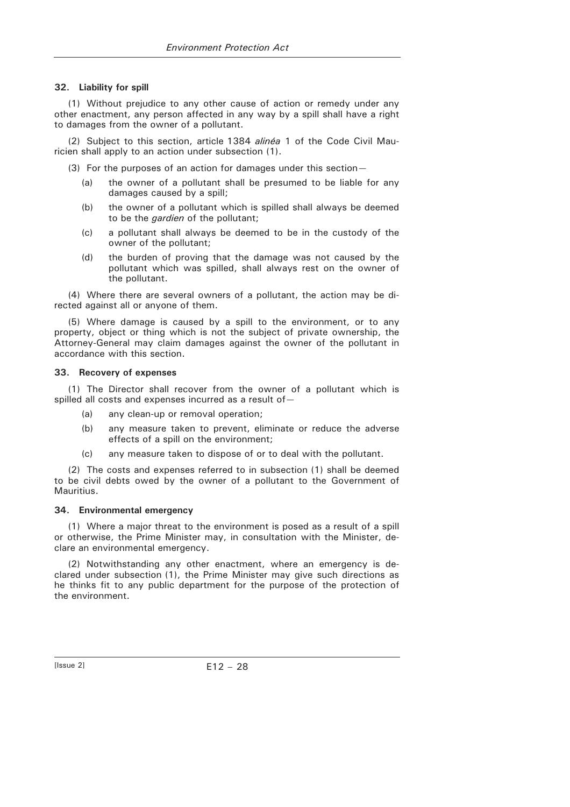#### **32. Liability for spill**

(1) Without prejudice to any other cause of action or remedy under any other enactment, any person affected in any way by a spill shall have a right to damages from the owner of a pollutant.

(2) Subject to this section, article 1384 *alinéa* 1 of the Code Civil Mauricien shall apply to an action under subsection (1).

(3) For the purposes of an action for damages under this section—

- (a) the owner of a pollutant shall be presumed to be liable for any damages caused by a spill;
- (b) the owner of a pollutant which is spilled shall always be deemed to be the *gardien* of the pollutant;
- (c) a pollutant shall always be deemed to be in the custody of the owner of the pollutant;
- (d) the burden of proving that the damage was not caused by the pollutant which was spilled, shall always rest on the owner of the pollutant.

(4) Where there are several owners of a pollutant, the action may be directed against all or anyone of them.

(5) Where damage is caused by a spill to the environment, or to any property, object or thing which is not the subject of private ownership, the Attorney-General may claim damages against the owner of the pollutant in accordance with this section.

#### **33. Recovery of expenses**

(1) The Director shall recover from the owner of a pollutant which is spilled all costs and expenses incurred as a result of—

- (a) any clean-up or removal operation;
- (b) any measure taken to prevent, eliminate or reduce the adverse effects of a spill on the environment;
- (c) any measure taken to dispose of or to deal with the pollutant.

(2) The costs and expenses referred to in subsection (1) shall be deemed to be civil debts owed by the owner of a pollutant to the Government of Mauritius.

# **34. Environmental emergency**

(1) Where a major threat to the environment is posed as a result of a spill or otherwise, the Prime Minister may, in consultation with the Minister, declare an environmental emergency.

(2) Notwithstanding any other enactment, where an emergency is declared under subsection (1), the Prime Minister may give such directions as he thinks fit to any public department for the purpose of the protection of the environment.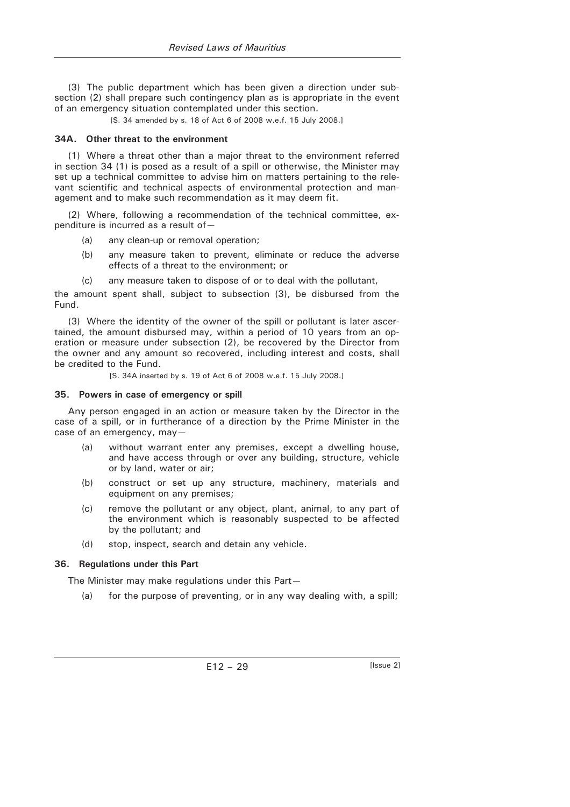(3) The public department which has been given a direction under subsection (2) shall prepare such contingency plan as is appropriate in the event of an emergency situation contemplated under this section.

[S. 34 amended by s. 18 of Act 6 of 2008 w.e.f. 15 July 2008.]

#### **34A. Other threat to the environment**

(1) Where a threat other than a major threat to the environment referred in section 34 (1) is posed as a result of a spill or otherwise, the Minister may set up a technical committee to advise him on matters pertaining to the relevant scientific and technical aspects of environmental protection and management and to make such recommendation as it may deem fit.

(2) Where, following a recommendation of the technical committee, expenditure is incurred as a result of—

- (a) any clean-up or removal operation;
- (b) any measure taken to prevent, eliminate or reduce the adverse effects of a threat to the environment; or
- (c) any measure taken to dispose of or to deal with the pollutant,

the amount spent shall, subject to subsection (3), be disbursed from the Fund.

(3) Where the identity of the owner of the spill or pollutant is later ascertained, the amount disbursed may, within a period of 10 years from an operation or measure under subsection (2), be recovered by the Director from the owner and any amount so recovered, including interest and costs, shall be credited to the Fund.

[S. 34A inserted by s. 19 of Act 6 of 2008 w.e.f. 15 July 2008.]

#### **35. Powers in case of emergency or spill**

Any person engaged in an action or measure taken by the Director in the case of a spill, or in furtherance of a direction by the Prime Minister in the case of an emergency, may—

- (a) without warrant enter any premises, except a dwelling house, and have access through or over any building, structure, vehicle or by land, water or air;
- (b) construct or set up any structure, machinery, materials and equipment on any premises;
- (c) remove the pollutant or any object, plant, animal, to any part of the environment which is reasonably suspected to be affected by the pollutant; and
- (d) stop, inspect, search and detain any vehicle.

# **36. Regulations under this Part**

The Minister may make regulations under this Part—

(a) for the purpose of preventing, or in any way dealing with, a spill;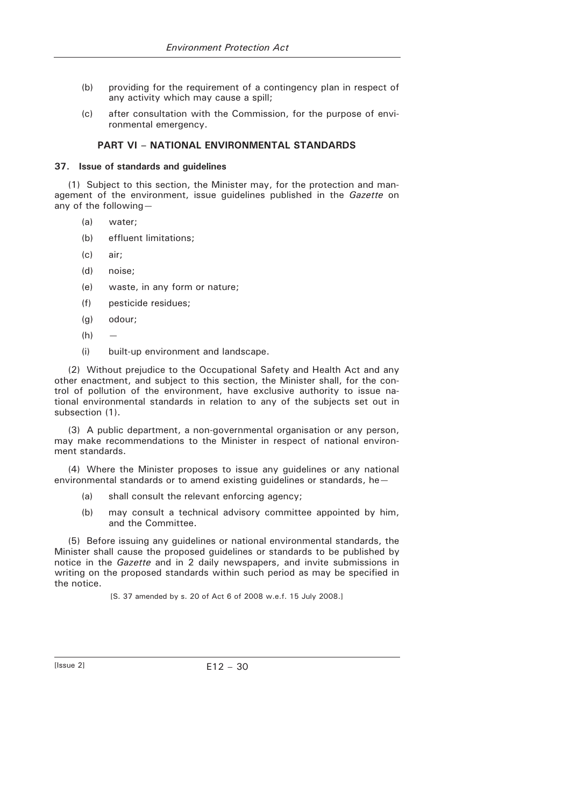- (b) providing for the requirement of a contingency plan in respect of any activity which may cause a spill;
- (c) after consultation with the Commission, for the purpose of environmental emergency.

# **PART VI – NATIONAL ENVIRONMENTAL STANDARDS**

#### **37. Issue of standards and guidelines**

(1) Subject to this section, the Minister may, for the protection and management of the environment, issue guidelines published in the *Gazette* on any of the following—

- (a) water;
- (b) effluent limitations;
- (c) air;
- (d) noise;
- (e) waste, in any form or nature;
- (f) pesticide residues;
- (g) odour;
- $(h)$
- (i) built-up environment and landscape.

(2) Without prejudice to the Occupational Safety and Health Act and any other enactment, and subject to this section, the Minister shall, for the control of pollution of the environment, have exclusive authority to issue national environmental standards in relation to any of the subjects set out in subsection (1).

(3) A public department, a non-governmental organisation or any person, may make recommendations to the Minister in respect of national environment standards.

(4) Where the Minister proposes to issue any guidelines or any national environmental standards or to amend existing guidelines or standards, he—

- (a) shall consult the relevant enforcing agency;
- (b) may consult a technical advisory committee appointed by him, and the Committee.

(5) Before issuing any guidelines or national environmental standards, the Minister shall cause the proposed guidelines or standards to be published by notice in the *Gazette* and in 2 daily newspapers, and invite submissions in writing on the proposed standards within such period as may be specified in the notice.

[S. 37 amended by s. 20 of Act 6 of 2008 w.e.f. 15 July 2008.]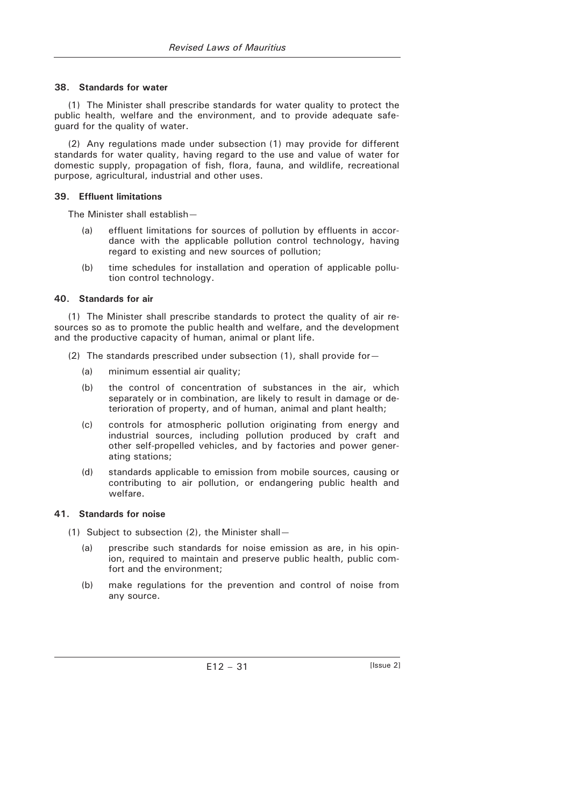#### **38. Standards for water**

(1) The Minister shall prescribe standards for water quality to protect the public health, welfare and the environment, and to provide adequate safeguard for the quality of water.

(2) Any regulations made under subsection (1) may provide for different standards for water quality, having regard to the use and value of water for domestic supply, propagation of fish, flora, fauna, and wildlife, recreational purpose, agricultural, industrial and other uses.

#### **39. Effluent limitations**

The Minister shall establish—

- (a) effluent limitations for sources of pollution by effluents in accordance with the applicable pollution control technology, having regard to existing and new sources of pollution;
- (b) time schedules for installation and operation of applicable pollution control technology.

#### **40. Standards for air**

(1) The Minister shall prescribe standards to protect the quality of air resources so as to promote the public health and welfare, and the development and the productive capacity of human, animal or plant life.

- (2) The standards prescribed under subsection  $(1)$ , shall provide for  $-$ 
	- (a) minimum essential air quality;
	- (b) the control of concentration of substances in the air, which separately or in combination, are likely to result in damage or deterioration of property, and of human, animal and plant health;
	- (c) controls for atmospheric pollution originating from energy and industrial sources, including pollution produced by craft and other self-propelled vehicles, and by factories and power generating stations;
	- (d) standards applicable to emission from mobile sources, causing or contributing to air pollution, or endangering public health and welfare.

# **41. Standards for noise**

- (1) Subject to subsection (2), the Minister shall—
	- (a) prescribe such standards for noise emission as are, in his opinion, required to maintain and preserve public health, public comfort and the environment;
	- (b) make regulations for the prevention and control of noise from any source.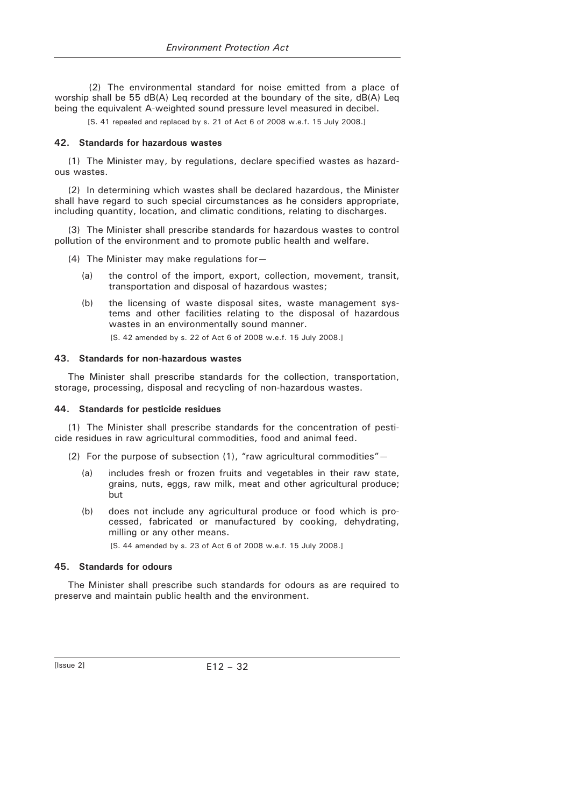(2) The environmental standard for noise emitted from a place of worship shall be 55 dB(A) Leq recorded at the boundary of the site, dB(A) Leq being the equivalent A-weighted sound pressure level measured in decibel.

[S. 41 repealed and replaced by s. 21 of Act 6 of 2008 w.e.f. 15 July 2008.]

#### **42. Standards for hazardous wastes**

(1) The Minister may, by regulations, declare specified wastes as hazardous wastes.

(2) In determining which wastes shall be declared hazardous, the Minister shall have regard to such special circumstances as he considers appropriate, including quantity, location, and climatic conditions, relating to discharges.

(3) The Minister shall prescribe standards for hazardous wastes to control pollution of the environment and to promote public health and welfare.

(4) The Minister may make regulations for—

- (a) the control of the import, export, collection, movement, transit, transportation and disposal of hazardous wastes;
- (b) the licensing of waste disposal sites, waste management systems and other facilities relating to the disposal of hazardous wastes in an environmentally sound manner.

[S. 42 amended by s. 22 of Act 6 of 2008 w.e.f. 15 July 2008.]

#### **43. Standards for non-hazardous wastes**

The Minister shall prescribe standards for the collection, transportation, storage, processing, disposal and recycling of non-hazardous wastes.

#### **44. Standards for pesticide residues**

(1) The Minister shall prescribe standards for the concentration of pesticide residues in raw agricultural commodities, food and animal feed.

- (2) For the purpose of subsection  $(1)$ , "raw agricultural commodities"
	- (a) includes fresh or frozen fruits and vegetables in their raw state, grains, nuts, eggs, raw milk, meat and other agricultural produce; but
	- (b) does not include any agricultural produce or food which is processed, fabricated or manufactured by cooking, dehydrating, milling or any other means.

[S. 44 amended by s. 23 of Act 6 of 2008 w.e.f. 15 July 2008.]

# **45. Standards for odours**

The Minister shall prescribe such standards for odours as are required to preserve and maintain public health and the environment.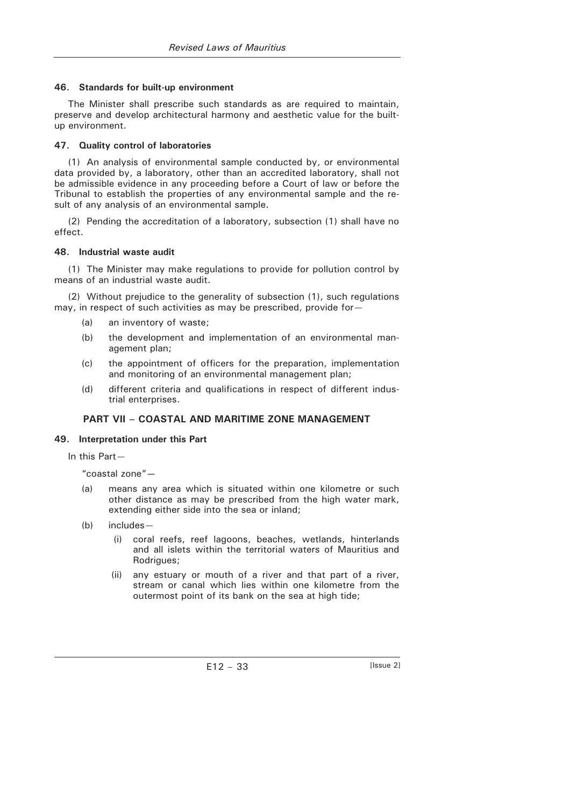# **46. Standards for built-up environment**

The Minister shall prescribe such standards as are required to maintain, preserve and develop architectural harmony and aesthetic value for the builtup environment.

# **47. Quality control of laboratories**

(1) An analysis of environmental sample conducted by, or environmental data provided by, a laboratory, other than an accredited laboratory, shall not be admissible evidence in any proceeding before a Court of law or before the Tribunal to establish the properties of any environmental sample and the result of any analysis of an environmental sample.

(2) Pending the accreditation of a laboratory, subsection (1) shall have no effect.

# **48. Industrial waste audit**

(1) The Minister may make regulations to provide for pollution control by means of an industrial waste audit.

(2) Without prejudice to the generality of subsection (1), such regulations may, in respect of such activities as may be prescribed, provide for—

- (a) an inventory of waste;
- (b) the development and implementation of an environmental management plan;
- (c) the appointment of officers for the preparation, implementation and monitoring of an environmental management plan;
- (d) different criteria and qualifications in respect of different industrial enterprises.

# **PART VII – COASTAL AND MARITIME ZONE MANAGEMENT**

# **49. Interpretation under this Part**

In this Part—

"coastal zone"**—**

- (a) means any area which is situated within one kilometre or such other distance as may be prescribed from the high water mark, extending either side into the sea or inland;
- (b) includes—
	- (i) coral reefs, reef lagoons, beaches, wetlands, hinterlands and all islets within the territorial waters of Mauritius and Rodrigues;
	- (ii) any estuary or mouth of a river and that part of a river, stream or canal which lies within one kilometre from the outermost point of its bank on the sea at high tide;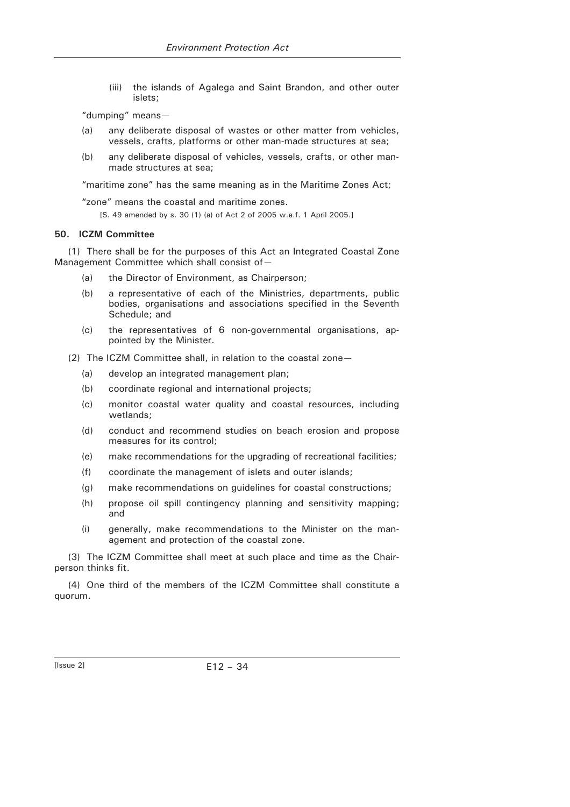(iii) the islands of Agalega and Saint Brandon, and other outer islets;

"dumping" means—

- (a) any deliberate disposal of wastes or other matter from vehicles, vessels, crafts, platforms or other man-made structures at sea;
- (b) any deliberate disposal of vehicles, vessels, crafts, or other manmade structures at sea;

"maritime zone" has the same meaning as in the Maritime Zones Act;

"zone" means the coastal and maritime zones. [S. 49 amended by s. 30 (1) (a) of Act 2 of 2005 w.e.f. 1 April 2005.]

#### **50. ICZM Committee**

(1) There shall be for the purposes of this Act an Integrated Coastal Zone Management Committee which shall consist of—

- (a) the Director of Environment, as Chairperson;
- (b) a representative of each of the Ministries, departments, public bodies, organisations and associations specified in the Seventh Schedule; and
- (c) the representatives of 6 non-governmental organisations, appointed by the Minister.

(2) The ICZM Committee shall, in relation to the coastal zone—

- (a) develop an integrated management plan;
- (b) coordinate regional and international projects;
- (c) monitor coastal water quality and coastal resources, including wetlands;
- (d) conduct and recommend studies on beach erosion and propose measures for its control;
- (e) make recommendations for the upgrading of recreational facilities;
- (f) coordinate the management of islets and outer islands;
- (g) make recommendations on guidelines for coastal constructions;
- (h) propose oil spill contingency planning and sensitivity mapping; and
- (i) generally, make recommendations to the Minister on the management and protection of the coastal zone.

(3) The ICZM Committee shall meet at such place and time as the Chairperson thinks fit.

(4) One third of the members of the ICZM Committee shall constitute a quorum.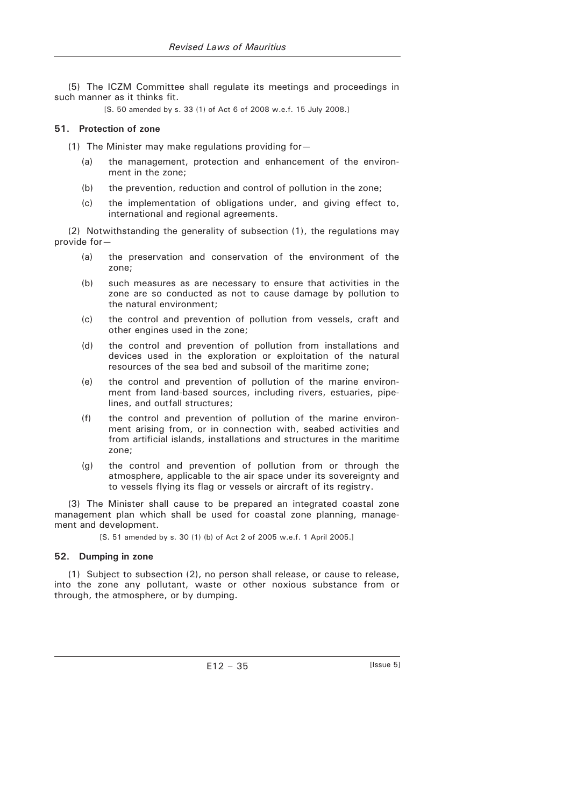(5) The ICZM Committee shall regulate its meetings and proceedings in such manner as it thinks fit.

[S. 50 amended by s. 33 (1) of Act 6 of 2008 w.e.f. 15 July 2008.]

# **51. Protection of zone**

(1) The Minister may make regulations providing for $-$ 

- (a) the management, protection and enhancement of the environment in the zone;
- (b) the prevention, reduction and control of pollution in the zone;
- (c) the implementation of obligations under, and giving effect to, international and regional agreements.

(2) Notwithstanding the generality of subsection (1), the regulations may provide for—

- (a) the preservation and conservation of the environment of the zone;
- (b) such measures as are necessary to ensure that activities in the zone are so conducted as not to cause damage by pollution to the natural environment;
- (c) the control and prevention of pollution from vessels, craft and other engines used in the zone;
- (d) the control and prevention of pollution from installations and devices used in the exploration or exploitation of the natural resources of the sea bed and subsoil of the maritime zone;
- (e) the control and prevention of pollution of the marine environment from land-based sources, including rivers, estuaries, pipelines, and outfall structures;
- (f) the control and prevention of pollution of the marine environment arising from, or in connection with, seabed activities and from artificial islands, installations and structures in the maritime zone;
- (g) the control and prevention of pollution from or through the atmosphere, applicable to the air space under its sovereignty and to vessels flying its flag or vessels or aircraft of its registry.

(3) The Minister shall cause to be prepared an integrated coastal zone management plan which shall be used for coastal zone planning, management and development.

[S. 51 amended by s. 30 (1) (b) of Act 2 of 2005 w.e.f. 1 April 2005.]

# **52. Dumping in zone**

(1) Subject to subsection (2), no person shall release, or cause to release, into the zone any pollutant, waste or other noxious substance from or through, the atmosphere, or by dumping.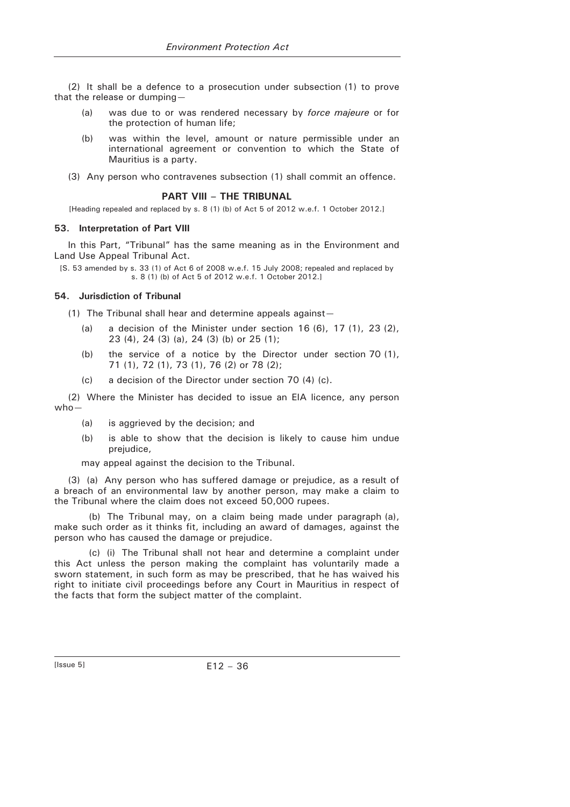(2) It shall be a defence to a prosecution under subsection (1) to prove that the release or dumping—

- (a) was due to or was rendered necessary by *force majeure* or for the protection of human life;
- (b) was within the level, amount or nature permissible under an international agreement or convention to which the State of Mauritius is a party.
- (3) Any person who contravenes subsection (1) shall commit an offence.

#### **PART VIII – THE TRIBUNAL**

[Heading repealed and replaced by s. 8 (1) (b) of Act 5 of 2012 w.e.f. 1 October 2012.]

#### **53. Interpretation of Part VIII**

In this Part, "Tribunal" has the same meaning as in the Environment and Land Use Appeal Tribunal Act.

[S. 53 amended by s. 33 (1) of Act 6 of 2008 w.e.f. 15 July 2008; repealed and replaced by s. 8 (1) (b) of Act 5 of 2012 w.e.f. 1 October 2012.]

#### **54. Jurisdiction of Tribunal**

(1) The Tribunal shall hear and determine appeals against—

- (a) a decision of the Minister under section 16 (6), 17 (1), 23 (2), 23 (4), 24 (3) (a), 24 (3) (b) or 25 (1);
- (b) the service of a notice by the Director under section 70 (1), 71 (1), 72 (1), 73 (1), 76 (2) or 78 (2);
- (c) a decision of the Director under section 70 (4) (c).

(2) Where the Minister has decided to issue an EIA licence, any person who—

- (a) is aggrieved by the decision; and
- (b) is able to show that the decision is likely to cause him undue prejudice,

may appeal against the decision to the Tribunal.

(3) (a) Any person who has suffered damage or prejudice, as a result of a breach of an environmental law by another person, may make a claim to the Tribunal where the claim does not exceed 50,000 rupees.

(b) The Tribunal may, on a claim being made under paragraph (a), make such order as it thinks fit, including an award of damages, against the person who has caused the damage or prejudice.

(c) (i) The Tribunal shall not hear and determine a complaint under this Act unless the person making the complaint has voluntarily made a sworn statement, in such form as may be prescribed, that he has waived his right to initiate civil proceedings before any Court in Mauritius in respect of the facts that form the subject matter of the complaint.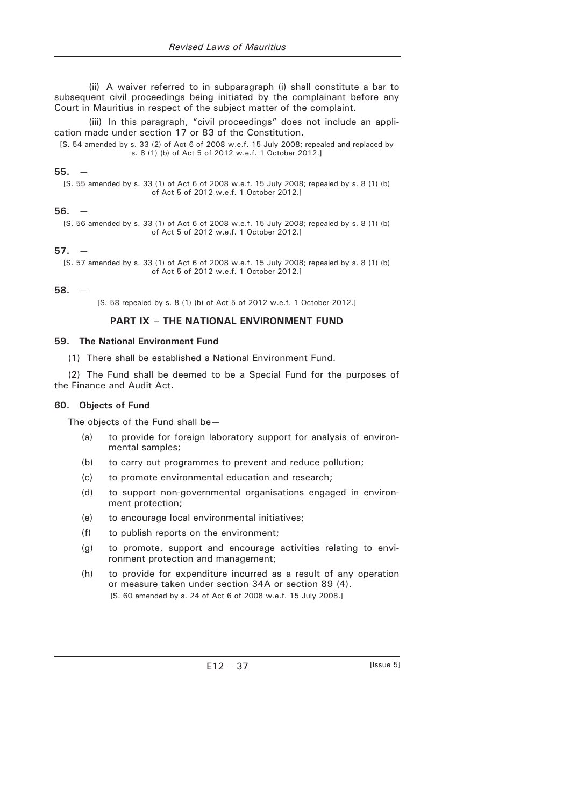(ii) A waiver referred to in subparagraph (i) shall constitute a bar to subsequent civil proceedings being initiated by the complainant before any Court in Mauritius in respect of the subject matter of the complaint.

(iii) In this paragraph, "civil proceedings" does not include an application made under section 17 or 83 of the Constitution.

[S. 54 amended by s. 33 (2) of Act 6 of 2008 w.e.f. 15 July 2008; repealed and replaced by s. 8 (1) (b) of Act 5 of 2012 w.e.f. 1 October 2012.]

**55.** —

[S. 55 amended by s. 33 (1) of Act 6 of 2008 w.e.f. 15 July 2008; repealed by s. 8 (1) (b) of Act 5 of 2012 w.e.f. 1 October 2012.]

### **56.** —

[S. 56 amended by s. 33 (1) of Act 6 of 2008 w.e.f. 15 July 2008; repealed by s. 8 (1) (b) of Act 5 of 2012 w.e.f. 1 October 2012.]

### **57.** —

[S. 57 amended by s. 33 (1) of Act 6 of 2008 w.e.f. 15 July 2008; repealed by s. 8 (1) (b) of Act 5 of 2012 w.e.f. 1 October 2012.]

**58.** —

[S. 58 repealed by s. 8 (1) (b) of Act 5 of 2012 w.e.f. 1 October 2012.]

### **PART IX – THE NATIONAL ENVIRONMENT FUND**

#### **59. The National Environment Fund**

(1) There shall be established a National Environment Fund.

(2) The Fund shall be deemed to be a Special Fund for the purposes of the Finance and Audit Act.

### **60. Objects of Fund**

The objects of the Fund shall be—

- (a) to provide for foreign laboratory support for analysis of environmental samples;
- (b) to carry out programmes to prevent and reduce pollution;
- (c) to promote environmental education and research;
- (d) to support non-governmental organisations engaged in environment protection;
- (e) to encourage local environmental initiatives;
- (f) to publish reports on the environment;
- (g) to promote, support and encourage activities relating to environment protection and management;
- (h) to provide for expenditure incurred as a result of any operation or measure taken under section 34A or section 89 (4). [S. 60 amended by s. 24 of Act 6 of 2008 w.e.f. 15 July 2008.]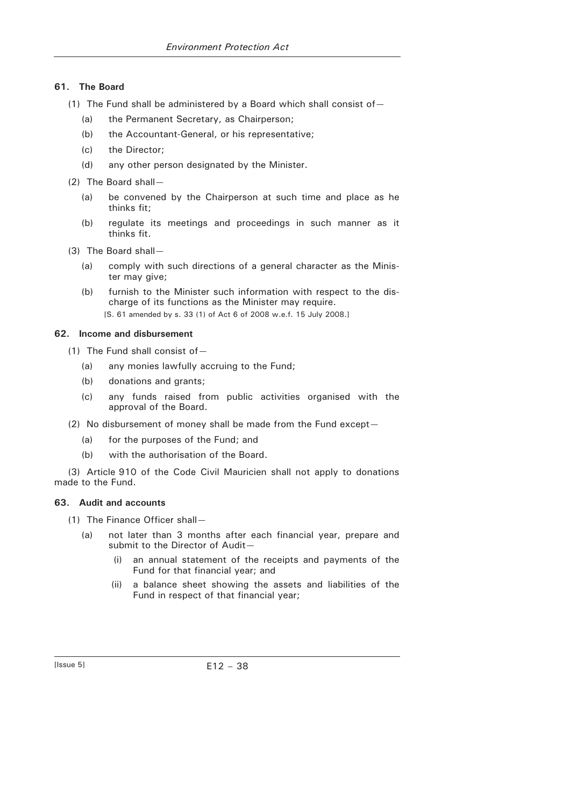# **61. The Board**

- (1) The Fund shall be administered by a Board which shall consist of  $-$ 
	- (a) the Permanent Secretary, as Chairperson;
	- (b) the Accountant-General, or his representative;
	- (c) the Director;
	- (d) any other person designated by the Minister.
- (2) The Board shall—
	- (a) be convened by the Chairperson at such time and place as he thinks fit;
	- (b) regulate its meetings and proceedings in such manner as it thinks fit.
- (3) The Board shall—
	- (a) comply with such directions of a general character as the Minister may give;
	- (b) furnish to the Minister such information with respect to the discharge of its functions as the Minister may require. [S. 61 amended by s. 33 (1) of Act 6 of 2008 w.e.f. 15 July 2008.]

# **62. Income and disbursement**

- (1) The Fund shall consist of—
	- (a) any monies lawfully accruing to the Fund;
	- (b) donations and grants;
	- (c) any funds raised from public activities organised with the approval of the Board.
- (2) No disbursement of money shall be made from the Fund except—
	- (a) for the purposes of the Fund; and
	- (b) with the authorisation of the Board.

(3) Article 910 of the Code Civil Mauricien shall not apply to donations made to the Fund.

# **63. Audit and accounts**

- (1) The Finance Officer shall—
	- (a) not later than 3 months after each financial year, prepare and submit to the Director of Audit—
		- (i) an annual statement of the receipts and payments of the Fund for that financial year; and
		- (ii) a balance sheet showing the assets and liabilities of the Fund in respect of that financial year;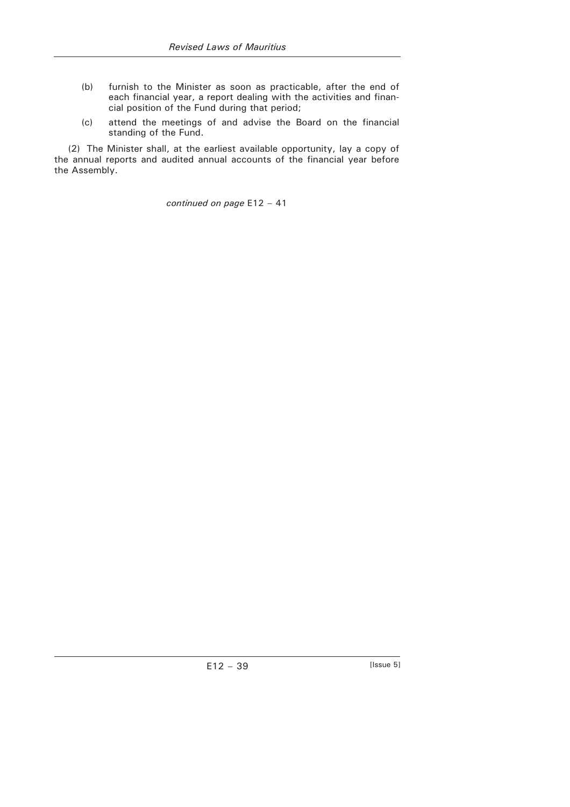- (b) furnish to the Minister as soon as practicable, after the end of each financial year, a report dealing with the activities and financial position of the Fund during that period;
- (c) attend the meetings of and advise the Board on the financial standing of the Fund.

(2) The Minister shall, at the earliest available opportunity, lay a copy of the annual reports and audited annual accounts of the financial year before the Assembly.

*continued on page* E12 – 41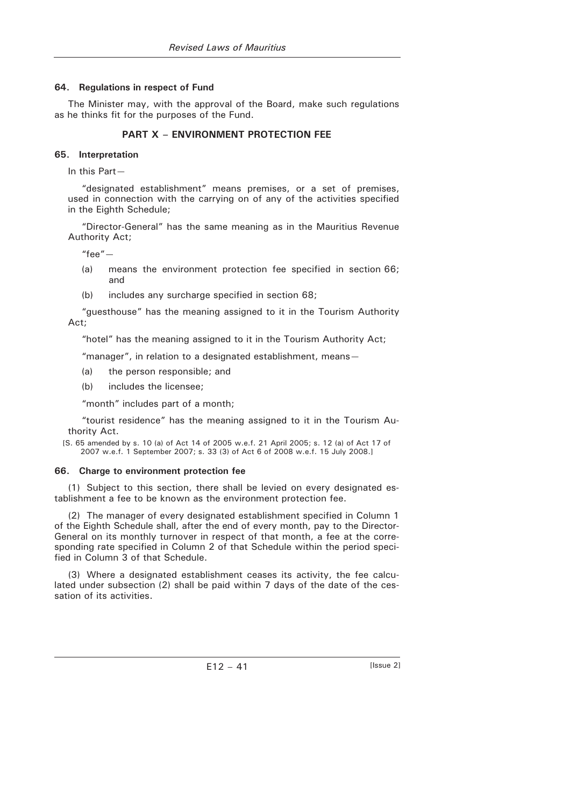### **64. Regulations in respect of Fund**

The Minister may, with the approval of the Board, make such regulations as he thinks fit for the purposes of the Fund.

### **PART X – ENVIRONMENT PROTECTION FEE**

#### **65. Interpretation**

In this Part—

"designated establishment" means premises, or a set of premises, used in connection with the carrying on of any of the activities specified in the Eighth Schedule;

"Director-General" has the same meaning as in the Mauritius Revenue Authority Act;

 $"$ fee" —

- (a) means the environment protection fee specified in section 66; and
- (b) includes any surcharge specified in section 68;

"guesthouse" has the meaning assigned to it in the Tourism Authority Act;

"hotel" has the meaning assigned to it in the Tourism Authority Act;

"manager", in relation to a designated establishment, means—

- (a) the person responsible; and
- (b) includes the licensee;

"month" includes part of a month;

"tourist residence" has the meaning assigned to it in the Tourism Authority Act.

[S. 65 amended by s. 10 (a) of Act 14 of 2005 w.e.f. 21 April 2005; s. 12 (a) of Act 17 of 2007 w.e.f. 1 September 2007; s. 33 (3) of Act 6 of 2008 w.e.f. 15 July 2008.]

#### **66. Charge to environment protection fee**

(1) Subject to this section, there shall be levied on every designated establishment a fee to be known as the environment protection fee.

(2) The manager of every designated establishment specified in Column 1 of the Eighth Schedule shall, after the end of every month, pay to the Director-General on its monthly turnover in respect of that month, a fee at the corresponding rate specified in Column 2 of that Schedule within the period specified in Column 3 of that Schedule.

(3) Where a designated establishment ceases its activity, the fee calculated under subsection (2) shall be paid within 7 days of the date of the cessation of its activities.

 $E12 - 41$  [Issue 2]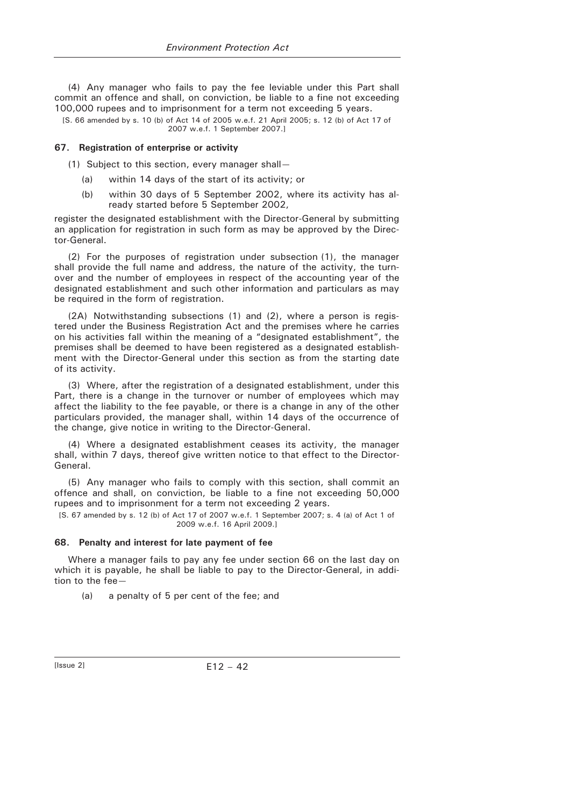(4) Any manager who fails to pay the fee leviable under this Part shall commit an offence and shall, on conviction, be liable to a fine not exceeding 100,000 rupees and to imprisonment for a term not exceeding 5 years.

[S. 66 amended by s. 10 (b) of Act 14 of 2005 w.e.f. 21 April 2005; s. 12 (b) of Act 17 of 2007 w.e.f. 1 September 2007.]

#### **67. Registration of enterprise or activity**

(1) Subject to this section, every manager shall—

- (a) within 14 days of the start of its activity; or
- (b) within 30 days of 5 September 2002, where its activity has already started before 5 September 2002,

register the designated establishment with the Director-General by submitting an application for registration in such form as may be approved by the Director-General.

(2) For the purposes of registration under subsection (1), the manager shall provide the full name and address, the nature of the activity, the turnover and the number of employees in respect of the accounting year of the designated establishment and such other information and particulars as may be required in the form of registration.

(2A) Notwithstanding subsections (1) and (2), where a person is registered under the Business Registration Act and the premises where he carries on his activities fall within the meaning of a "designated establishment", the premises shall be deemed to have been registered as a designated establishment with the Director-General under this section as from the starting date of its activity.

(3) Where, after the registration of a designated establishment, under this Part, there is a change in the turnover or number of employees which may affect the liability to the fee payable, or there is a change in any of the other particulars provided, the manager shall, within 14 days of the occurrence of the change, give notice in writing to the Director-General.

(4) Where a designated establishment ceases its activity, the manager shall, within 7 days, thereof give written notice to that effect to the Director-General.

(5) Any manager who fails to comply with this section, shall commit an offence and shall, on conviction, be liable to a fine not exceeding 50,000 rupees and to imprisonment for a term not exceeding 2 years.

[S. 67 amended by s. 12 (b) of Act 17 of 2007 w.e.f. 1 September 2007; s. 4 (a) of Act 1 of 2009 w.e.f. 16 April 2009.]

### **68. Penalty and interest for late payment of fee**

Where a manager fails to pay any fee under section 66 on the last day on which it is payable, he shall be liable to pay to the Director-General, in addition to the fee—

(a) a penalty of 5 per cent of the fee; and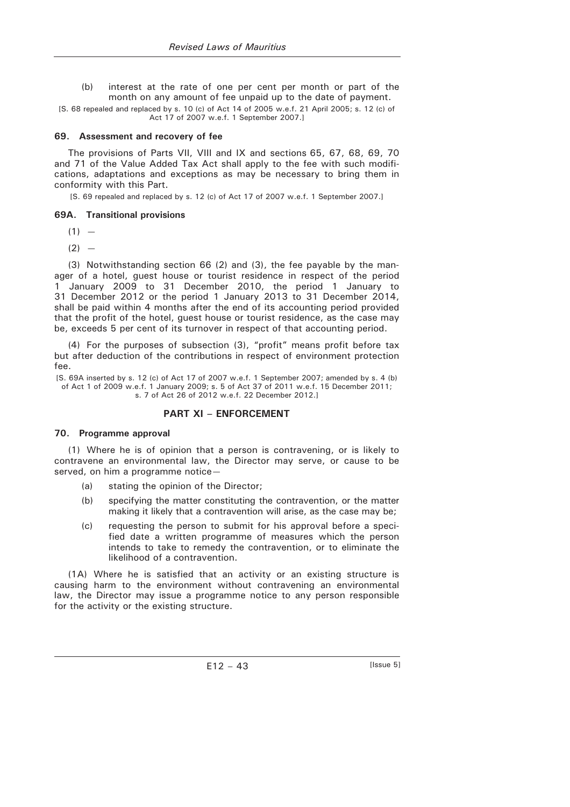- (b) interest at the rate of one per cent per month or part of the month on any amount of fee unpaid up to the date of payment.
- [S. 68 repealed and replaced by s. 10 (c) of Act 14 of 2005 w.e.f. 21 April 2005; s. 12 (c) of Act 17 of 2007 w.e.f. 1 September 2007.]

#### **69. Assessment and recovery of fee**

The provisions of Parts VII, VIII and IX and sections 65, 67, 68, 69, 70 and 71 of the Value Added Tax Act shall apply to the fee with such modifications, adaptations and exceptions as may be necessary to bring them in conformity with this Part.

[S. 69 repealed and replaced by s. 12 (c) of Act 17 of 2007 w.e.f. 1 September 2007.]

#### **69A. Transitional provisions**

- $(1) -$
- $(2) -$

(3) Notwithstanding section 66 (2) and (3), the fee payable by the manager of a hotel, guest house or tourist residence in respect of the period 1 January 2009 to 31 December 2010, the period 1 January to 31 December 2012 or the period 1 January 2013 to 31 December 2014, shall be paid within 4 months after the end of its accounting period provided that the profit of the hotel, guest house or tourist residence, as the case may be, exceeds 5 per cent of its turnover in respect of that accounting period.

(4) For the purposes of subsection (3), "profit" means profit before tax but after deduction of the contributions in respect of environment protection fee.

[S. 69A inserted by s. 12 (c) of Act 17 of 2007 w.e.f. 1 September 2007; amended by s. 4 (b) of Act 1 of 2009 w.e.f. 1 January 2009; s. 5 of Act 37 of 2011 w.e.f. 15 December 2011; s. 7 of Act 26 of 2012 w.e.f. 22 December 2012.]

### **PART XI – ENFORCEMENT**

#### **70. Programme approval**

(1) Where he is of opinion that a person is contravening, or is likely to contravene an environmental law, the Director may serve, or cause to be served, on him a programme notice—

- (a) stating the opinion of the Director;
- (b) specifying the matter constituting the contravention, or the matter making it likely that a contravention will arise, as the case may be;
- (c) requesting the person to submit for his approval before a specified date a written programme of measures which the person intends to take to remedy the contravention, or to eliminate the likelihood of a contravention.

(1A) Where he is satisfied that an activity or an existing structure is causing harm to the environment without contravening an environmental law, the Director may issue a programme notice to any person responsible for the activity or the existing structure.

 $E12 - 43$  [Issue 5]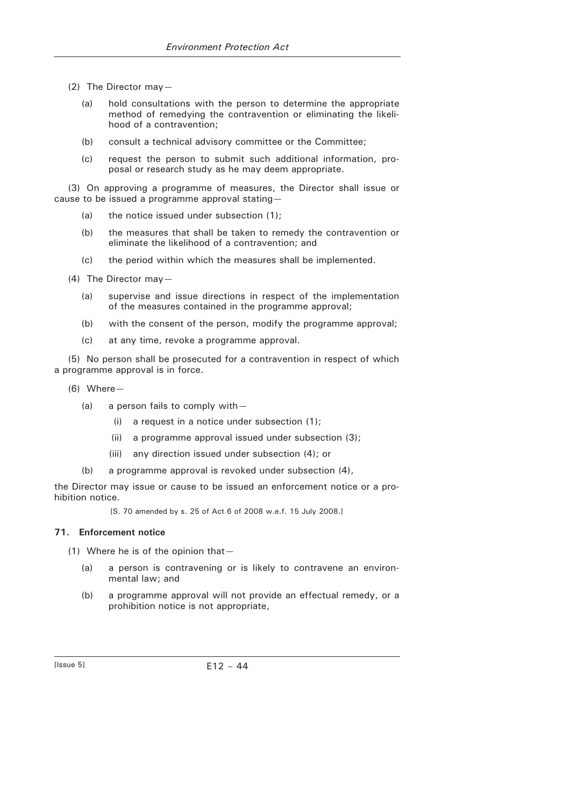- (2) The Director may—
	- (a) hold consultations with the person to determine the appropriate method of remedying the contravention or eliminating the likelihood of a contravention;
	- (b) consult a technical advisory committee or the Committee;
	- (c) request the person to submit such additional information, proposal or research study as he may deem appropriate.

(3) On approving a programme of measures, the Director shall issue or cause to be issued a programme approval stating—

- (a) the notice issued under subsection (1);
- (b) the measures that shall be taken to remedy the contravention or eliminate the likelihood of a contravention; and
- (c) the period within which the measures shall be implemented.
- (4) The Director may—
	- (a) supervise and issue directions in respect of the implementation of the measures contained in the programme approval;
	- (b) with the consent of the person, modify the programme approval;
	- (c) at any time, revoke a programme approval.

(5) No person shall be prosecuted for a contravention in respect of which a programme approval is in force.

- (6) Where—
	- (a) a person fails to comply with—
		- (i) a request in a notice under subsection (1);
		- (ii) a programme approval issued under subsection (3);
		- (iii) any direction issued under subsection (4); or
	- (b) a programme approval is revoked under subsection (4),

the Director may issue or cause to be issued an enforcement notice or a prohibition notice.

[S. 70 amended by s. 25 of Act 6 of 2008 w.e.f. 15 July 2008.]

## **71. Enforcement notice**

- (1) Where he is of the opinion that—
	- (a) a person is contravening or is likely to contravene an environmental law; and
	- (b) a programme approval will not provide an effectual remedy, or a prohibition notice is not appropriate,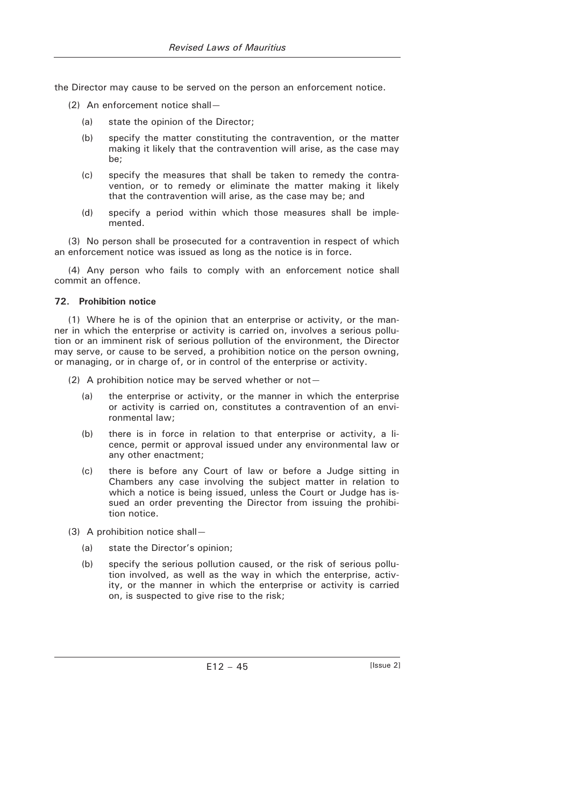the Director may cause to be served on the person an enforcement notice.

- (2) An enforcement notice shall—
	- (a) state the opinion of the Director;
	- (b) specify the matter constituting the contravention, or the matter making it likely that the contravention will arise, as the case may be;
	- (c) specify the measures that shall be taken to remedy the contravention, or to remedy or eliminate the matter making it likely that the contravention will arise, as the case may be; and
	- (d) specify a period within which those measures shall be implemented.

(3) No person shall be prosecuted for a contravention in respect of which an enforcement notice was issued as long as the notice is in force.

(4) Any person who fails to comply with an enforcement notice shall commit an offence.

#### **72. Prohibition notice**

(1) Where he is of the opinion that an enterprise or activity, or the manner in which the enterprise or activity is carried on, involves a serious pollution or an imminent risk of serious pollution of the environment, the Director may serve, or cause to be served, a prohibition notice on the person owning, or managing, or in charge of, or in control of the enterprise or activity.

- (2) A prohibition notice may be served whether or not—
	- (a) the enterprise or activity, or the manner in which the enterprise or activity is carried on, constitutes a contravention of an environmental law;
	- (b) there is in force in relation to that enterprise or activity, a licence, permit or approval issued under any environmental law or any other enactment;
	- (c) there is before any Court of law or before a Judge sitting in Chambers any case involving the subject matter in relation to which a notice is being issued, unless the Court or Judge has issued an order preventing the Director from issuing the prohibition notice.
- (3) A prohibition notice shall—
	- (a) state the Director's opinion;
	- (b) specify the serious pollution caused, or the risk of serious pollution involved, as well as the way in which the enterprise, activity, or the manner in which the enterprise or activity is carried on, is suspected to give rise to the risk;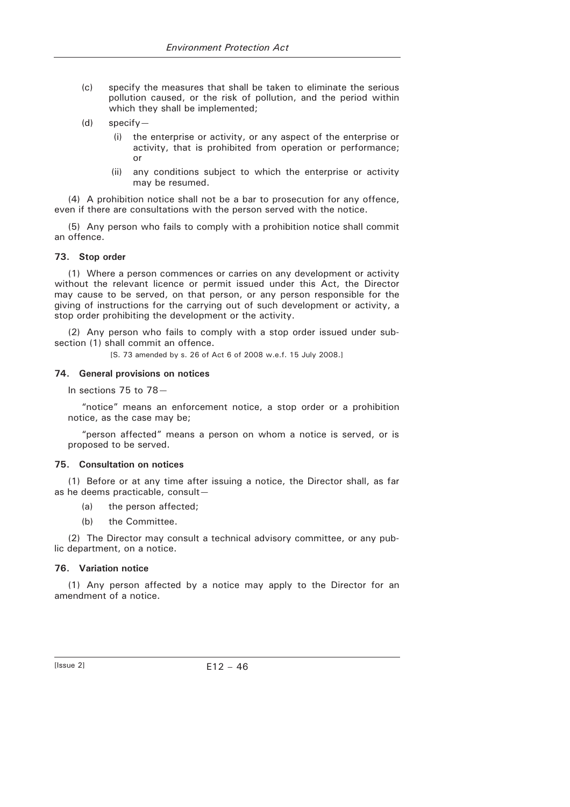- (c) specify the measures that shall be taken to eliminate the serious pollution caused, or the risk of pollution, and the period within which they shall be implemented;
- (d) specify—
	- (i) the enterprise or activity, or any aspect of the enterprise or activity, that is prohibited from operation or performance; or
	- (ii) any conditions subject to which the enterprise or activity may be resumed.

(4) A prohibition notice shall not be a bar to prosecution for any offence, even if there are consultations with the person served with the notice.

(5) Any person who fails to comply with a prohibition notice shall commit an offence.

#### **73. Stop order**

(1) Where a person commences or carries on any development or activity without the relevant licence or permit issued under this Act, the Director may cause to be served, on that person, or any person responsible for the giving of instructions for the carrying out of such development or activity, a stop order prohibiting the development or the activity.

(2) Any person who fails to comply with a stop order issued under subsection (1) shall commit an offence.

[S. 73 amended by s. 26 of Act 6 of 2008 w.e.f. 15 July 2008.]

#### **74. General provisions on notices**

In sections 75 to 78—

"notice" means an enforcement notice, a stop order or a prohibition notice, as the case may be;

"person affected" means a person on whom a notice is served, or is proposed to be served.

### **75. Consultation on notices**

(1) Before or at any time after issuing a notice, the Director shall, as far as he deems practicable, consult—

- (a) the person affected;
- (b) the Committee.

(2) The Director may consult a technical advisory committee, or any public department, on a notice.

### **76. Variation notice**

(1) Any person affected by a notice may apply to the Director for an amendment of a notice.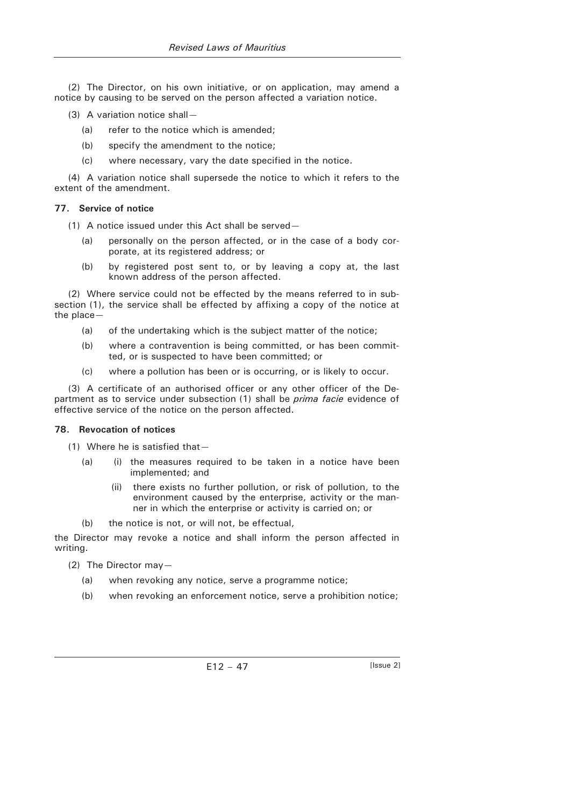(2) The Director, on his own initiative, or on application, may amend a notice by causing to be served on the person affected a variation notice.

- (3) A variation notice shall—
	- (a) refer to the notice which is amended;
	- (b) specify the amendment to the notice;
	- (c) where necessary, vary the date specified in the notice.

(4) A variation notice shall supersede the notice to which it refers to the extent of the amendment.

### **77. Service of notice**

(1) A notice issued under this Act shall be served—

- (a) personally on the person affected, or in the case of a body corporate, at its registered address; or
- (b) by registered post sent to, or by leaving a copy at, the last known address of the person affected.

(2) Where service could not be effected by the means referred to in subsection (1), the service shall be effected by affixing a copy of the notice at the place—

- (a) of the undertaking which is the subject matter of the notice;
- (b) where a contravention is being committed, or has been committed, or is suspected to have been committed; or
- (c) where a pollution has been or is occurring, or is likely to occur.

(3) A certificate of an authorised officer or any other officer of the Department as to service under subsection (1) shall be *prima facie* evidence of effective service of the notice on the person affected.

# **78. Revocation of notices**

(1) Where he is satisfied that—

- (a) (i) the measures required to be taken in a notice have been implemented; and
	- (ii) there exists no further pollution, or risk of pollution, to the environment caused by the enterprise, activity or the manner in which the enterprise or activity is carried on; or
- (b) the notice is not, or will not, be effectual,

the Director may revoke a notice and shall inform the person affected in writing.

(2) The Director may—

- (a) when revoking any notice, serve a programme notice;
- (b) when revoking an enforcement notice, serve a prohibition notice;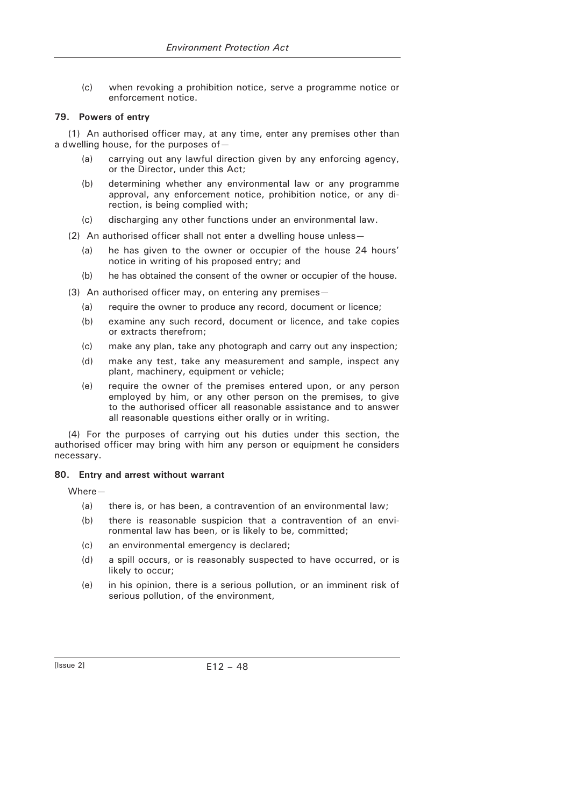(c) when revoking a prohibition notice, serve a programme notice or enforcement notice.

### **79. Powers of entry**

(1) An authorised officer may, at any time, enter any premises other than a dwelling house, for the purposes of—

- (a) carrying out any lawful direction given by any enforcing agency, or the Director, under this Act;
- (b) determining whether any environmental law or any programme approval, any enforcement notice, prohibition notice, or any direction, is being complied with;
- (c) discharging any other functions under an environmental law.
- (2) An authorised officer shall not enter a dwelling house unless—
	- (a) he has given to the owner or occupier of the house 24 hours' notice in writing of his proposed entry; and
	- (b) he has obtained the consent of the owner or occupier of the house.
- (3) An authorised officer may, on entering any premises—
	- (a) require the owner to produce any record, document or licence;
	- (b) examine any such record, document or licence, and take copies or extracts therefrom;
	- (c) make any plan, take any photograph and carry out any inspection;
	- (d) make any test, take any measurement and sample, inspect any plant, machinery, equipment or vehicle;
	- (e) require the owner of the premises entered upon, or any person employed by him, or any other person on the premises, to give to the authorised officer all reasonable assistance and to answer all reasonable questions either orally or in writing.

(4) For the purposes of carrying out his duties under this section, the authorised officer may bring with him any person or equipment he considers necessary.

### **80. Entry and arrest without warrant**

Where—

- (a) there is, or has been, a contravention of an environmental law;
- (b) there is reasonable suspicion that a contravention of an environmental law has been, or is likely to be, committed;
- (c) an environmental emergency is declared;
- (d) a spill occurs, or is reasonably suspected to have occurred, or is likely to occur;
- (e) in his opinion, there is a serious pollution, or an imminent risk of serious pollution, of the environment,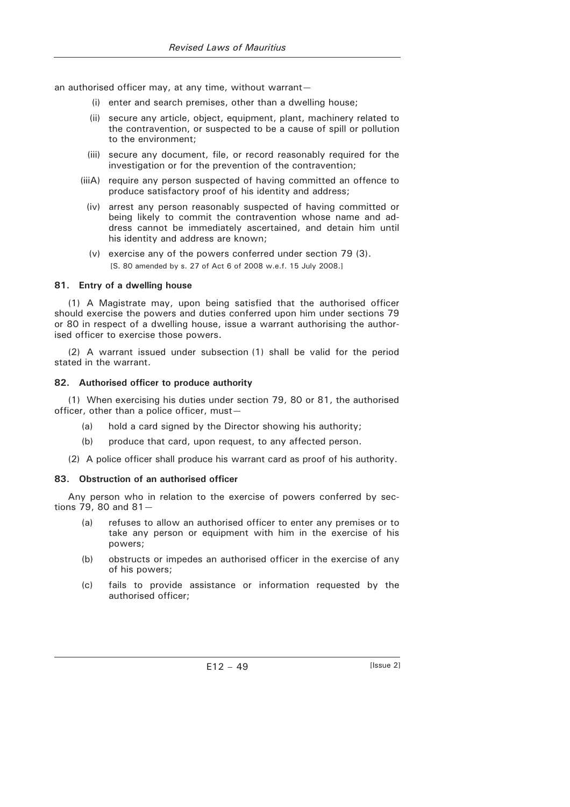an authorised officer may, at any time, without warrant—

- (i) enter and search premises, other than a dwelling house;
- (ii) secure any article, object, equipment, plant, machinery related to the contravention, or suspected to be a cause of spill or pollution to the environment;
- (iii) secure any document, file, or record reasonably required for the investigation or for the prevention of the contravention;
- (iiiA) require any person suspected of having committed an offence to produce satisfactory proof of his identity and address;
	- (iv) arrest any person reasonably suspected of having committed or being likely to commit the contravention whose name and address cannot be immediately ascertained, and detain him until his identity and address are known;
	- (v) exercise any of the powers conferred under section 79 (3). [S. 80 amended by s. 27 of Act 6 of 2008 w.e.f. 15 July 2008.]

#### **81. Entry of a dwelling house**

(1) A Magistrate may, upon being satisfied that the authorised officer should exercise the powers and duties conferred upon him under sections 79 or 80 in respect of a dwelling house, issue a warrant authorising the authorised officer to exercise those powers.

(2) A warrant issued under subsection (1) shall be valid for the period stated in the warrant.

### **82. Authorised officer to produce authority**

(1) When exercising his duties under section 79, 80 or 81, the authorised officer, other than a police officer, must—

- (a) hold a card signed by the Director showing his authority;
- (b) produce that card, upon request, to any affected person.
- (2) A police officer shall produce his warrant card as proof of his authority.

### **83. Obstruction of an authorised officer**

Any person who in relation to the exercise of powers conferred by sections 79, 80 and 81—

- (a) refuses to allow an authorised officer to enter any premises or to take any person or equipment with him in the exercise of his powers;
- (b) obstructs or impedes an authorised officer in the exercise of any of his powers;
- (c) fails to provide assistance or information requested by the authorised officer;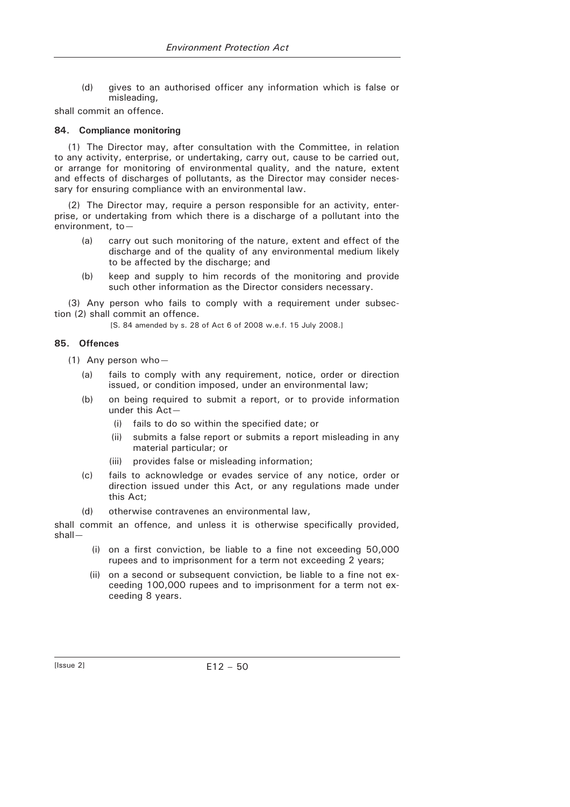(d) gives to an authorised officer any information which is false or misleading,

shall commit an offence.

#### **84. Compliance monitoring**

(1) The Director may, after consultation with the Committee, in relation to any activity, enterprise, or undertaking, carry out, cause to be carried out, or arrange for monitoring of environmental quality, and the nature, extent and effects of discharges of pollutants, as the Director may consider necessary for ensuring compliance with an environmental law.

(2) The Director may, require a person responsible for an activity, enterprise, or undertaking from which there is a discharge of a pollutant into the environment, to—

- (a) carry out such monitoring of the nature, extent and effect of the discharge and of the quality of any environmental medium likely to be affected by the discharge; and
- (b) keep and supply to him records of the monitoring and provide such other information as the Director considers necessary.

(3) Any person who fails to comply with a requirement under subsection (2) shall commit an offence.

[S. 84 amended by s. 28 of Act 6 of 2008 w.e.f. 15 July 2008.]

#### **85. Offences**

(1) Any person who—

- (a) fails to comply with any requirement, notice, order or direction issued, or condition imposed, under an environmental law;
- (b) on being required to submit a report, or to provide information under this Act—
	- (i) fails to do so within the specified date; or
	- (ii) submits a false report or submits a report misleading in any material particular; or
	- (iii) provides false or misleading information;
- (c) fails to acknowledge or evades service of any notice, order or direction issued under this Act, or any regulations made under this Act;
- otherwise contravenes an environmental law,

shall commit an offence, and unless it is otherwise specifically provided, shall—

- (i) on a first conviction, be liable to a fine not exceeding 50,000 rupees and to imprisonment for a term not exceeding 2 years;
- (ii) on a second or subsequent conviction, be liable to a fine not exceeding 100,000 rupees and to imprisonment for a term not exceeding 8 years.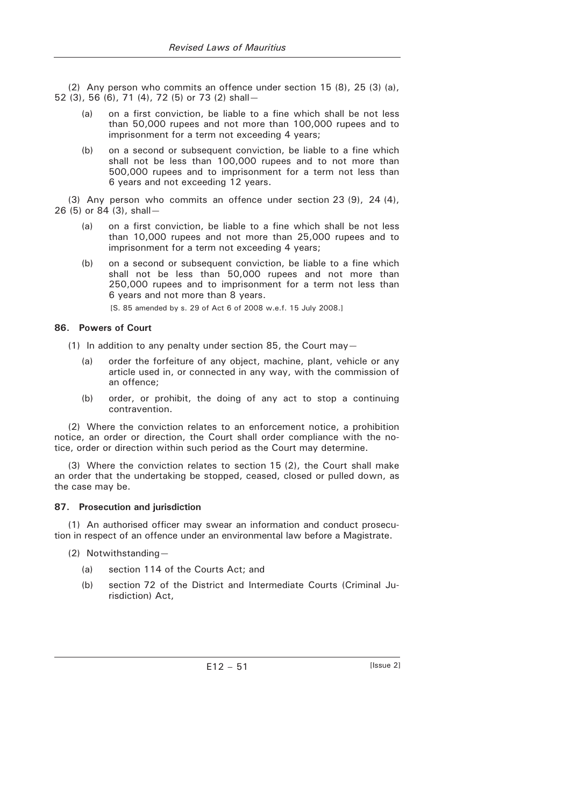(2) Any person who commits an offence under section 15 (8), 25 (3) (a), 52 (3), 56 (6), 71 (4), 72 (5) or 73 (2) shall—

- (a) on a first conviction, be liable to a fine which shall be not less than 50,000 rupees and not more than 100,000 rupees and to imprisonment for a term not exceeding 4 years;
- (b) on a second or subsequent conviction, be liable to a fine which shall not be less than 100,000 rupees and to not more than 500,000 rupees and to imprisonment for a term not less than 6 years and not exceeding 12 years.

(3) Any person who commits an offence under section 23 (9), 24 (4), 26 (5) or 84 (3), shall—

- (a) on a first conviction, be liable to a fine which shall be not less than 10,000 rupees and not more than 25,000 rupees and to imprisonment for a term not exceeding 4 years;
- (b) on a second or subsequent conviction, be liable to a fine which shall not be less than 50,000 rupees and not more than 250,000 rupees and to imprisonment for a term not less than 6 years and not more than 8 years.

[S. 85 amended by s. 29 of Act 6 of 2008 w.e.f. 15 July 2008.]

### **86. Powers of Court**

- (1) In addition to any penalty under section 85, the Court may  $-$ 
	- (a) order the forfeiture of any object, machine, plant, vehicle or any article used in, or connected in any way, with the commission of an offence;
	- (b) order, or prohibit, the doing of any act to stop a continuing contravention.

(2) Where the conviction relates to an enforcement notice, a prohibition notice, an order or direction, the Court shall order compliance with the notice, order or direction within such period as the Court may determine.

(3) Where the conviction relates to section 15 (2), the Court shall make an order that the undertaking be stopped, ceased, closed or pulled down, as the case may be.

### **87. Prosecution and jurisdiction**

(1) An authorised officer may swear an information and conduct prosecution in respect of an offence under an environmental law before a Magistrate.

- (2) Notwithstanding—
	- (a) section 114 of the Courts Act; and
	- (b) section 72 of the District and Intermediate Courts (Criminal Jurisdiction) Act,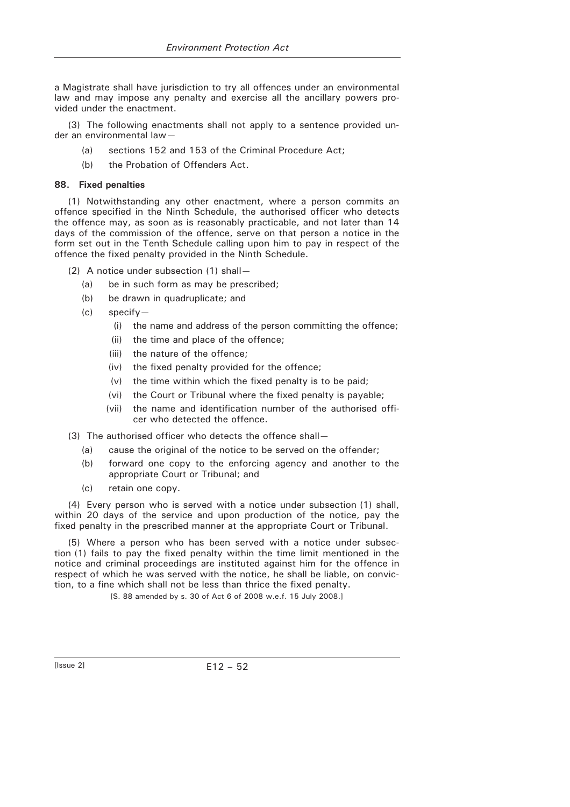a Magistrate shall have jurisdiction to try all offences under an environmental law and may impose any penalty and exercise all the ancillary powers provided under the enactment.

(3) The following enactments shall not apply to a sentence provided under an environmental law—

- (a) sections 152 and 153 of the Criminal Procedure Act;
- (b) the Probation of Offenders Act.

### **88. Fixed penalties**

(1) Notwithstanding any other enactment, where a person commits an offence specified in the Ninth Schedule, the authorised officer who detects the offence may, as soon as is reasonably practicable, and not later than 14 days of the commission of the offence, serve on that person a notice in the form set out in the Tenth Schedule calling upon him to pay in respect of the offence the fixed penalty provided in the Ninth Schedule.

- (2) A notice under subsection (1) shall—
	- (a) be in such form as may be prescribed;
	- (b) be drawn in quadruplicate; and
	- (c) specify—
		- (i) the name and address of the person committing the offence;
		- (ii) the time and place of the offence;
		- (iii) the nature of the offence;
		- (iv) the fixed penalty provided for the offence;
		- (v) the time within which the fixed penalty is to be paid;
		- (vi) the Court or Tribunal where the fixed penalty is payable;
		- (vii) the name and identification number of the authorised officer who detected the offence.
- (3) The authorised officer who detects the offence shall—
	- (a) cause the original of the notice to be served on the offender;
	- (b) forward one copy to the enforcing agency and another to the appropriate Court or Tribunal; and
	- (c) retain one copy.

(4) Every person who is served with a notice under subsection (1) shall, within 20 days of the service and upon production of the notice, pay the fixed penalty in the prescribed manner at the appropriate Court or Tribunal.

(5) Where a person who has been served with a notice under subsection (1) fails to pay the fixed penalty within the time limit mentioned in the notice and criminal proceedings are instituted against him for the offence in respect of which he was served with the notice, he shall be liable, on conviction, to a fine which shall not be less than thrice the fixed penalty.

[S. 88 amended by s. 30 of Act 6 of 2008 w.e.f. 15 July 2008.]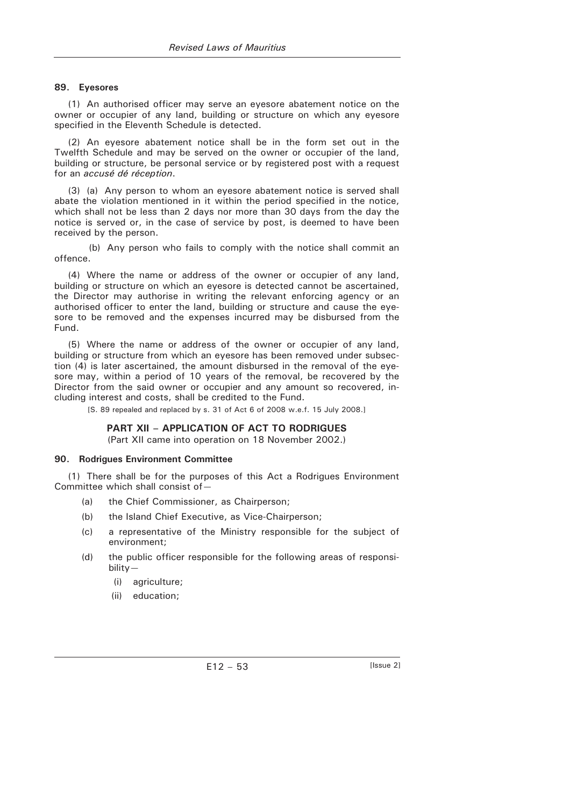#### **89. Eyesores**

(1) An authorised officer may serve an eyesore abatement notice on the owner or occupier of any land, building or structure on which any eyesore specified in the Eleventh Schedule is detected.

(2) An eyesore abatement notice shall be in the form set out in the Twelfth Schedule and may be served on the owner or occupier of the land, building or structure, be personal service or by registered post with a request for an *accusé dé réception*.

(3) (a) Any person to whom an eyesore abatement notice is served shall abate the violation mentioned in it within the period specified in the notice, which shall not be less than 2 days nor more than 30 days from the day the notice is served or, in the case of service by post, is deemed to have been received by the person.

(b) Any person who fails to comply with the notice shall commit an offence.

(4) Where the name or address of the owner or occupier of any land, building or structure on which an eyesore is detected cannot be ascertained, the Director may authorise in writing the relevant enforcing agency or an authorised officer to enter the land, building or structure and cause the eyesore to be removed and the expenses incurred may be disbursed from the Fund.

(5) Where the name or address of the owner or occupier of any land, building or structure from which an eyesore has been removed under subsection (4) is later ascertained, the amount disbursed in the removal of the eyesore may, within a period of 10 years of the removal, be recovered by the Director from the said owner or occupier and any amount so recovered, including interest and costs, shall be credited to the Fund.

[S. 89 repealed and replaced by s. 31 of Act 6 of 2008 w.e.f. 15 July 2008.]

# **PART XII – APPLICATION OF ACT TO RODRIGUES**

(Part XII came into operation on 18 November 2002.)

### **90. Rodrigues Environment Committee**

(1) There shall be for the purposes of this Act a Rodrigues Environment Committee which shall consist of—

- (a) the Chief Commissioner, as Chairperson;
- (b) the Island Chief Executive, as Vice-Chairperson;
- (c) a representative of the Ministry responsible for the subject of environment;
- (d) the public officer responsible for the following areas of responsibility—
	- (i) agriculture;
	- (ii) education;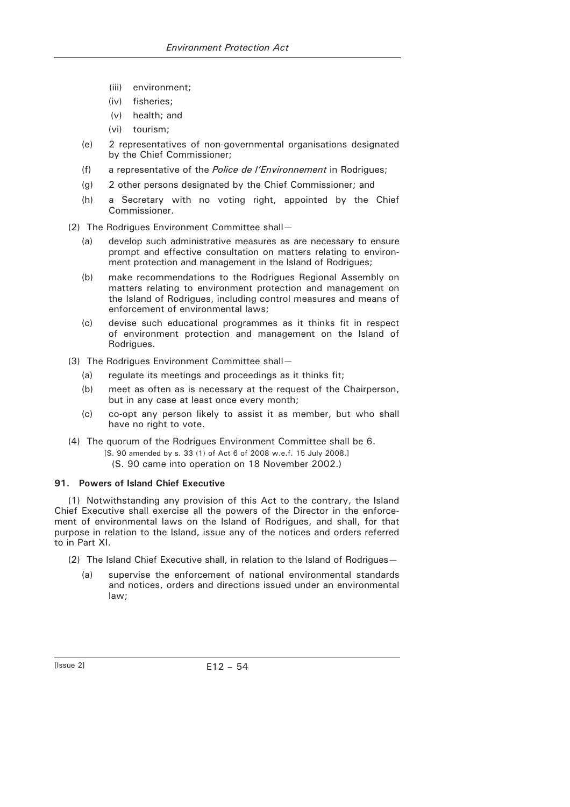- (iii) environment;
- (iv) fisheries;
- (v) health; and
- (vi) tourism;
- (e) 2 representatives of non-governmental organisations designated by the Chief Commissioner;
- (f) a representative of the *Police de l'Environnement* in Rodrigues;
- (g) 2 other persons designated by the Chief Commissioner; and
- (h) a Secretary with no voting right, appointed by the Chief Commissioner.
- (2) The Rodrigues Environment Committee shall—
	- (a) develop such administrative measures as are necessary to ensure prompt and effective consultation on matters relating to environment protection and management in the Island of Rodrigues;
	- (b) make recommendations to the Rodrigues Regional Assembly on matters relating to environment protection and management on the Island of Rodrigues, including control measures and means of enforcement of environmental laws;
	- (c) devise such educational programmes as it thinks fit in respect of environment protection and management on the Island of Rodrigues.
- (3) The Rodrigues Environment Committee shall—
	- (a) regulate its meetings and proceedings as it thinks fit;
	- (b) meet as often as is necessary at the request of the Chairperson, but in any case at least once every month;
	- (c) co-opt any person likely to assist it as member, but who shall have no right to vote.
- (4) The quorum of the Rodrigues Environment Committee shall be 6. [S. 90 amended by s. 33 (1) of Act 6 of 2008 w.e.f. 15 July 2008.] (S. 90 came into operation on 18 November 2002.)

### **91. Powers of Island Chief Executive**

(1) Notwithstanding any provision of this Act to the contrary, the Island Chief Executive shall exercise all the powers of the Director in the enforcement of environmental laws on the Island of Rodrigues, and shall, for that purpose in relation to the Island, issue any of the notices and orders referred to in Part XI.

- (2) The Island Chief Executive shall, in relation to the Island of Rodrigues—
	- (a) supervise the enforcement of national environmental standards and notices, orders and directions issued under an environmental law;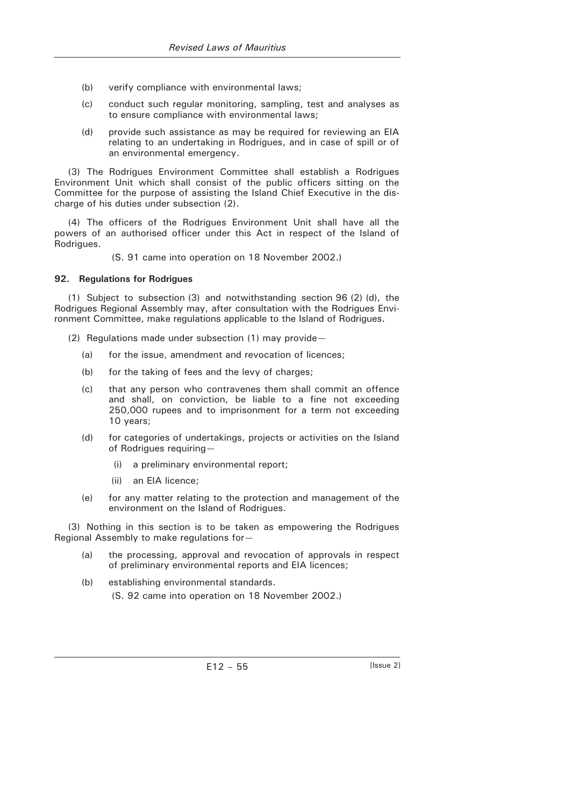- (b) verify compliance with environmental laws;
- (c) conduct such regular monitoring, sampling, test and analyses as to ensure compliance with environmental laws;
- (d) provide such assistance as may be required for reviewing an EIA relating to an undertaking in Rodrigues, and in case of spill or of an environmental emergency.

(3) The Rodrigues Environment Committee shall establish a Rodrigues Environment Unit which shall consist of the public officers sitting on the Committee for the purpose of assisting the Island Chief Executive in the discharge of his duties under subsection (2).

(4) The officers of the Rodrigues Environment Unit shall have all the powers of an authorised officer under this Act in respect of the Island of Rodrigues.

(S. 91 came into operation on 18 November 2002.)

# **92. Regulations for Rodrigues**

(1) Subject to subsection (3) and notwithstanding section 96 (2) (d), the Rodrigues Regional Assembly may, after consultation with the Rodrigues Environment Committee, make regulations applicable to the Island of Rodrigues.

- (2) Regulations made under subsection (1) may provide—
	- (a) for the issue, amendment and revocation of licences;
	- (b) for the taking of fees and the levy of charges;
	- (c) that any person who contravenes them shall commit an offence and shall, on conviction, be liable to a fine not exceeding 250,000 rupees and to imprisonment for a term not exceeding 10 years;
	- (d) for categories of undertakings, projects or activities on the Island of Rodrigues requiring—
		- (i) a preliminary environmental report;
		- (ii) an EIA licence;
	- (e) for any matter relating to the protection and management of the environment on the Island of Rodrigues.

(3) Nothing in this section is to be taken as empowering the Rodrigues Regional Assembly to make regulations for—

- (a) the processing, approval and revocation of approvals in respect of preliminary environmental reports and EIA licences;
- (b) establishing environmental standards. (S. 92 came into operation on 18 November 2002.)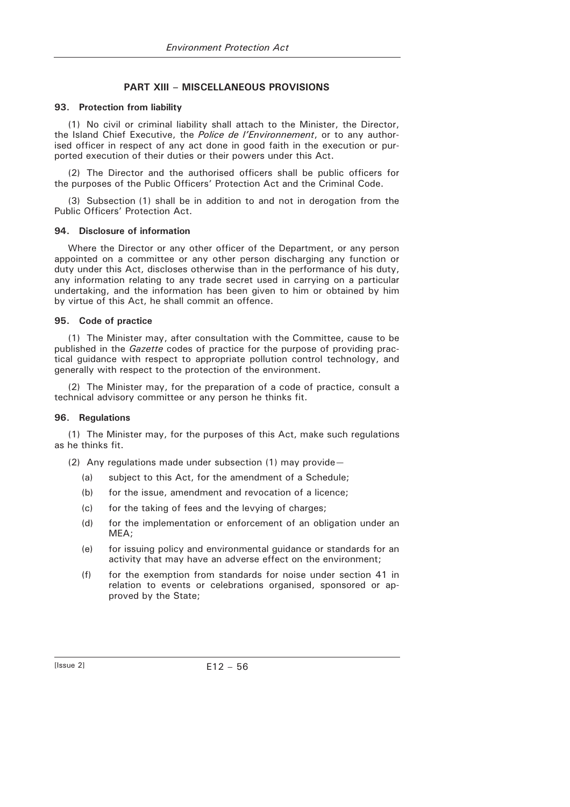# **PART XIII – MISCELLANEOUS PROVISIONS**

### **93. Protection from liability**

(1) No civil or criminal liability shall attach to the Minister, the Director, the Island Chief Executive, the *Police de l'Environnement*, or to any authorised officer in respect of any act done in good faith in the execution or purported execution of their duties or their powers under this Act.

(2) The Director and the authorised officers shall be public officers for the purposes of the Public Officers' Protection Act and the Criminal Code.

(3) Subsection (1) shall be in addition to and not in derogation from the Public Officers' Protection Act.

### **94. Disclosure of information**

Where the Director or any other officer of the Department, or any person appointed on a committee or any other person discharging any function or duty under this Act, discloses otherwise than in the performance of his duty, any information relating to any trade secret used in carrying on a particular undertaking, and the information has been given to him or obtained by him by virtue of this Act, he shall commit an offence.

# **95. Code of practice**

(1) The Minister may, after consultation with the Committee, cause to be published in the *Gazette* codes of practice for the purpose of providing practical guidance with respect to appropriate pollution control technology, and generally with respect to the protection of the environment.

(2) The Minister may, for the preparation of a code of practice, consult a technical advisory committee or any person he thinks fit.

### **96. Regulations**

(1) The Minister may, for the purposes of this Act, make such regulations as he thinks fit.

- (2) Any regulations made under subsection (1) may provide—
	- (a) subject to this Act, for the amendment of a Schedule;
	- (b) for the issue, amendment and revocation of a licence;
	- (c) for the taking of fees and the levying of charges;
	- (d) for the implementation or enforcement of an obligation under an MEA;
	- (e) for issuing policy and environmental guidance or standards for an activity that may have an adverse effect on the environment;
	- (f) for the exemption from standards for noise under section 41 in relation to events or celebrations organised, sponsored or approved by the State;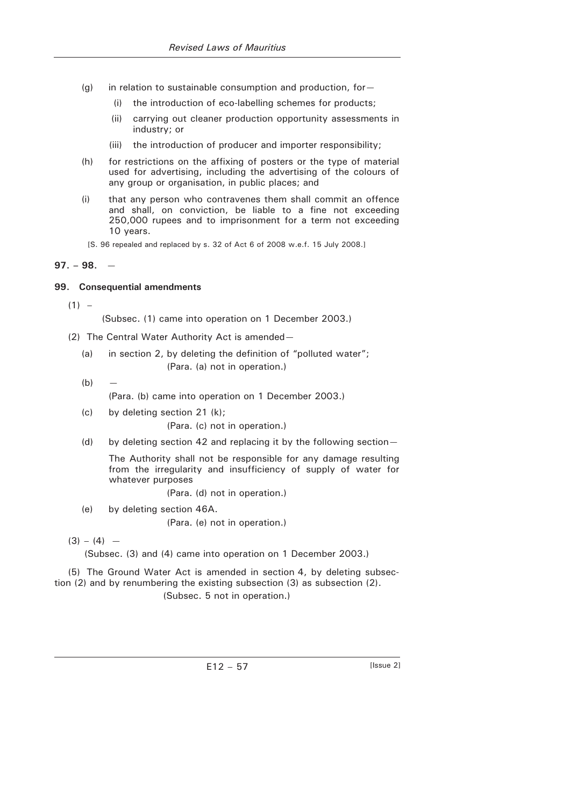- (g) in relation to sustainable consumption and production, for-
	- (i) the introduction of eco-labelling schemes for products;
	- (ii) carrying out cleaner production opportunity assessments in industry; or
	- (iii) the introduction of producer and importer responsibility;
- (h) for restrictions on the affixing of posters or the type of material used for advertising, including the advertising of the colours of any group or organisation, in public places; and
- (i) that any person who contravenes them shall commit an offence and shall, on conviction, be liable to a fine not exceeding 250,000 rupees and to imprisonment for a term not exceeding 10 years.
	- [S. 96 repealed and replaced by s. 32 of Act 6 of 2008 w.e.f. 15 July 2008.]

### **97. – 98.** —

#### **99. Consequential amendments**

 $(1) -$ 

(Subsec. (1) came into operation on 1 December 2003.)

(2) The Central Water Authority Act is amended—

- (a) in section 2, by deleting the definition of "polluted water"; (Para. (a) not in operation.)
- $(b)$

(Para. (b) came into operation on 1 December 2003.)

- (c) by deleting section 21 (k); (Para. (c) not in operation.)
- (d) by deleting section 42 and replacing it by the following section—

 The Authority shall not be responsible for any damage resulting from the irregularity and insufficiency of supply of water for whatever purposes

(Para. (d) not in operation.)

(e) by deleting section 46A.

(Para. (e) not in operation.)

 $(3) - (4) -$ 

(Subsec. (3) and (4) came into operation on 1 December 2003.)

(5) The Ground Water Act is amended in section 4, by deleting subsection (2) and by renumbering the existing subsection (3) as subsection (2). (Subsec. 5 not in operation.)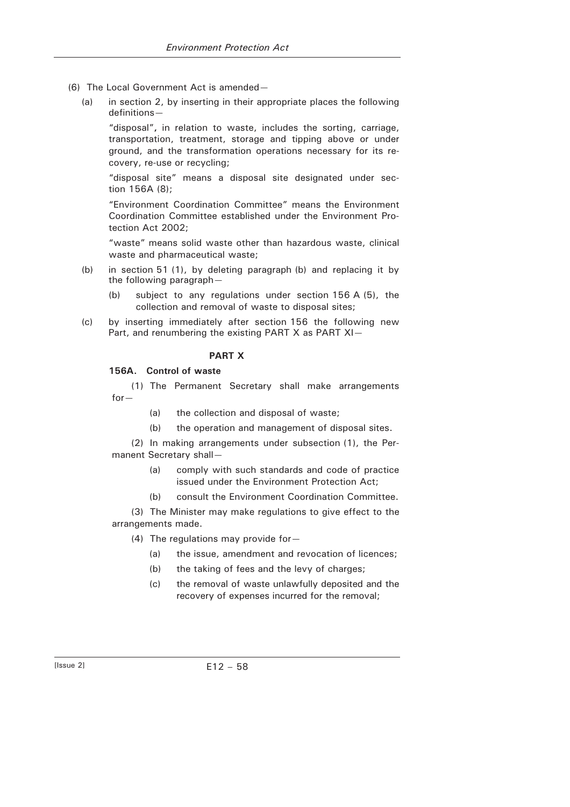- (6) The Local Government Act is amended—
	- (a) in section 2, by inserting in their appropriate places the following definitions—

 "disposal"**,** in relation to waste, includes the sorting, carriage, transportation, treatment, storage and tipping above or under ground, and the transformation operations necessary for its recovery, re-use or recycling;

 "disposal site" means a disposal site designated under section 156A (8);

 "Environment Coordination Committee" means the Environment Coordination Committee established under the Environment Protection Act 2002;

 "waste" means solid waste other than hazardous waste, clinical waste and pharmaceutical waste;

- (b) in section 51 (1), by deleting paragraph (b) and replacing it by the following paragraph—
	- (b) subject to any regulations under section 156 A (5), the collection and removal of waste to disposal sites;
- (c) by inserting immediately after section 156 the following new Part, and renumbering the existing PART X as PART XI-

#### **PART X**

#### **156A. Control of waste**

(1) The Permanent Secretary shall make arrangements for—

- (a) the collection and disposal of waste;
- (b) the operation and management of disposal sites.

(2) In making arrangements under subsection (1), the Permanent Secretary shall—

- (a) comply with such standards and code of practice issued under the Environment Protection Act;
- (b) consult the Environment Coordination Committee.

(3) The Minister may make regulations to give effect to the arrangements made.

(4) The regulations may provide for—

- (a) the issue, amendment and revocation of licences;
- (b) the taking of fees and the levy of charges;
- (c) the removal of waste unlawfully deposited and the recovery of expenses incurred for the removal;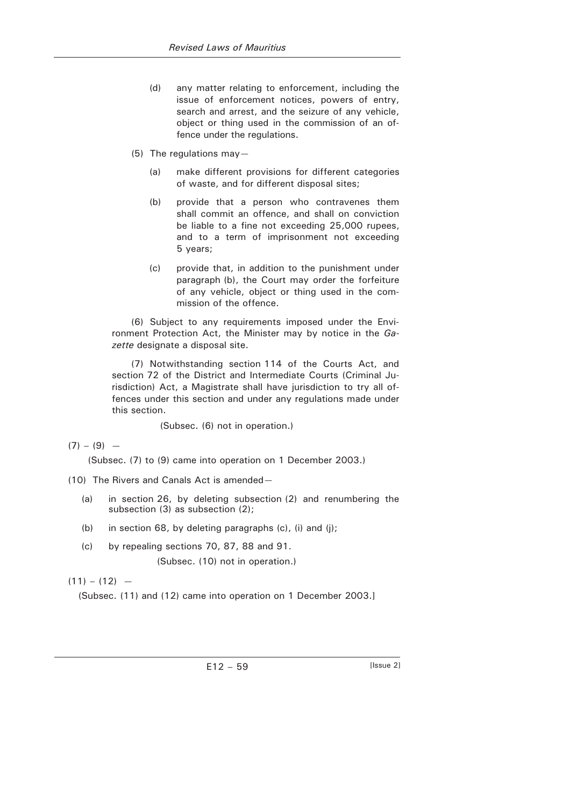- (d) any matter relating to enforcement, including the issue of enforcement notices, powers of entry, search and arrest, and the seizure of any vehicle, object or thing used in the commission of an offence under the regulations.
- (5) The regulations may—
	- (a) make different provisions for different categories of waste, and for different disposal sites;
	- (b) provide that a person who contravenes them shall commit an offence, and shall on conviction be liable to a fine not exceeding 25,000 rupees, and to a term of imprisonment not exceeding 5 years;
	- (c) provide that, in addition to the punishment under paragraph (b), the Court may order the forfeiture of any vehicle, object or thing used in the commission of the offence.

(6) Subject to any requirements imposed under the Environment Protection Act, the Minister may by notice in the *Gazette* designate a disposal site.

(7) Notwithstanding section 114 of the Courts Act, and section 72 of the District and Intermediate Courts (Criminal Jurisdiction) Act, a Magistrate shall have jurisdiction to try all offences under this section and under any regulations made under this section.

(Subsec. (6) not in operation.)

# $(7) - (9) -$

(Subsec. (7) to (9) came into operation on 1 December 2003.)

- (10) The Rivers and Canals Act is amended—
	- (a) in section 26, by deleting subsection (2) and renumbering the subsection (3) as subsection (2);
	- (b) in section 68, by deleting paragraphs (c), (i) and (j);
	- (c) by repealing sections 70, 87, 88 and 91. (Subsec. (10) not in operation.)

# $(11) - (12)$  –

(Subsec. (11) and (12) came into operation on 1 December 2003.]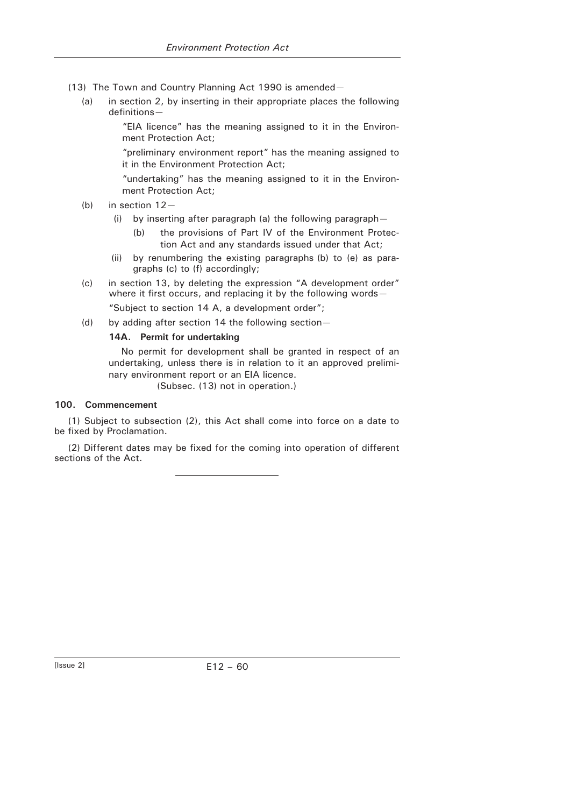- (13) The Town and Country Planning Act 1990 is amended—
	- (a) in section 2, by inserting in their appropriate places the following definitions—

"EIA licence" has the meaning assigned to it in the Environment Protection Act;

"preliminary environment report" has the meaning assigned to it in the Environment Protection Act;

"undertaking" has the meaning assigned to it in the Environment Protection Act;

- (b) in section 12—
	- (i) by inserting after paragraph (a) the following paragraph—
		- (b) the provisions of Part IV of the Environment Protection Act and any standards issued under that Act;
	- (ii) by renumbering the existing paragraphs (b) to (e) as paragraphs (c) to (f) accordingly;
- (c) in section 13, by deleting the expression "A development order" where it first occurs, and replacing it by the following words-

"Subject to section 14 A, a development order";

(d) by adding after section 14 the following section—

#### **14A. Permit for undertaking**

 No permit for development shall be granted in respect of an undertaking, unless there is in relation to it an approved preliminary environment report or an EIA licence.

(Subsec. (13) not in operation.)

### **100. Commencement**

(1) Subject to subsection (2), this Act shall come into force on a date to be fixed by Proclamation.

(2) Different dates may be fixed for the coming into operation of different sections of the Act.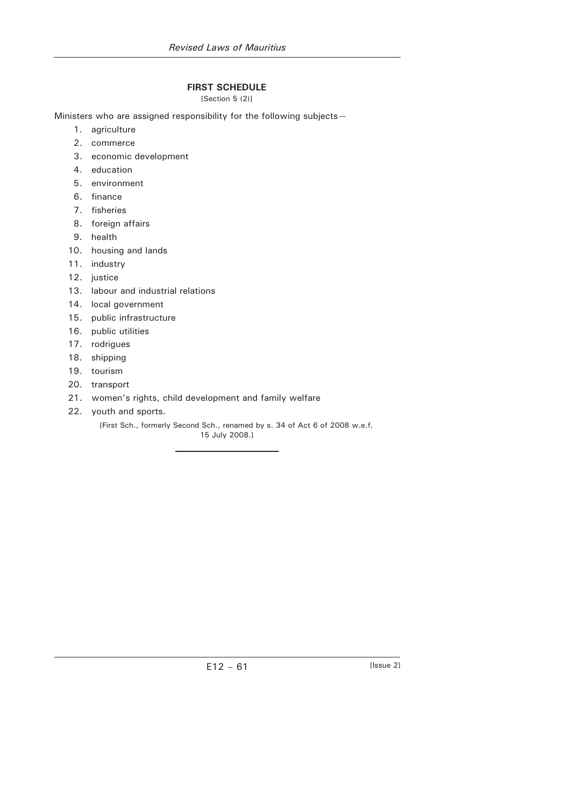# **FIRST SCHEDULE**

[Section 5 (2)]

Ministers who are assigned responsibility for the following subjects—

- 1. agriculture
- 2. commerce
- 3. economic development
- 4. education
- 5. environment
- 6. finance
- 7. fisheries
- 8. foreign affairs
- 9. health
- 10. housing and lands
- 11. industry
- 12. justice
- 13. labour and industrial relations
- 14. local government
- 15. public infrastructure
- 16. public utilities
- 17. rodrigues
- 18. shipping
- 19. tourism
- 20. transport
- 21. women's rights, child development and family welfare
- 22. youth and sports.

[First Sch., formerly Second Sch., renamed by s. 34 of Act 6 of 2008 w.e.f. 15 July 2008.]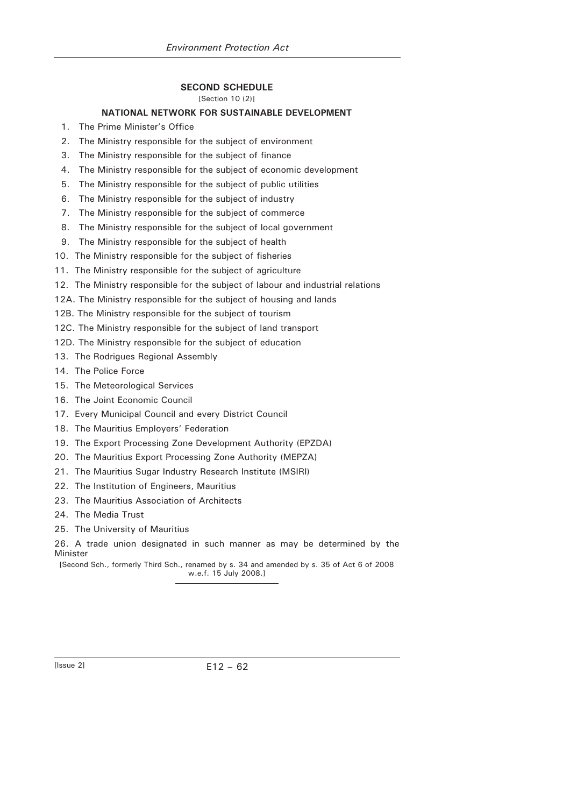# **SECOND SCHEDULE**

[Section 10 (2)]

# **NATIONAL NETWORK FOR SUSTAINABLE DEVELOPMENT**

- 1. The Prime Minister's Office
- 2. The Ministry responsible for the subject of environment
- 3. The Ministry responsible for the subject of finance
- 4. The Ministry responsible for the subject of economic development
- 5. The Ministry responsible for the subject of public utilities
- 6. The Ministry responsible for the subject of industry
- 7. The Ministry responsible for the subject of commerce
- 8. The Ministry responsible for the subject of local government
- 9. The Ministry responsible for the subject of health
- 10. The Ministry responsible for the subject of fisheries
- 11. The Ministry responsible for the subject of agriculture
- 12. The Ministry responsible for the subject of labour and industrial relations
- 12A. The Ministry responsible for the subject of housing and lands
- 12B. The Ministry responsible for the subject of tourism
- 12C. The Ministry responsible for the subject of land transport
- 12D. The Ministry responsible for the subject of education
- 13. The Rodrigues Regional Assembly
- 14. The Police Force
- 15. The Meteorological Services
- 16. The Joint Economic Council
- 17. Every Municipal Council and every District Council
- 18. The Mauritius Employers' Federation
- 19. The Export Processing Zone Development Authority (EPZDA)
- 20. The Mauritius Export Processing Zone Authority (MEPZA)
- 21. The Mauritius Sugar Industry Research Institute (MSIRI)
- 22. The Institution of Engineers, Mauritius
- 23. The Mauritius Association of Architects
- 24. The Media Trust
- 25. The University of Mauritius
- 26. A trade union designated in such manner as may be determined by the Minister

[Second Sch., formerly Third Sch., renamed by s. 34 and amended by s. 35 of Act 6 of 2008 w.e.f. 15 July 2008.]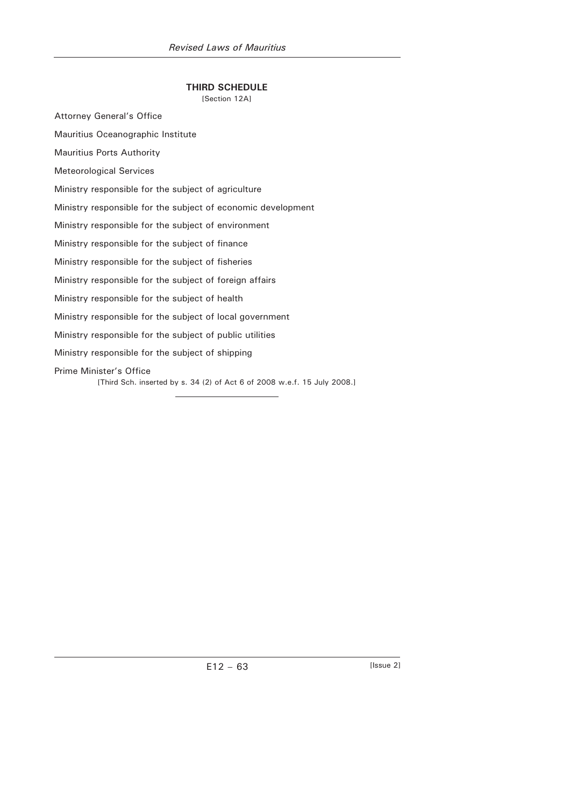# **THIRD SCHEDULE**

[Section 12A]

Attorney General's Office

Mauritius Oceanographic Institute

Mauritius Ports Authority

Meteorological Services

Ministry responsible for the subject of agriculture

Ministry responsible for the subject of economic development

Ministry responsible for the subject of environment

Ministry responsible for the subject of finance

Ministry responsible for the subject of fisheries

Ministry responsible for the subject of foreign affairs

Ministry responsible for the subject of health

Ministry responsible for the subject of local government

Ministry responsible for the subject of public utilities

Ministry responsible for the subject of shipping

#### Prime Minister's Office

[Third Sch. inserted by s. 34 (2) of Act 6 of 2008 w.e.f. 15 July 2008.]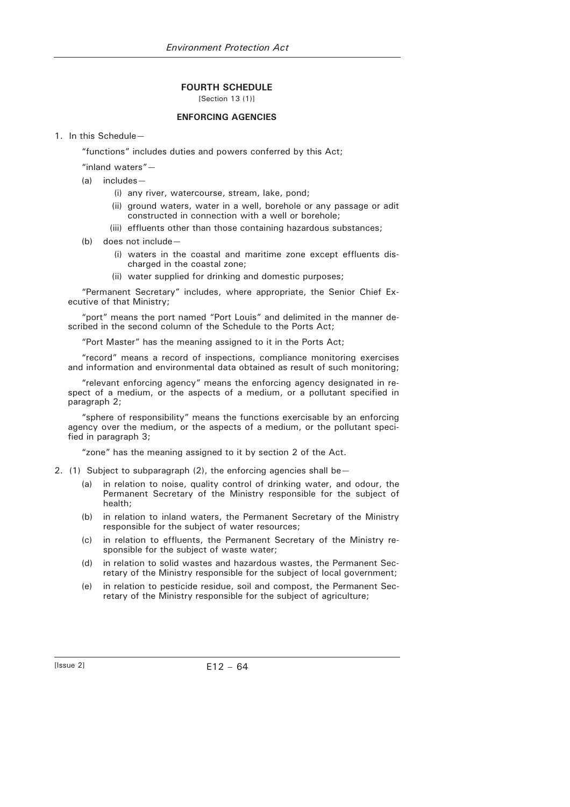# **FOURTH SCHEDULE**

[Section 13 (1)]

#### **ENFORCING AGENCIES**

1. In this Schedule—

"functions" includes duties and powers conferred by this Act;

"inland waters"—

- (a) includes—
	- (i) any river, watercourse, stream, lake, pond;
	- (ii) ground waters, water in a well, borehole or any passage or adit constructed in connection with a well or borehole;
	- (iii) effluents other than those containing hazardous substances;
- (b) does not include—
	- (i) waters in the coastal and maritime zone except effluents discharged in the coastal zone;
	- (ii) water supplied for drinking and domestic purposes;

"Permanent Secretary" includes, where appropriate, the Senior Chief Executive of that Ministry;

"port" means the port named "Port Louis" and delimited in the manner described in the second column of the Schedule to the Ports Act;

"Port Master" has the meaning assigned to it in the Ports Act;

"record" means a record of inspections, compliance monitoring exercises and information and environmental data obtained as result of such monitoring;

"relevant enforcing agency" means the enforcing agency designated in respect of a medium, or the aspects of a medium, or a pollutant specified in paragraph 2;

"sphere of responsibility" means the functions exercisable by an enforcing agency over the medium, or the aspects of a medium, or the pollutant specified in paragraph 3;

"zone" has the meaning assigned to it by section 2 of the Act.

- 2. (1) Subject to subparagraph  $(2)$ , the enforcing agencies shall be -
	- (a) in relation to noise, quality control of drinking water, and odour, the Permanent Secretary of the Ministry responsible for the subject of health;
	- (b) in relation to inland waters, the Permanent Secretary of the Ministry responsible for the subject of water resources;
	- (c) in relation to effluents, the Permanent Secretary of the Ministry responsible for the subject of waste water;
	- (d) in relation to solid wastes and hazardous wastes, the Permanent Secretary of the Ministry responsible for the subject of local government;
	- (e) in relation to pesticide residue, soil and compost, the Permanent Secretary of the Ministry responsible for the subject of agriculture;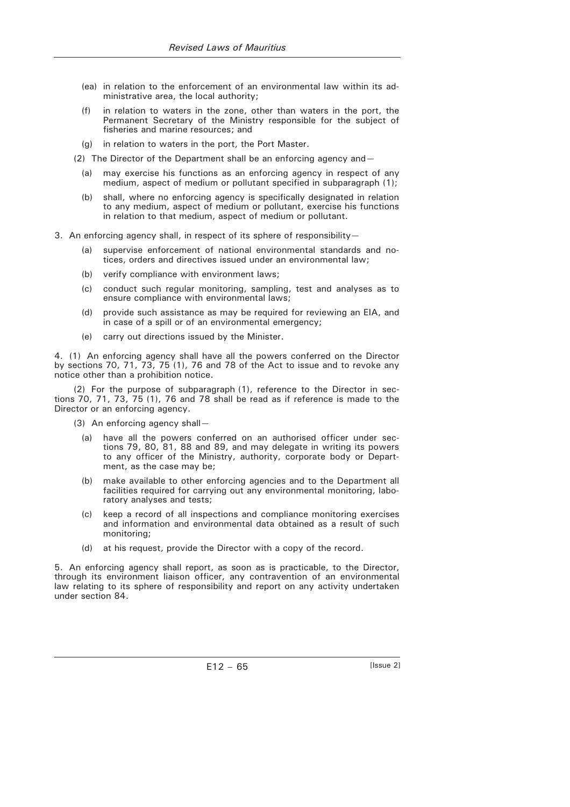- (ea) in relation to the enforcement of an environmental law within its administrative area, the local authority;
- (f) in relation to waters in the zone, other than waters in the port, the Permanent Secretary of the Ministry responsible for the subject of fisheries and marine resources; and
- (g) in relation to waters in the port, the Port Master.
- (2) The Director of the Department shall be an enforcing agency and  $-$ 
	- (a) may exercise his functions as an enforcing agency in respect of any medium, aspect of medium or pollutant specified in subparagraph (1);
	- (b) shall, where no enforcing agency is specifically designated in relation to any medium, aspect of medium or pollutant, exercise his functions in relation to that medium, aspect of medium or pollutant.
- 3. An enforcing agency shall, in respect of its sphere of responsibility—
	- (a) supervise enforcement of national environmental standards and notices, orders and directives issued under an environmental law;
	- (b) verify compliance with environment laws;
	- (c) conduct such regular monitoring, sampling, test and analyses as to ensure compliance with environmental laws;
	- (d) provide such assistance as may be required for reviewing an EIA, and in case of a spill or of an environmental emergency;
	- (e) carry out directions issued by the Minister.

4. (1) An enforcing agency shall have all the powers conferred on the Director by sections 70, 71, 73, 75 (1), 76 and 78 of the Act to issue and to revoke any notice other than a prohibition notice.

(2) For the purpose of subparagraph (1), reference to the Director in sections 70, 71, 73, 75 (1), 76 and 78 shall be read as if reference is made to the Director or an enforcing agency.

(3) An enforcing agency shall—

- have all the powers conferred on an authorised officer under sections 79, 80, 81, 88 and 89, and may delegate in writing its powers to any officer of the Ministry, authority, corporate body or Department, as the case may be;
- (b) make available to other enforcing agencies and to the Department all facilities required for carrying out any environmental monitoring, laboratory analyses and tests;
- (c) keep a record of all inspections and compliance monitoring exercises and information and environmental data obtained as a result of such monitoring;
- (d) at his request, provide the Director with a copy of the record.

5. An enforcing agency shall report, as soon as is practicable, to the Director, through its environment liaison officer, any contravention of an environmental law relating to its sphere of responsibility and report on any activity undertaken under section 84.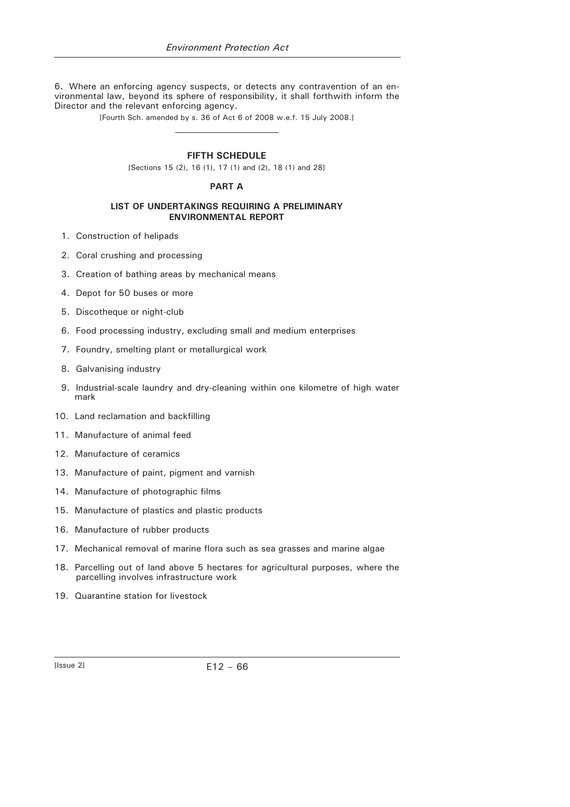6**.** Where an enforcing agency suspects, or detects any contravention of an environmental law, beyond its sphere of responsibility, it shall forthwith inform the Director and the relevant enforcing agency.

[Fourth Sch. amended by s. 36 of Act 6 of 2008 w.e.f. 15 July 2008.]

#### **FIFTH SCHEDULE**

[Sections 15 (2), 16 (1), 17 (1) and (2), 18 (1) and 28]

### **PART A**

#### **LIST OF UNDERTAKINGS REQUIRING A PRELIMINARY ENVIRONMENTAL REPORT**

- 1. Construction of helipads
- 2. Coral crushing and processing
- 3. Creation of bathing areas by mechanical means
- 4. Depot for 50 buses or more
- 5. Discotheque or night-club
- 6. Food processing industry, excluding small and medium enterprises
- 7. Foundry, smelting plant or metallurgical work
- 8. Galvanising industry
- 9. Industrial-scale laundry and dry-cleaning within one kilometre of high water mark
- 10. Land reclamation and backfilling
- 11. Manufacture of animal feed
- 12. Manufacture of ceramics
- 13. Manufacture of paint, pigment and varnish
- 14. Manufacture of photographic films
- 15. Manufacture of plastics and plastic products
- 16. Manufacture of rubber products
- 17. Mechanical removal of marine flora such as sea grasses and marine algae
- 18. Parcelling out of land above 5 hectares for agricultural purposes, where the parcelling involves infrastructure work
- 19. Quarantine station for livestock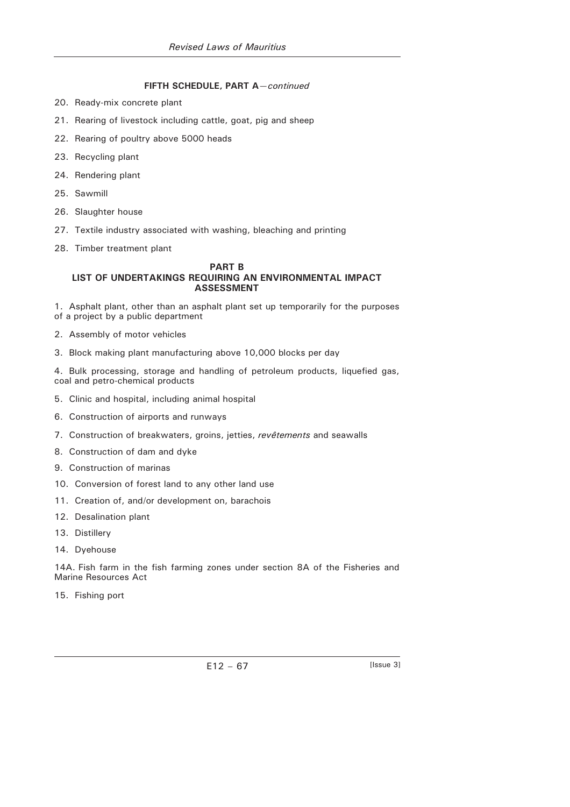# **FIFTH SCHEDULE, PART A**—*continued*

- 20. Ready-mix concrete plant
- 21. Rearing of livestock including cattle, goat, pig and sheep
- 22. Rearing of poultry above 5000 heads
- 23. Recycling plant
- 24. Rendering plant
- 25. Sawmill
- 26. Slaughter house
- 27. Textile industry associated with washing, bleaching and printing
- 28. Timber treatment plant

#### **PART B LIST OF UNDERTAKINGS REQUIRING AN ENVIRONMENTAL IMPACT ASSESSMENT**

1. Asphalt plant, other than an asphalt plant set up temporarily for the purposes of a project by a public department

- 2. Assembly of motor vehicles
- 3. Block making plant manufacturing above 10,000 blocks per day

4. Bulk processing, storage and handling of petroleum products, liquefied gas, coal and petro-chemical products

- 5. Clinic and hospital, including animal hospital
- 6. Construction of airports and runways
- 7. Construction of breakwaters, groins, jetties, *revêtements* and seawalls
- 8. Construction of dam and dyke
- 9. Construction of marinas
- 10. Conversion of forest land to any other land use
- 11. Creation of, and/or development on, barachois
- 12. Desalination plant
- 13. Distillery
- 14. Dyehouse

14A. Fish farm in the fish farming zones under section 8A of the Fisheries and Marine Resources Act

15. Fishing port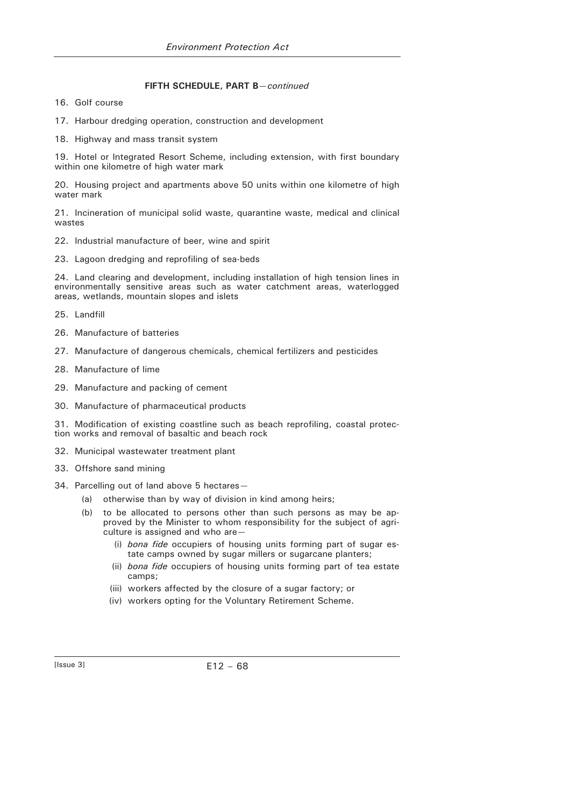#### **FIFTH SCHEDULE, PART B**—*continued*

- 16. Golf course
- 17. Harbour dredging operation, construction and development
- 18. Highway and mass transit system

19. Hotel or Integrated Resort Scheme, including extension, with first boundary within one kilometre of high water mark

20. Housing project and apartments above 50 units within one kilometre of high water mark

21. Incineration of municipal solid waste, quarantine waste, medical and clinical wastes

- 22. Industrial manufacture of beer, wine and spirit
- 23. Lagoon dredging and reprofiling of sea-beds

24. Land clearing and development, including installation of high tension lines in environmentally sensitive areas such as water catchment areas, waterlogged areas, wetlands, mountain slopes and islets

- 25. Landfill
- 26. Manufacture of batteries
- 27. Manufacture of dangerous chemicals, chemical fertilizers and pesticides
- 28. Manufacture of lime
- 29. Manufacture and packing of cement
- 30. Manufacture of pharmaceutical products

31. Modification of existing coastline such as beach reprofiling, coastal protection works and removal of basaltic and beach rock

- 32. Municipal wastewater treatment plant
- 33. Offshore sand mining
- 34. Parcelling out of land above 5 hectares—
	- (a) otherwise than by way of division in kind among heirs;
	- (b) to be allocated to persons other than such persons as may be approved by the Minister to whom responsibility for the subject of agriculture is assigned and who are—
		- (i) *bona fide* occupiers of housing units forming part of sugar estate camps owned by sugar millers or sugarcane planters;
		- (ii) *bona fide* occupiers of housing units forming part of tea estate camps;
		- (iii) workers affected by the closure of a sugar factory; or
		- (iv) workers opting for the Voluntary Retirement Scheme.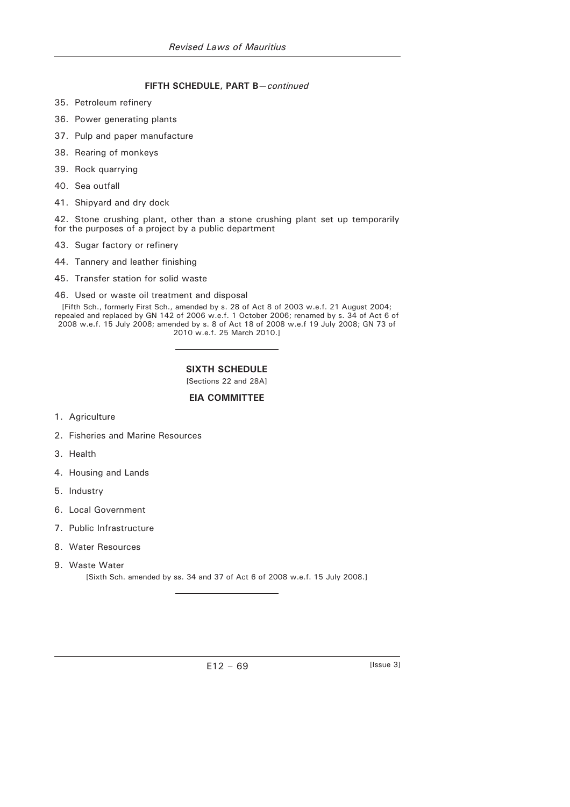## **FIFTH SCHEDULE, PART B**—*continued*

- 35. Petroleum refinery
- 36. Power generating plants
- 37. Pulp and paper manufacture
- 38. Rearing of monkeys
- 39. Rock quarrying
- 40. Sea outfall
- 41. Shipyard and dry dock

42. Stone crushing plant, other than a stone crushing plant set up temporarily for the purposes of a project by a public department

- 43. Sugar factory or refinery
- 44. Tannery and leather finishing
- 45. Transfer station for solid waste
- 46. Used or waste oil treatment and disposal

[Fifth Sch., formerly First Sch., amended by s. 28 of Act 8 of 2003 w.e.f. 21 August 2004; repealed and replaced by GN 142 of 2006 w.e.f. 1 October 2006; renamed by s. 34 of Act 6 of 2008 w.e.f. 15 July 2008; amended by s. 8 of Act 18 of 2008 w.e.f 19 July 2008; GN 73 of 2010 w.e.f. 25 March 2010.]

# **SIXTH SCHEDULE**

[Sections 22 and 28A]

# **EIA COMMITTEE**

- 1. Agriculture
- 2. Fisheries and Marine Resources
- 3. Health
- 4. Housing and Lands
- 5. Industry
- 6. Local Government
- 7. Public Infrastructure
- 8. Water Resources
- 9. Waste Water [Sixth Sch. amended by ss. 34 and 37 of Act 6 of 2008 w.e.f. 15 July 2008.]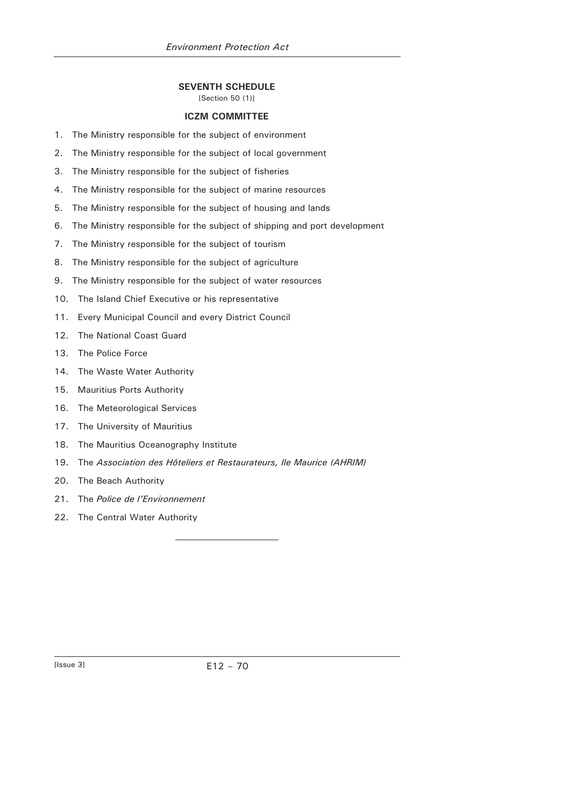# **SEVENTH SCHEDULE**

# [Section 50 (1)]

# **ICZM COMMITTEE**

- 1. The Ministry responsible for the subject of environment
- 2. The Ministry responsible for the subject of local government
- 3. The Ministry responsible for the subject of fisheries
- 4. The Ministry responsible for the subject of marine resources
- 5. The Ministry responsible for the subject of housing and lands
- 6. The Ministry responsible for the subject of shipping and port development
- 7. The Ministry responsible for the subject of tourism
- 8. The Ministry responsible for the subject of agriculture
- 9. The Ministry responsible for the subject of water resources
- 10. The Island Chief Executive or his representative
- 11. Every Municipal Council and every District Council
- 12. The National Coast Guard
- 13. The Police Force
- 14. The Waste Water Authority
- 15. Mauritius Ports Authority
- 16. The Meteorological Services
- 17. The University of Mauritius
- 18. The Mauritius Oceanography Institute
- 19. The *Association des Hôteliers et Restaurateurs, Ile Maurice (AHRIM)*
- 20. The Beach Authority
- 21. The *Police de l'Environnement*
- 22. The Central Water Authority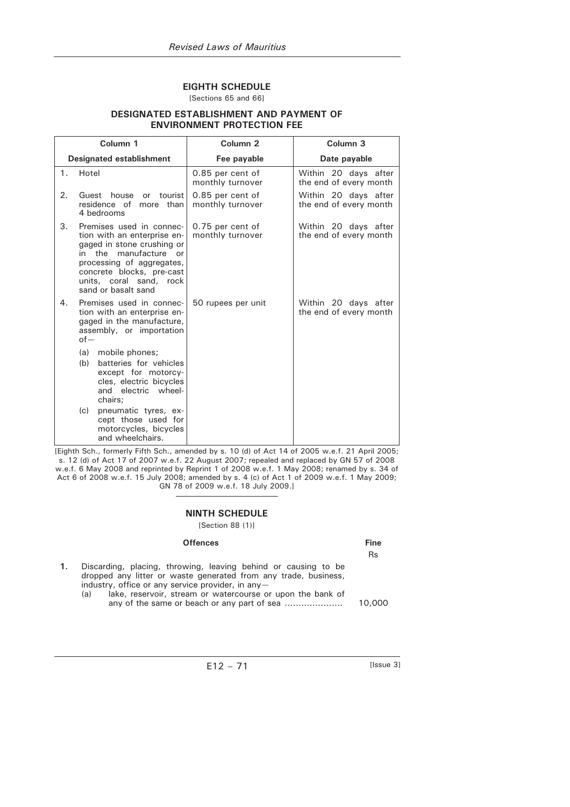## **EIGHTH SCHEDULE**  [Sections 65 and 66]

### **DESIGNATED ESTABLISHMENT AND PAYMENT OF ENVIRONMENT PROTECTION FEE**

|                | Column <sub>1</sub>                                                                                                                                                                                                                  | Column <sub>2</sub>                  | Column <sub>3</sub>                            |  |
|----------------|--------------------------------------------------------------------------------------------------------------------------------------------------------------------------------------------------------------------------------------|--------------------------------------|------------------------------------------------|--|
|                | Designated establishment                                                                                                                                                                                                             | Fee payable                          | Date payable                                   |  |
| 1 <sub>1</sub> | Hotel                                                                                                                                                                                                                                | 0.85 per cent of<br>monthly turnover | Within 20 days after<br>the end of every month |  |
| 2.             | Guest<br>house<br>tourist<br>or<br>residence of<br>than<br>more<br>4 hedrooms                                                                                                                                                        | 0.85 per cent of<br>monthly turnover | Within 20 days after<br>the end of every month |  |
| З.             | Premises used in connec-<br>tion with an enterprise en-<br>gaged in stone crushing or<br>manufacture<br>the<br>in.<br>or<br>processing of aggregates,<br>concrete blocks, pre-cast<br>units, coral sand, rock<br>sand or basalt sand | 0.75 per cent of<br>monthly turnover | Within 20 days after<br>the end of every month |  |
| 4.             | Premises used in connec-<br>tion with an enterprise en-<br>gaged in the manufacture,<br>assembly, or importation<br>$of -$                                                                                                           | 50 rupees per unit                   | Within 20 days after<br>the end of every month |  |
|                | mobile phones;<br>(a)<br>(b)<br>batteries for vehicles<br>except for motorcy-<br>cles, electric bicycles<br>and electric wheel-<br>chairs;                                                                                           |                                      |                                                |  |
|                | (c)<br>pneumatic tyres, ex-<br>cept those used for<br>motorcycles, bicycles<br>and wheelchairs.                                                                                                                                      |                                      |                                                |  |

[Eighth Sch., formerly Fifth Sch., amended by s. 10 (d) of Act 14 of 2005 w.e.f. 21 April 2005; s. 12 (d) of Act 17 of 2007 w.e.f. 22 August 2007; repealed and replaced by GN 57 of 2008 w.e.f. 6 May 2008 and reprinted by Reprint 1 of 2008 w.e.f. 1 May 2008; renamed by s. 34 of Act 6 of 2008 w.e.f. 15 July 2008; amended by s. 4 (c) of Act 1 of 2009 w.e.f. 1 May 2009; GN 78 of 2009 w.e.f. 18 July 2009.]

#### **NINTH SCHEDULE**

[Section 88 (1)]

| Discarding, placing, throwing, leaving behind or causing to be<br>dropped any litter or waste generated from any trade, business,<br>industry, office or any service provider, in any $-$<br>lake, reservoir, stream or watercourse or upon the bank of<br>(a) | <b>Fine</b> |
|----------------------------------------------------------------------------------------------------------------------------------------------------------------------------------------------------------------------------------------------------------------|-------------|
|                                                                                                                                                                                                                                                                | <b>Rs</b>   |
|                                                                                                                                                                                                                                                                | 10,000      |
|                                                                                                                                                                                                                                                                |             |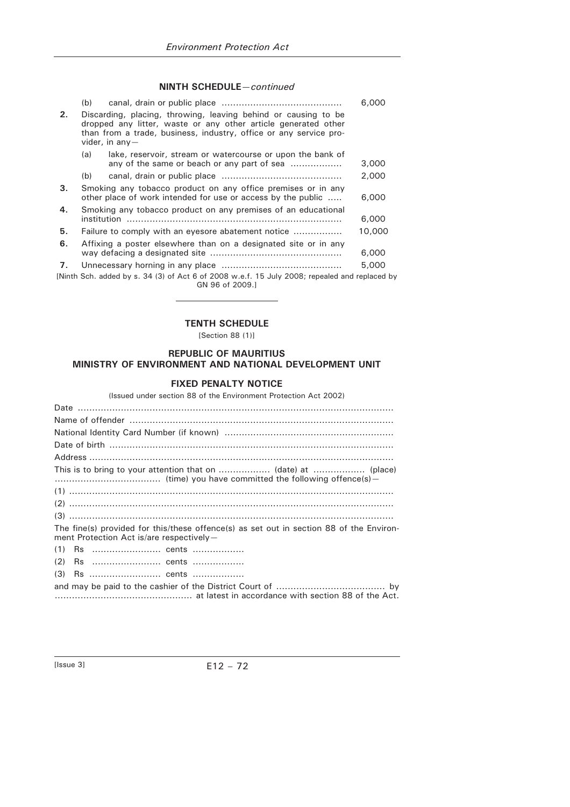### **NINTH SCHEDULE**—*continued*

|    | (b)                                                                                                                                                                                                                        |                                                                                                           | 6,000  |  |
|----|----------------------------------------------------------------------------------------------------------------------------------------------------------------------------------------------------------------------------|-----------------------------------------------------------------------------------------------------------|--------|--|
| 2. | Discarding, placing, throwing, leaving behind or causing to be<br>dropped any litter, waste or any other article generated other<br>than from a trade, business, industry, office or any service pro-<br>vider, in any $-$ |                                                                                                           |        |  |
|    | (a)                                                                                                                                                                                                                        | lake, reservoir, stream or watercourse or upon the bank of<br>any of the same or beach or any part of sea | 3,000  |  |
|    | (b)                                                                                                                                                                                                                        |                                                                                                           | 2,000  |  |
| 3. | Smoking any tobacco product on any office premises or in any<br>other place of work intended for use or access by the public                                                                                               |                                                                                                           | 6,000  |  |
| 4. | Smoking any tobacco product on any premises of an educational<br>institution                                                                                                                                               |                                                                                                           | 6,000  |  |
| 5. | Failure to comply with an eyesore abatement notice                                                                                                                                                                         |                                                                                                           | 10,000 |  |
| 6. |                                                                                                                                                                                                                            | Affixing a poster elsewhere than on a designated site or in any                                           | 6,000  |  |
| 7. |                                                                                                                                                                                                                            |                                                                                                           | 5,000  |  |
|    |                                                                                                                                                                                                                            | [Ninth Sch. added by s. 34 (3) of Act 6 of 2008 w.e.f. 15 July 2008; repealed and replaced by             |        |  |

GN 96 of 2009.]

#### **TENTH SCHEDULE**

[Section 88 (1)]

# **REPUBLIC OF MAURITIUS MINISTRY OF ENVIRONMENT AND NATIONAL DEVELOPMENT UNIT**

# **FIXED PENALTY NOTICE**

(Issued under section 88 of the Environment Protection Act 2002)

| This is to bring to your attention that on  (date) at  (place)                                                                      |
|-------------------------------------------------------------------------------------------------------------------------------------|
|                                                                                                                                     |
|                                                                                                                                     |
|                                                                                                                                     |
| The fine(s) provided for this/these offence(s) as set out in section 88 of the Environ-<br>ment Protection Act is/are respectively- |
|                                                                                                                                     |
|                                                                                                                                     |
|                                                                                                                                     |
| the contract of the contract of the contract of the contract of the contract of the contract of the contract of                     |

and may be paid to the cashier of the District Court of ...................................... by ................................................ at latest in accordance with section 88 of the Act.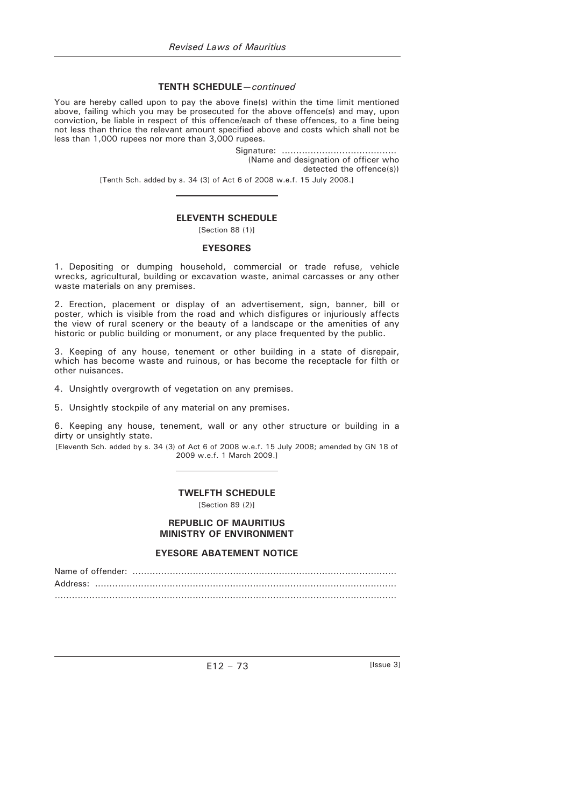### **TENTH SCHEDULE**—*continued*

You are hereby called upon to pay the above fine(s) within the time limit mentioned above, failing which you may be prosecuted for the above offence(s) and may, upon conviction, be liable in respect of this offence/each of these offences, to a fine being not less than thrice the relevant amount specified above and costs which shall not be less than 1,000 rupees nor more than 3,000 rupees.

> Signature: ........................................ (Name and designation of officer who detected the offence(s)) [Tenth Sch. added by s. 34 (3) of Act 6 of 2008 w.e.f. 15 July 2008.]

### **ELEVENTH SCHEDULE**

[Section 88 (1)]

## **EYESORES**

1. Depositing or dumping household, commercial or trade refuse, vehicle wrecks, agricultural, building or excavation waste, animal carcasses or any other waste materials on any premises.

2. Erection, placement or display of an advertisement, sign, banner, bill or poster, which is visible from the road and which disfigures or injuriously affects the view of rural scenery or the beauty of a landscape or the amenities of any historic or public building or monument, or any place frequented by the public.

3. Keeping of any house, tenement or other building in a state of disrepair, which has become waste and ruinous, or has become the receptacle for filth or other nuisances.

4. Unsightly overgrowth of vegetation on any premises.

5. Unsightly stockpile of any material on any premises.

6. Keeping any house, tenement, wall or any other structure or building in a dirty or unsightly state.

[Eleventh Sch. added by s. 34 (3) of Act 6 of 2008 w.e.f. 15 July 2008; amended by GN 18 of 2009 w.e.f. 1 March 2009.]

# **TWELFTH SCHEDULE**

[Section 89 (2)]

### **REPUBLIC OF MAURITIUS MINISTRY OF ENVIRONMENT**

#### **EYESORE ABATEMENT NOTICE**

Name of offender: ............................................................................................ Address: ......................................................................................................... .......................................................................................................................